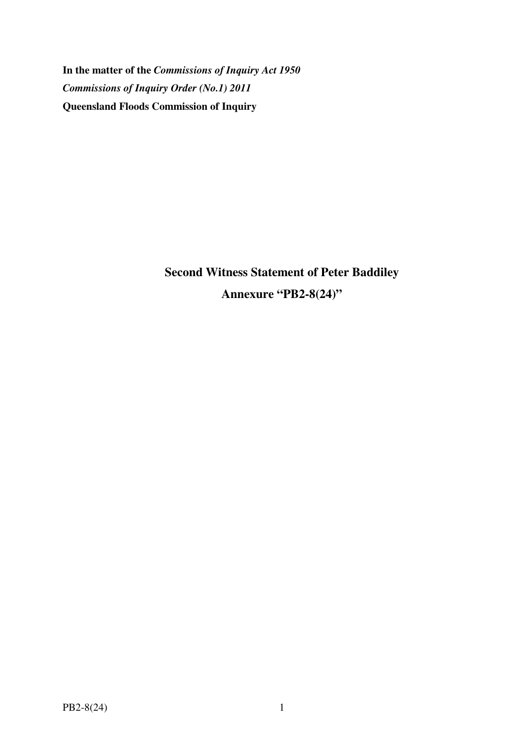**In the matter of the** *Commissions of Inquiry Act 1950 Commissions of Inquiry Order (No.1) 2011* **Queensland Floods Commission of Inquiry** 

> **Second Witness Statement of Peter Baddiley Annexure "PB2-8(24)"**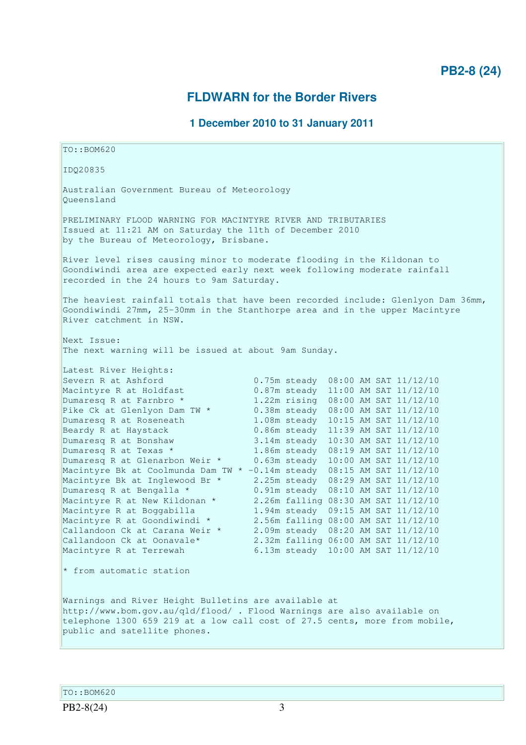# **FLDWARN for the Border Rivers**

## **1 December 2010 to 31 January 2011**

TO::BOM620 IDQ20835 Australian Government Bureau of Meteorology Queensland PRELIMINARY FLOOD WARNING FOR MACINTYRE RIVER AND TRIBUTARIES Issued at 11:21 AM on Saturday the 11th of December 2010 by the Bureau of Meteorology, Brisbane. River level rises causing minor to moderate flooding in the Kildonan to Goondiwindi area are expected early next week following moderate rainfall recorded in the 24 hours to 9am Saturday. The heaviest rainfall totals that have been recorded include: Glenlyon Dam 36mm, Goondiwindi 27mm, 25-30mm in the Stanthorpe area and in the upper Macintyre River catchment in NSW. Next Issue: The next warning will be issued at about 9am Sunday. Latest River Heights: Severn R at Ashford 0.75m steady 08:00 AM SAT 11/12/10 Macintyre R at Holdfast  $0.87m$  steady  $11:00$  AM SAT  $11/12/10$ Dumaresq R at Farnbro \* 1.22m rising 08:00 AM SAT 11/12/10 Pike Ck at Glenlyon Dam TW \* 0.38m steady 08:00 AM SAT 11/12/10 Dumaresq R at Roseneath 1.08m steady 10:15 AM SAT 11/12/10 Beardy R at Haystack 0.86m steady 11:39 AM SAT 11/12/10 Dumaresq R at Bonshaw 3.14m steady 10:30 AM SAT 11/12/10 Dumaresq R at Texas \* 1.86m steady 08:19 AM SAT 11/12/10 Dumaresq R at Glenarbon Weir \* 0.63m steady 10:00 AM SAT 11/12/10 Macintyre Bk at Coolmunda Dam TW \* -0.14m steady 08:15 AM SAT 11/12/10 Macintyre Bk at Inglewood Br \* 2.25m steady 08:29 AM SAT 11/12/10 Dumaresq R at Bengalla \* 0.91m steady 08:10 AM SAT 11/12/10 Macintyre R at New Kildonan \* 2.26m falling 08:30 AM SAT 11/12/10 Macintyre R at Boggabilla 1.94m steady 09:15 AM SAT 11/12/10 Macintyre R at Goondiwindi \* 2.56m falling 08:00 AM SAT 11/12/10 Callandoon Ck at Carana Weir \* 2.09m steady 08:20 AM SAT 11/12/10 Callandoon Ck at Oonavale\* 2.32m falling 06:00 AM SAT 11/12/10 Macintyre R at Terrewah 6.13m steady 10:00 AM SAT 11/12/10  $*$  from automatic station Warnings and River Height Bulletins are available at http://www.bom.gov.au/qld/flood/ . Flood Warnings are also available on telephone 1300 659 219 at a low call cost of 27.5 cents, more from mobile, public and satellite phones.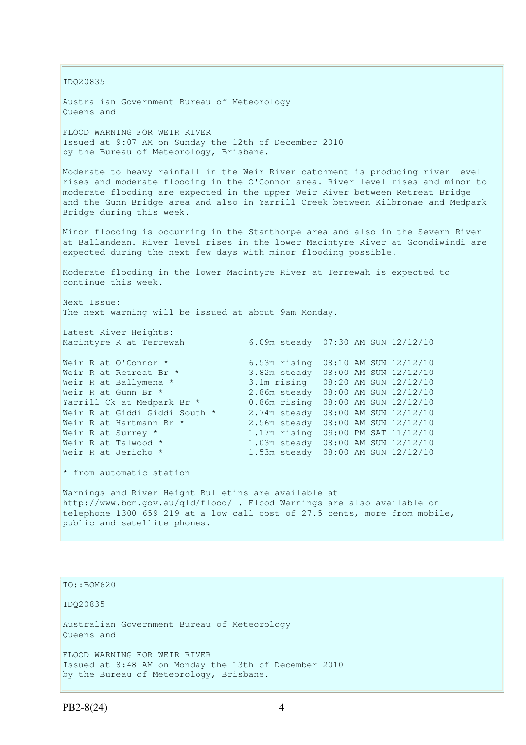IDQ20835

Australian Government Bureau of Meteorology Queensland

FLOOD WARNING FOR WEIR RIVER Issued at 9:07 AM on Sunday the 12th of December 2010 by the Bureau of Meteorology, Brisbane.

Moderate to heavy rainfall in the Weir River catchment is producing river level rises and moderate flooding in the O'Connor area. River level rises and minor to moderate flooding are expected in the upper Weir River between Retreat Bridge and the Gunn Bridge area and also in Yarrill Creek between Kilbronae and Medpark Bridge during this week.

Minor flooding is occurring in the Stanthorpe area and also in the Severn River at Ballandean. River level rises in the lower Macintyre River at Goondiwindi are expected during the next few days with minor flooding possible.

Moderate flooding in the lower Macintyre River at Terrewah is expected to continue this week.

Next Issue: The next warning will be issued at about 9am Monday.

Latest River Heights: Macintyre R at Terrewah 6.09m steady 07:30 AM SUN 12/12/10

Weir R at O'Connor \* 6.53m rising 08:10 AM SUN 12/12/10 Weir R at Retreat Br \* 3.82m steady 08:00 AM SUN 12/12/10 Weir R at Ballymena \* 3.1m rising 08:20 AM SUN 12/12/10 Weir R at Gunn Br \* 2.86m steady 08:00 AM SUN 12/12/10 Yarrill Ck at Medpark Br \* 0.86m rising 08:00 AM SUN 12/12/10 Weir R at Giddi Giddi South \* 2.74m steady 08:00 AM SUN 12/12/10 Weir R at Hartmann Br \* 2.56m steady 08:00 AM SUN 12/12/10 Weir R at Surrey \* 1.17m rising 09:00 PM SAT 11/12/10 Weir R at Talwood \* 1.03m steady 08:00 AM SUN 12/12/10 Weir R at Surrey \* 1.17m rising 09:00 PM SAT 11/12/10<br>
Weir R at Talwood \* 1.03m steady 08:00 AM SUN 12/12/10<br>
Weir R at Jericho \* 1.53m steady 08:00 AM SUN 12/12/10

\* from automatic station

Warnings and River Height Bulletins are available at http://www.bom.gov.au/qld/flood/ . Flood Warnings are also available on telephone 1300 659 219 at a low call cost of 27.5 cents, more from mobile, public and satellite phones.

TO::BOM620 IDQ20835 Australian Government Bureau of Meteorology Queensland FLOOD WARNING FOR WEIR RIVER Issued at 8:48 AM on Monday the 13th of December 2010 by the Bureau of Meteorology, Brisbane.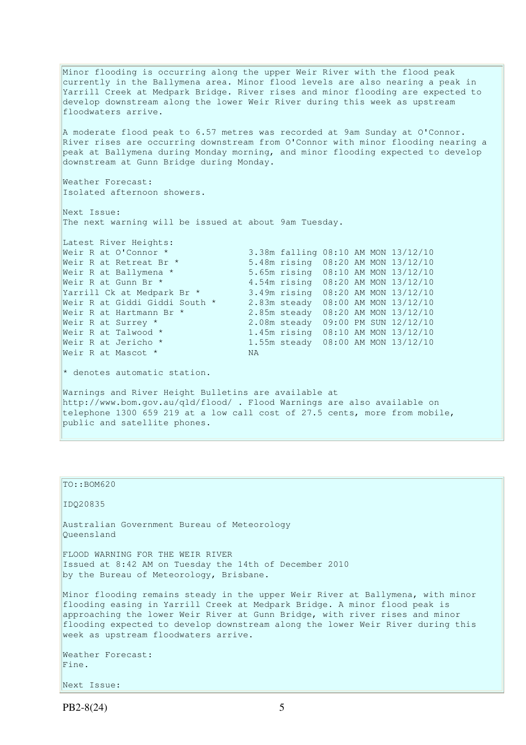Minor flooding is occurring along the upper Weir River with the flood peak currently in the Ballymena area. Minor flood levels are also nearing a peak in Yarrill Creek at Medpark Bridge. River rises and minor flooding are expected to develop downstream along the lower Weir River during this week as upstream floodwaters arrive. A moderate flood peak to 6.57 metres was recorded at 9am Sunday at O'Connor. River rises are occurring downstream from O'Connor with minor flooding nearing a peak at Ballymena during Monday morning, and minor flooding expected to develop downstream at Gunn Bridge during Monday. Weather Forecast: Isolated afternoon showers. Next Issue: The next warning will be issued at about 9am Tuesday. Latest River Heights:<br>Weir R at O'Connor \* Weir R at O'Connor \* 3.38m falling 08:10 AM MON 13/12/10<br>Weir R at Retreat Br \* 5.48m rising 08:20 AM MON 13/12/10 Weir R at Retreat Br \* 5.48m rising 08:20 AM MON 13/12/10 Weir R at Ballymena \* 5.65m rising 08:10 AM MON 13/12/10 Weir R at Gunn Br \* 4.54m rising 08:20 AM MON 13/12/10 Yarrill Ck at Medpark Br \* 3.49m rising 08:20 AM MON 13/12/10 Weir R at Giddi Giddi South \* 2.83m steady 08:00 AM MON 13/12/10 Weir R at Hartmann Br \* 2.85m steady 08:20 AM MON 13/12/10 Weir R at Surrey \* 2.08m steady 09:00 PM SUN 12/12/10 Weir R at Talwood \* 1.45m rising 08:10 AM MON 13/12/10 Weir R at Jericho \* 1.55m steady 08:00 AM MON 13/12/10 Weir R at Mascot \* NA \* denotes automatic station. Warnings and River Height Bulletins are available at http://www.bom.gov.au/qld/flood/ . Flood Warnings are also available on telephone 1300 659 219 at a low call cost of 27.5 cents, more from mobile, public and satellite phones.

```
TO::BOM620 
IDQ20835 
Australian Government Bureau of Meteorology 
Queensland 
FLOOD WARNING FOR THE WEIR RIVER 
Issued at 8:42 AM on Tuesday the 14th of December 2010 
by the Bureau of Meteorology, Brisbane.
Minor flooding remains steady in the upper Weir River at Ballymena, with minor 
flooding easing in Yarrill Creek at Medpark Bridge. A minor flood peak is 
approaching the lower Weir River at Gunn Bridge, with river rises and minor
flooding expected to develop downstream along the lower Weir River during this 
week as upstream floodwaters arrive. 
Weather Forecast: 
Fine. 
Next Issue:
```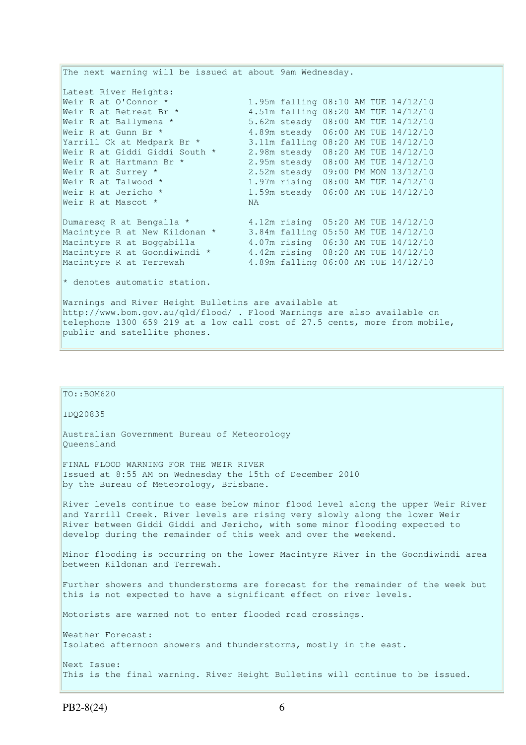The next warning will be issued at about 9am Wednesday. Latest River Heights: Weir R at O'Connor \* 1.95m falling 08:10 AM TUE 14/12/10 Weir R at Retreat Br \* 4.51m falling 08:20 AM TUE 14/12/10 Weir R at Retreat Br \* 4.51m falling 08:20 AM TUE 14/12/10<br>Weir R at Ballymena \* 5.62m steady 08:00 AM TUE 14/12/10<br>Weir R at Gunn Br \* 4.89m steady 06:00 AM TUE 14/12/10 Weir R at Gunn Br \* 4.89m steady 06:00 AM TUE 14/12/10 Yarrill Ck at Medpark Br \* 3.11m falling 08:20 AM TUE 14/12/10 Weir R at Giddi Giddi South \* 2.98m steady 08:20 AM TUE 14/12/10 Weir R at Hartmann Br \* 2.95m steady 08:00 AM TUE 14/12/10 Weir R at Surrey \* 2.52m steady 09:00 PM MON 13/12/10 Weir R at Talwood \* 1.97m rising 08:00 AM TUE 14/12/10 1.59m steady 06:00 AM TUE 14/12/10<br>NA - A at Ialwood \*<br>Weir R at Jericho \*<br>Weir R at Mascot \* Dumaresq R at Bengalla \* 4.12m rising 05:20 AM TUE 14/12/10 Macintyre R at New Kildonan \* 3.84m falling 05:50 AM TUE 14/12/10 Macintyre R at Boggabilla 4.07m rising 06:30 AM TUE 14/12/10 Macintyre R at Goondiwindi \* 4.42m rising 08:20 AM TUE 14/12/10 Macintyre R at Terrewah 4.89m falling 06:00 AM TUE 14/12/10 \* denotes automatic station. Warnings and River Height Bulletins are available at http://www.bom.gov.au/qld/flood/ . Flood Warnings are also available on telephone 1300 659 219 at a low call cost of 27.5 cents, more from mobile, public and satellite phones.

# TO::BOM620 IDQ20835 Australian Government Bureau of Meteorology Queensland FINAL FLOOD WARNING FOR THE WEIR RIVER Issued at 8:55 AM on Wednesday the 15th of December 2010 by the Bureau of Meteorology, Brisbane. River levels continue to ease below minor flood level along the upper Weir River and Yarrill Creek. River levels are rising very slowly along the lower Weir River between Giddi Giddi and Jericho, with some minor flooding expected to develop during the remainder of this week and over the weekend. Minor flooding is occurring on the lower Macintyre River in the Goondiwindi area between Kildonan and Terrewah. Further showers and thunderstorms are forecast for the remainder of the week but this is not expected to have a significant effect on river levels. Motorists are warned not to enter flooded road crossings. Weather Forecast: Isolated afternoon showers and thunderstorms, mostly in the east. Next Issue: This is the final warning. River Height Bulletins will continue to be issued.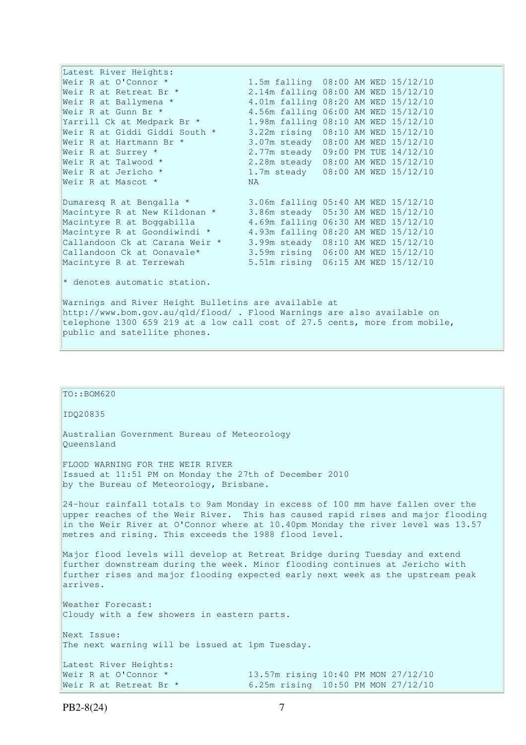Latest River Heights: Weir R at O'Connor \* 1.5m falling 08:00 AM WED 15/12/10 Weir R at Retreat Br \* 2.14m falling 08:00 AM WED 15/12/10 Weir R at Ballymena \* 4.01m falling 08:20 AM WED 15/12/10 Weir R at Gunn Br \* 4.56m falling 06:00 AM WED 15/12/10 Yarrill Ck at Medpark Br \* 1.98m falling 08:10 AM WED 15/12/10 Weir R at Giddi Giddi South \* 3.22m rising 08:10 AM WED 15/12/10 Weir R at Hartmann Br \* 3.07m steady 08:00 AM WED 15/12/10 Weir R at Surrey \* 2.77m steady 09:00 PM TUE 14/12/10 Weir R at Talwood \* 2.28m steady 08:00 AM WED 15/12/10 Weir R at Jericho \* 1.7m steady 08:00 AM WED 15/12/10 Weir R at Mascot \* NA Dumaresq R at Bengalla \* 3.06m falling 05:40 AM WED 15/12/10 Macintyre R at New Kildonan \* 3.86m steady 05:30 AM WED 15/12/10 Macintyre R at Boggabilla 4.69m falling 06:30 AM WED 15/12/10 Macintyre R at Goondiwindi \* 4.93m falling 08:20 AM WED 15/12/10 Callandoon Ck at Carana Weir \* 3.99m steady 08:10 AM WED 15/12/10 Callandoon Ck at Oonavale\* 3.59m rising 06:00 AM WED 15/12/10 Macintyre R at Terrewah 5.51m rising 06:15 AM WED 15/12/10 \* denotes automatic station. Warnings and River Height Bulletins are available at http://www.bom.gov.au/qld/flood/ . Flood Warnings are also available on telephone 1300 659 219 at a low call cost of 27.5 cents, more from mobile, public and satellite phones.

# IDQ20835

TO::BOM620

Australian Government Bureau of Meteorology Queensland

FLOOD WARNING FOR THE WEIR RIVER Issued at 11:51 PM on Monday the 27th of December 2010 by the Bureau of Meteorology, Brisbane.

24-hour rainfall totals to 9am Monday in excess of 100 mm have fallen over the upper reaches of the Weir River. This has caused rapid rises and major flooding in the Weir River at O'Connor where at 10.40pm Monday the river level was 13.57 metres and rising. This exceeds the 1988 flood level.

Major flood levels will develop at Retreat Bridge during Tuesday and extend further downstream during the week. Minor flooding continues at Jericho with further rises and major flooding expected early next week as the upstream peak arrives.

Weather Forecast: Cloudy with a few showers in eastern parts.

Next Issue: The next warning will be issued at 1pm Tuesday.

Latest River Heights: Weir R at O'Connor \* 13.57m rising 10:40 PM MON 27/12/10 Weir R at Retreat Br \* 6.25m rising 10:50 PM MON 27/12/10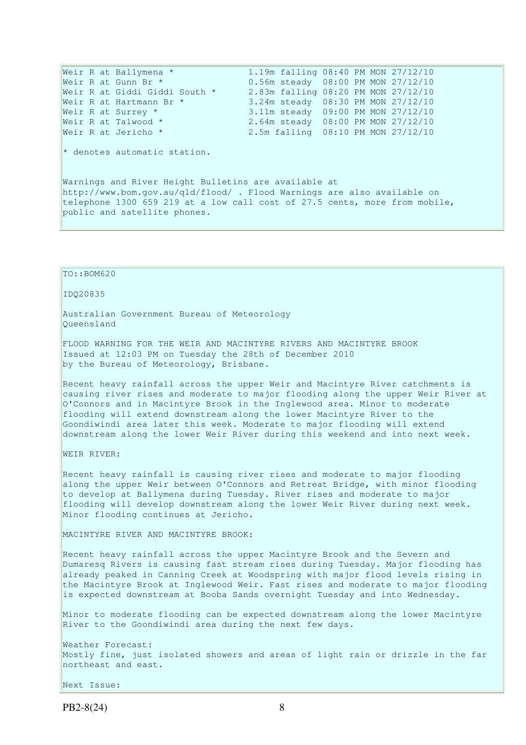```
Weir R at Ballymena * 1.19m falling 08:40 PM MON 27/12/10
Weir R at Gunn Br * 0.56m steady 08:00 PM MON 27/12/10
Weir R at Giddi Giddi South * 2.83m falling 08:20 PM MON 27/12/10
Weir R at Hartmann Br * 3.24m steady 08:30 PM MON 27/12/10
Weir R at Surrey * 3.11m steady 09:00 PM MON 27/12/10
Weir R at Talwood * 2.64m steady 08:00 PM MON 27/12/10
Weir R at Jericho * 2.5m falling 08:10 PM MON 27/12/10
* denotes automatic station. 
Warnings and River Height Bulletins are available at
```
http://www.bom.gov.au/qld/flood/ . Flood Warnings are also available on telephone 1300 659 219 at a low call cost of 27.5 cents, more from mobile, public and satellite phones.

```
TO::BOM620 
IDQ20835 
Australian Government Bureau of Meteorology 
Queensland 
FLOOD WARNING FOR THE WEIR AND MACINTYRE RIVERS AND MACINTYRE BROOK 
Issued at 12:03 PM on Tuesday the 28th of December 2010 
by the Bureau of Meteorology, Brisbane.
Recent heavy rainfall across the upper Weir and Macintyre River catchments is 
causing river rises and moderate to major flooding along the upper Weir River at 
O'Connors and in Macintyre Brook in the Inglewood area. Minor to moderate 
flooding will extend downstream along the lower Macintyre River to the 
Goondiwindi area later this week. Moderate to major flooding will extend 
downstream along the lower Weir River during this weekend and into next week. 
WEIR RIVER: 
Recent heavy rainfall is causing river rises and moderate to major flooding 
along the upper Weir between O'Connors and Retreat Bridge, with minor flooding 
to develop at Ballymena during Tuesday. River rises and moderate to major 
flooding will develop downstream along the lower Weir River during next week. 
Minor flooding continues at Jericho. 
MACINTYRE RIVER AND MACINTYRE BROOK: 
Recent heavy rainfall across the upper Macintyre Brook and the Severn and 
Dumaresq Rivers is causing fast stream rises during Tuesday. Major flooding has 
already peaked in Canning Creek at Woodspring with major flood levels rising in 
the Macintyre Brook at Inglewood Weir. Fast rises and moderate to major flooding 
is expected downstream at Booba Sands overnight Tuesday and into Wednesday. 
Minor to moderate flooding can be expected downstream along the lower Macintyre 
River to the Goondiwindi area during the next few days. 
Weather Forecast: 
Mostly fine, just isolated showers and areas of light rain or drizzle in the far 
northeast and east. 
Next Issue:
```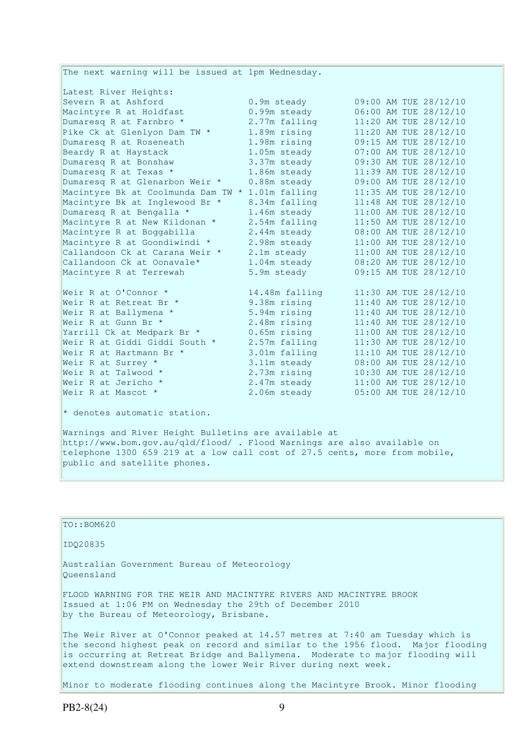The next warning will be issued at 1pm Wednesday. Latest River Heights: Severn R at Ashford 0.9m steady 09:00 AM TUE 28/12/10 Macintyre R at Holdfast 0.99m steady 06:00 AM TUE 28/12/10 Dumaresq R at Farnbro  $\star$  2.77m falling 11:20 AM TUE 28/12/10 Pike Ck at Glenlyon Dam TW \* 1.89m rising 11:20 AM TUE 28/12/10 Dumaresq R at Roseneath 1.98m rising 09:15 AM TUE 28/12/10 Beardy R at Haystack 1.05m steady 07:00 AM TUE 28/12/10 Dumaresq R at Bonshaw 3.37m steady 09:30 AM TUE 28/12/10 Dumaresq R at Texas \* 1.86m steady 11:39 AM TUE 28/12/10 Dumaresq R at Glenarbon Weir \* 0.88m steady 09:00 AM TUE 28/12/10 Macintyre Bk at Coolmunda Dam TW \* 1.01m falling 11:35 AM TUE 28/12/10 Macintyre Bk at Inglewood Br \* 8.34m falling 11:48 AM TUE 28/12/10 Dumaresq R at Bengalla \* 1.46m steady 11:00 AM TUE 28/12/10 Macintyre R at New Kildonan \* 2.54m falling 11:50 AM TUE 28/12/10 Macintyre R at Boggabilla 2.44m steady 08:00 AM TUE 28/12/10 Macintyre R at Goondiwindi \* 2.98m steady 11:00 AM TUE 28/12/10 Callandoon Ck at Carana Weir \* 2.1m steady 11:00 AM TUE 28/12/10 Callandoon Ck at Oonavale\*  $1.04$ m steady  $08:20$  AM TUE  $28/12/10$ Macintyre R at Terrewah 5.9m steady 09:15 AM TUE 28/12/10 Weir R at O'Connor \* 14.48m falling 11:30 AM TUE 28/12/10 Weir R at Retreat Br \* 9.38m rising 11:40 AM TUE 28/12/10 Weir R at Ballymena \* 5.94m rising 11:40 AM TUE 28/12/10 Weir R at Gunn Br \* 2.48m rising 11:40 AM TUE 28/12/10 Yarrill Ck at Medpark Br \* 0.65m rising 11:00 AM TUE 28/12/10 Weir R at Giddi Giddi South \* 2.57m falling 11:30 AM TUE 28/12/10 Weir R at Hartmann Br  $\star$  3.01m falling 11:10 AM TUE 28/12/10 Weir R at Surrey \* 3.11m steady 08:00 AM TUE 28/12/10 Weir R at Talwood \* 2.73m rising 10:30 AM TUE 28/12/10 Weir R at Jericho \*  $2.47m$  steady  $11:00$  AM TUE  $28/12/10$ Weir R at Mascot  $\star$  2.06m steady 05:00 AM TUE 28/12/10  $*$  denotes automatic station.

Warnings and River Height Bulletins are available at http://www.bom.gov.au/qld/flood/ . Flood Warnings are also available on telephone 1300 659 219 at a low call cost of 27.5 cents, more from mobile, public and satellite phones.

TO::BOM620 IDQ20835 Australian Government Bureau of Meteorology Queensland FLOOD WARNING FOR THE WEIR AND MACINTYRE RIVERS AND MACINTYRE BROOK Issued at 1:06 PM on Wednesday the 29th of December 2010 by the Bureau of Meteorology, Brisbane. The Weir River at O'Connor peaked at 14.57 metres at 7:40 am Tuesday which is the second highest peak on record and similar to the 1956 flood. Major flooding is occurring at Retreat Bridge and Ballymena. Moderate to major flooding will extend downstream along the lower Weir River during next week. Minor to moderate flooding continues along the Macintyre Brook. Minor flooding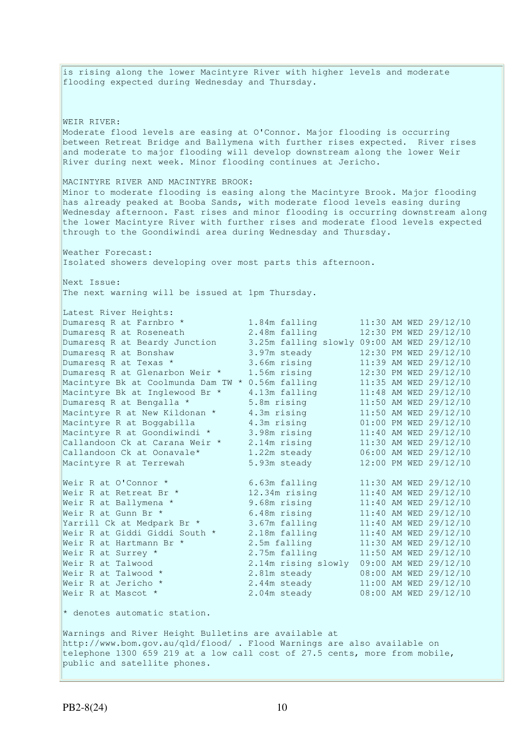is rising along the lower Macintyre River with higher levels and moderate flooding expected during Wednesday and Thursday. WEIR RIVER: Moderate flood levels are easing at O'Connor. Major flooding is occurring between Retreat Bridge and Ballymena with further rises expected. River rises and moderate to major flooding will develop downstream along the lower Weir River during next week. Minor flooding continues at Jericho. MACINTYRE RIVER AND MACINTYRE BROOK: Minor to moderate flooding is easing along the Macintyre Brook. Major flooding has already peaked at Booba Sands, with moderate flood levels easing during Wednesday afternoon. Fast rises and minor flooding is occurring downstream along the lower Macintyre River with further rises and moderate flood levels expected through to the Goondiwindi area during Wednesday and Thursday. Weather Forecast: Isolated showers developing over most parts this afternoon. Next Issue: The next warning will be issued at 1pm Thursday. Latest River Heights: Dumaresq R at Farnbro \* 1.84m falling 11:30 AM WED 29/12/10 Dumaresq R at Roseneath 2.48m falling 12:30 PM WED 29/12/10 Dumaresq R at Beardy Junction 3.25m falling slowly 09:00 AM WED 29/12/10 Dumaresq R at Bonshaw 3.97m steady 12:30 PM WED 29/12/10 Dumaresq R at Texas \* 3.66m rising 11:39 AM WED 29/12/10 Dumaresq R at Glenarbon Weir \* 1.56m rising 12:30 PM WED 29/12/10 Macintyre Bk at Coolmunda Dam TW \* 0.56m falling 11:35 AM WED 29/12/10 Macintyre Bk at Inglewood Br \* 4.13m falling 11:48 AM WED 29/12/10 Dumaresq R at Bengalla \* 5.8m rising 11:50 AM WED 29/12/10 Macintyre R at New Kildonan \* 4.3m rising 11:50 AM WED 29/12/10 Macintyre R at Boggabilla 4.3m rising 01:00 PM WED 29/12/10 Macintyre R at Goondiwindi \* 3.98m rising 11:40 AM WED 29/12/10 Callandoon Ck at Carana Weir \* 2.14m rising 11:30 AM WED 29/12/10 Callandoon Ck at Oonavale\* 1.22m steady 06:00 AM WED 29/12/10 Macintyre R at Terrewah 5.93m steady 12:00 PM WED 29/12/10 Weir R at O'Connor \* 6.63m falling 11:30 AM WED 29/12/10 Weir R at Retreat Br \* 12.34m rising 11:40 AM WED 29/12/10 Weir R at Ballymena \* 9.68m rising 11:40 AM WED 29/12/10 Weir R at Gunn Br \* 6.48m rising 11:40 AM WED 29/12/10 Yarrill Ck at Medpark Br \* 3.67m falling 11:40 AM WED 29/12/10 Weir R at Giddi Giddi South \* 2.18m falling 11:40 AM WED 29/12/10 Weir R at Hartmann Br  $\star$  2.5m falling 11:30 AM WED 29/12/10 Weir R at Surrey \* 2.75m falling 11:50 AM WED 29/12/10 Weir R at Talwood 2.14m rising slowly 09:00 AM WED 29/12/10 Weir R at Talwood \* 2.81m steady 08:00 AM WED 29/12/10 Weir R at Jericho \* 2.44m steady 11:00 AM WED 29/12/10 Weir R at Mascot \* 2.04m steady 08:00 AM WED 29/12/10  $*$  denotes automatic station. Warnings and River Height Bulletins are available at http://www.bom.gov.au/qld/flood/ . Flood Warnings are also available on telephone 1300 659 219 at a low call cost of 27.5 cents, more from mobile, public and satellite phones.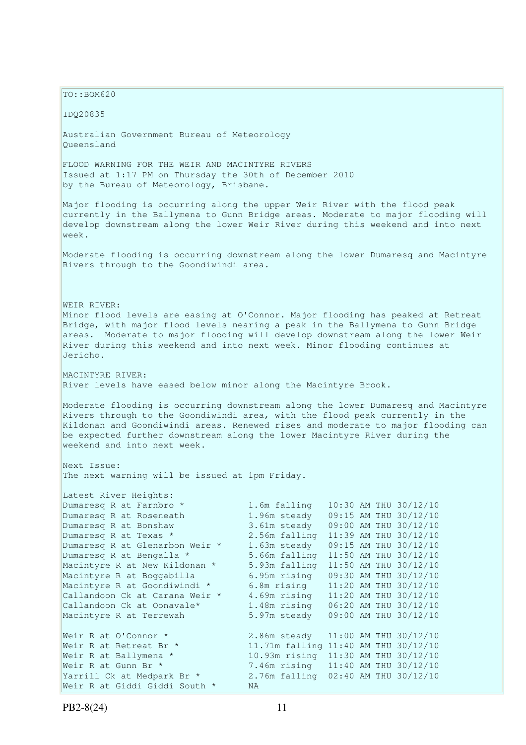$TO: **ROM620**$ IDQ20835 Australian Government Bureau of Meteorology Queensland FLOOD WARNING FOR THE WEIR AND MACINTYRE RIVERS Issued at 1:17 PM on Thursday the 30th of December 2010 by the Bureau of Meteorology, Brisbane. Major flooding is occurring along the upper Weir River with the flood peak currently in the Ballymena to Gunn Bridge areas. Moderate to major flooding will develop downstream along the lower Weir River during this weekend and into next week. Moderate flooding is occurring downstream along the lower Dumaresq and Macintyre Rivers through to the Goondiwindi area. WEIR RIVER: Minor flood levels are easing at O'Connor. Major flooding has peaked at Retreat Bridge, with major flood levels nearing a peak in the Ballymena to Gunn Bridge areas. Moderate to major flooding will develop downstream along the lower Weir River during this weekend and into next week. Minor flooding continues at Jericho. MACINTYRE RIVER: River levels have eased below minor along the Macintyre Brook. Moderate flooding is occurring downstream along the lower Dumaresq and Macintyre Rivers through to the Goondiwindi area, with the flood peak currently in the Kildonan and Goondiwindi areas. Renewed rises and moderate to major flooding can be expected further downstream along the lower Macintyre River during the weekend and into next week. Next Issue: The next warning will be issued at 1pm Friday. Latest River Heights: Dumaresq R at Farnbro \* 1.6m falling 10:30 AM THU 30/12/10 Dumaresq R at Roseneath 1.96m steady 09:15 AM THU 30/12/10 Dumaresq R at Bonshaw 3.61m steady 09:00 AM THU 30/12/10 Dumaresq R at Texas \* 2.56m falling 11:39 AM THU 30/12/10 Dumaresq R at Glenarbon Weir \* 1.63m steady 09:15 AM THU 30/12/10 Dumaresq R at Bengalla \* 5.66m falling 11:50 AM THU 30/12/10<br>Macintyre R at New Kildonan \* 5.93m falling 11:50 AM THU 30/12/10 5.93m falling 11:50 AM THU 30/12/10 Macintyre R at Boggabilla 6.95m rising 09:30 AM THU 30/12/10<br>Macintyre R at Goondiwindi \* 6.8m rising 11:20 AM THU 30/12/10 Macintyre R at Goondiwindi \* 6.8m rising 11:20 AM THU 30/12/10 Callandoon Ck at Carana Weir  $*$  4.69m rising  $11:20$  AM THU 30/12/10 Callandoon Ck at Oonavale\* 1.48m rising 06:20 AM THU 30/12/10 Macintyre R at Terrewah 5.97m steady 09:00 AM THU 30/12/10 Weir R at O'Connor \* 2.86m steady 11:00 AM THU 30/12/10 Weir R at Retreat Br \* 11.71m falling 11:40 AM THU 30/12/10 Weir R at Ballymena \* 10.93m rising 11:30 AM THU 30/12/10 Weir R at Gunn Br \* 7.46m rising 11:40 AM THU 30/12/10 Yarrill Ck at Medpark Br \* 2.76m falling 02:40 AM THU 30/12/10 Weir R at Giddi Giddi South \* NA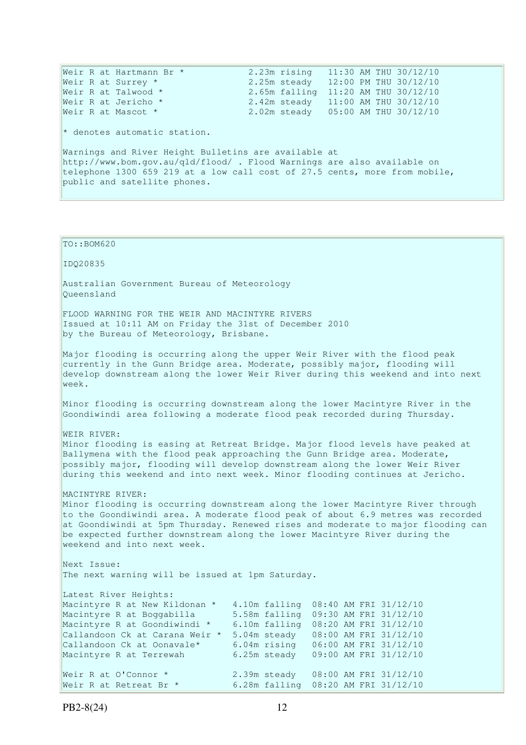Weir R at Hartmann Br  $\star$  2.23m rising  $11:30$  AM THU 30/12/10 Weir R at Surrey \* 2.25m steady 12:00 PM THU 30/12/10 Weir R at Talwood \* 2.65m falling 11:20 AM THU 30/12/10 Weir R at Jericho \* 2.42m steady 11:00 AM THU 30/12/10 Weir R at Mascot \* 2.02m steady 05:00 AM THU 30/12/10  $*$  denotes automatic station. Warnings and River Height Bulletins are available at http://www.bom.gov.au/qld/flood/ . Flood Warnings are also available on telephone 1300 659 219 at a low call cost of 27.5 cents, more from mobile, public and satellite phones.

TO::BOM620 IDQ20835 Australian Government Bureau of Meteorology Queensland FLOOD WARNING FOR THE WEIR AND MACINTYRE RIVERS Issued at 10:11 AM on Friday the 31st of December 2010 by the Bureau of Meteorology, Brisbane. Major flooding is occurring along the upper Weir River with the flood peak currently in the Gunn Bridge area. Moderate, possibly major, flooding will develop downstream along the lower Weir River during this weekend and into next week. Minor flooding is occurring downstream along the lower Macintyre River in the Goondiwindi area following a moderate flood peak recorded during Thursday. WEIR RIVER: Minor flooding is easing at Retreat Bridge. Major flood levels have peaked at Ballymena with the flood peak approaching the Gunn Bridge area. Moderate, possibly major, flooding will develop downstream along the lower Weir River during this weekend and into next week. Minor flooding continues at Jericho. MACINTYRE RIVER: Minor flooding is occurring downstream along the lower Macintyre River through to the Goondiwindi area. A moderate flood peak of about 6.9 metres was recorded at Goondiwindi at 5pm Thursday. Renewed rises and moderate to major flooding can be expected further downstream along the lower Macintyre River during the weekend and into next week. Next Issue: The next warning will be issued at 1pm Saturday. Latest River Heights: Macintyre R at New Kildonan \* 4.10m falling 08:40 AM FRI 31/12/10 Macintyre R at Boggabilla 5.58m falling 09:30 AM FRI 31/12/10 Macintyre R at Goondiwindi \* 6.10m falling 08:20 AM FRI 31/12/10 Callandoon Ck at Carana Weir \* 5.04m steady 08:00 AM FRI 31/12/10 Callandoon Ck at Oonavale\* 6.04m rising 06:00 AM FRI 31/12/10 Macintyre R at Terrewah 6.25m steady 09:00 AM FRI 31/12/10 Weir R at O'Connor \* 2.39m steady 08:00 AM FRI 31/12/10

Weir R at Retreat Br \* 6.28m falling 08:20 AM FRI 31/12/10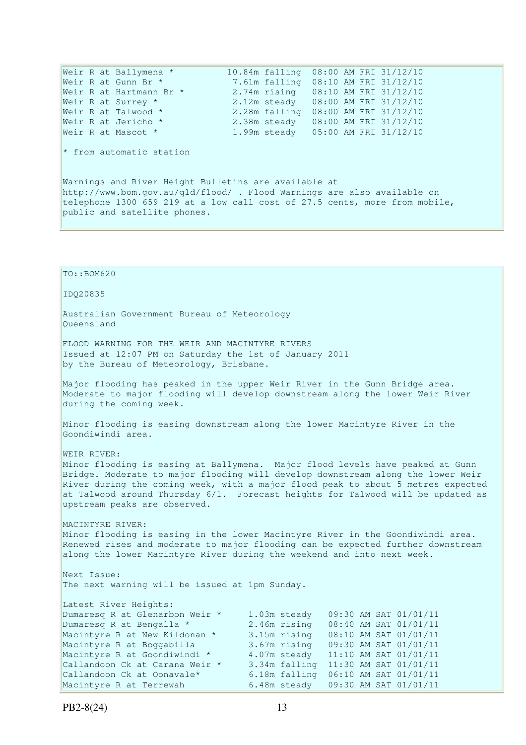Weir R at Ballymena \* 10.84m falling 08:00 AM FRI 31/12/10 Weir R at Gunn Br \* 7.61m falling 08:10 AM FRI 31/12/10<br>Weir R at Hartmann Br \* 2.74m rising 08:10 AM FRI 31/12/10 2.74m rising 08:10 AM FRI 31/12/10 Weir R at Surrey \* 2.12m steady 08:00 AM FRI 31/12/10 Weir R at Talwood \* 2.28m falling 08:00 AM FRI 31/12/10 Weir R at Jericho \* 2.38m steady 08:00 AM FRI 31/12/10 Weir R at Mascot \* 1.99m steady 05:00 AM FRI 31/12/10  $*$  from automatic station Warnings and River Height Bulletins are available at http://www.bom.gov.au/qld/flood/ . Flood Warnings are also available on telephone 1300 659 219 at a low call cost of 27.5 cents, more from mobile, public and satellite phones.

TO::BOM620 IDQ20835 Australian Government Bureau of Meteorology Queensland FLOOD WARNING FOR THE WEIR AND MACINTYRE RIVERS Issued at 12:07 PM on Saturday the 1st of January 2011 by the Bureau of Meteorology, Brisbane. Major flooding has peaked in the upper Weir River in the Gunn Bridge area. Moderate to major flooding will develop downstream along the lower Weir River during the coming week. Minor flooding is easing downstream along the lower Macintyre River in the Goondiwindi area. WEIR RIVER: Minor flooding is easing at Ballymena. Major flood levels have peaked at Gunn Bridge. Moderate to major flooding will develop downstream along the lower Weir River during the coming week, with a major flood peak to about 5 metres expected at Talwood around Thursday 6/1. Forecast heights for Talwood will be updated as upstream peaks are observed. MACINTYRE RIVER: Minor flooding is easing in the lower Macintyre River in the Goondiwindi area. Renewed rises and moderate to major flooding can be expected further downstream along the lower Macintyre River during the weekend and into next week. Next Issue: The next warning will be issued at 1pm Sunday. Latest River Heights: Dumaresq R at Glenarbon Weir \* 1.03m steady 09:30 AM SAT 01/01/11<br>
Dumaresq R at Bengalla \* 2.46m rising 08:40 AM SAT 01/01/11<br>
Macintyre R at Boggabilla 3.67m rising 09:30 AM SAT 01/01/11<br>
Macintyre R at Goondiwindi \* 4.0 Dumaresq R at Bengalla \* 2.46m rising 08:40 AM SAT 01/01/11 Macintyre R at New Kildonan \* 3.15m rising 08:10 AM SAT 01/01/11 Macintyre R at Boggabilla 3.67m rising 09:30 AM SAT 01/01/11 Macintyre R at Goondiwindi \* 4.07m steady 11:10 AM SAT 01/01/11 Callandoon Ck at Carana Weir \* 3.34m falling 11:30 AM SAT 01/01/11 Callandoon Ck at Oonavale\* 6.18m falling 06:10 AM SAT 01/01/11 Macintyre R at Terrewah 6.48m steady 09:30 AM SAT 01/01/11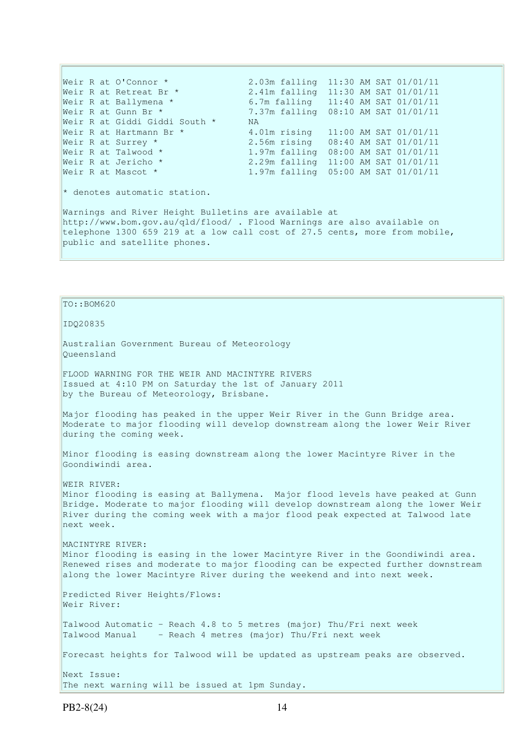Weir R at O'Connor \* 2.03m falling 11:30 AM SAT 01/01/11<br>Weir R at Retreat Br \* 2.41m falling 11:30 AM SAT 01/01/11 2.41m falling 11:30 AM SAT 01/01/11 Weir R at Ballymena \* 6.7m falling 11:40 AM SAT 01/01/11 Weir R at Gunn Br \* 7.37m falling  $08:10$  AM SAT  $01/01/11$ <br>Weir R at Giddi Giddi South \* NA Weir R at Giddi Giddi South  $*$ Weir R at Hartmann Br  $*$  4.01m rising  $11:00$  AM SAT  $01/01/11$ Weir R at Surrey \* 2.56m rising 08:40 AM SAT 01/01/11<br>Weir R at Talwood \* 1.97m falling 08:00 AM SAT 01/01/11 Weir R at Talwood \*  $1.97m$  falling  $08:00$  AM SAT  $01/01/11$ <br>Weir R at Jericho \*  $2.29m$  falling  $11:00$  AM SAT  $01/01/11$ Weir R at Jericho \* 2.29m falling 11:00 AM SAT 01/01/11<br>Weir R at Mascot \* 1.97m falling 05:00 AM SAT 01/01/11 1.97m falling 05:00 AM SAT 01/01/11 \* denotes automatic station. Warnings and River Height Bulletins are available at http://www.bom.gov.au/qld/flood/ . Flood Warnings are also available on telephone 1300 659 219 at a low call cost of 27.5 cents, more from mobile, public and satellite phones.

## TO::BOM620

IDQ20835

Australian Government Bureau of Meteorology Queensland

FLOOD WARNING FOR THE WEIR AND MACINTYRE RIVERS Issued at 4:10 PM on Saturday the 1st of January 2011 by the Bureau of Meteorology, Brisbane.

Major flooding has peaked in the upper Weir River in the Gunn Bridge area. Moderate to major flooding will develop downstream along the lower Weir River during the coming week.

Minor flooding is easing downstream along the lower Macintyre River in the Goondiwindi area.

WEIR RIVER: Minor flooding is easing at Ballymena. Major flood levels have peaked at Gunn Bridge. Moderate to major flooding will develop downstream along the lower Weir River during the coming week with a major flood peak expected at Talwood late next week.

MACINTYRE RIVER: Minor flooding is easing in the lower Macintyre River in the Goondiwindi area. Renewed rises and moderate to major flooding can be expected further downstream along the lower Macintyre River during the weekend and into next week.

Predicted River Heights/Flows: Weir River:

Talwood Automatic - Reach 4.8 to 5 metres (major) Thu/Fri next week Talwood Manual - Reach 4 metres (major) Thu/Fri next week

Forecast heights for Talwood will be updated as upstream peaks are observed.

Next Issue: The next warning will be issued at 1pm Sunday.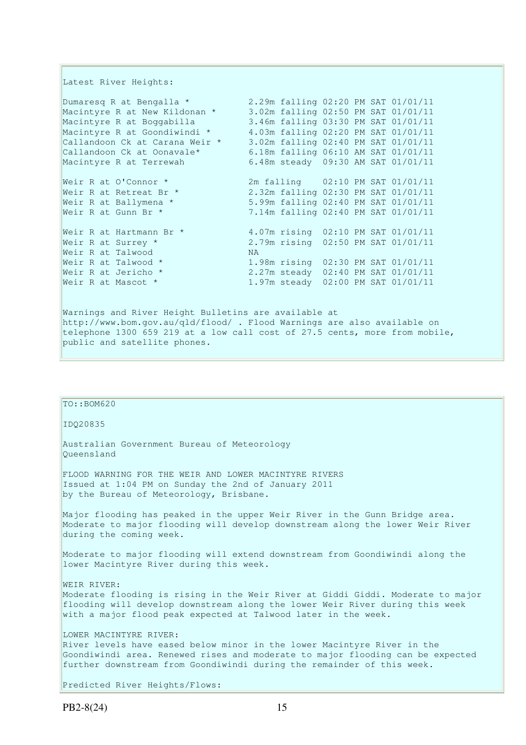Latest River Heights:

public and satellite phones.

Dumaresq R at Bengalla \* 2.29m falling 02:20 PM SAT 01/01/11 Macintyre R at New Kildonan \* 3.02m falling 02:50 PM SAT 01/01/11 Macintyre R at Boggabilla 3.46m falling 03:30 PM SAT 01/01/11 Macintyre R at Goondiwindi \* 4.03m falling 02:20 PM SAT 01/01/11 Callandoon Ck at Carana Weir \* 3.02m falling 02:40 PM SAT 01/01/11 Callandoon Ck at Oonavale\* 6.18m falling 06:10 AM SAT 01/01/11 Macintyre R at Terrewah 6.48m steady 09:30 AM SAT 01/01/11 Weir R at O'Connor \* 2m falling 02:10 PM SAT 01/01/11 Weir R at Retreat Br \* 2.32m falling 02:30 PM SAT 01/01/11 Weir R at Ballymena \* 5.99m falling 02:40 PM SAT 01/01/11 Weir R at Gunn Br \* 7.14m falling 02:40 PM SAT 01/01/11 Weir R at Hartmann Br \* 4.07m rising 02:10 PM SAT 01/01/11 Weir R at Surrey \* 2.79m rising 02:50 PM SAT 01/01/11 Weir R at Talwood MA<br>Weir R at Talwood \* 1. Weir R at Talwood \* 1.98m rising 02:30 PM SAT 01/01/11<br>Weir R at Jericho \* 2.27m steady 02:40 PM SAT 01/01/11 Weir R at Jericho \* 2.27m steady 02:40 PM SAT 01/01/11 Weir R at Mascot \* 1.97m steady 02:00 PM SAT 01/01/11 Warnings and River Height Bulletins are available at http://www.bom.gov.au/qld/flood/ . Flood Warnings are also available on telephone 1300 659 219 at a low call cost of 27.5 cents, more from mobile,

TO::BOM620 IDQ20835 Australian Government Bureau of Meteorology Queensland FLOOD WARNING FOR THE WEIR AND LOWER MACINTYRE RIVERS Issued at 1:04 PM on Sunday the 2nd of January 2011 by the Bureau of Meteorology, Brisbane. Major flooding has peaked in the upper Weir River in the Gunn Bridge area. Moderate to major flooding will develop downstream along the lower Weir River during the coming week. Moderate to major flooding will extend downstream from Goondiwindi along the lower Macintyre River during this week. WEIR RIVER: Moderate flooding is rising in the Weir River at Giddi Giddi. Moderate to major flooding will develop downstream along the lower Weir River during this week with a major flood peak expected at Talwood later in the week. LOWER MACINTYRE RIVER: River levels have eased below minor in the lower Macintyre River in the Goondiwindi area. Renewed rises and moderate to major flooding can be expected further downstream from Goondiwindi during the remainder of this week. Predicted River Heights/Flows: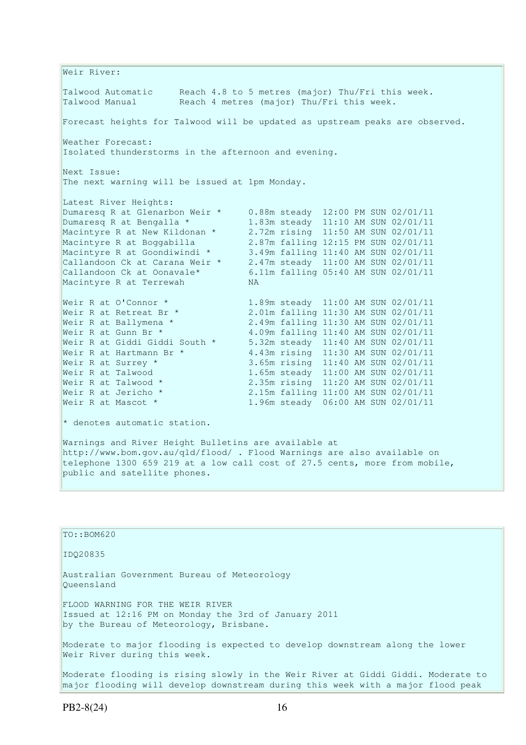Weir River: Talwood Automatic Reach 4.8 to 5 metres (major) Thu/Fri this week. Talwood Manual Reach 4 metres (major) Thu/Fri this week. Forecast heights for Talwood will be updated as upstream peaks are observed. Weather Forecast: Isolated thunderstorms in the afternoon and evening. Next Issue: The next warning will be issued at 1pm Monday. Latest River Heights: Dumaresq R at Glenarbon Weir \* 0.88m steady 12:00 PM SUN 02/01/11 Dumaresq R at Bengalla \* 1.83m steady 11:10 AM SUN 02/01/11 Macintyre R at New Kildonan \* 2.72m rising 11:50 AM SUN 02/01/11 Macintyre R at Boggabilla 2.87m falling 12:15 PM SUN 02/01/11 Macintyre R at Goondiwindi \* 3.49m falling 11:40 AM SUN 02/01/11 Callandoon Ck at Carana Weir \* 2.47m steady 11:00 AM SUN 02/01/11 Callandoon Ck at Oonavale\* 6.11m falling 05:40 AM SUN 02/01/11 Macintyre R at Terrewah NA Weir R at O'Connor \* 1.89m steady 11:00 AM SUN 02/01/11<br>Weir R at Retreat Br \* 2.01m falling 11:30 AM SUN 02/01/11 Weir R at Retreat Br \* 2.01m falling 11:30 AM SUN 02/01/11<br>Weir R at Ballymena \* 2.49m falling 11:30 AM SUN 02/01/11<br>Weir R at Gunn Br \* 4.09m falling 11:40 AM SUN 02/01/11 2.49m falling 11:30 AM SUN 02/01/11<br>4.09m falling 11:40 AM SUN 02/01/11 Weir R at Gunn Br \* 4.09m falling 11:40 AM SUN 02/01/11 Weir R at Giddi Giddi South \* 5.32m steady 11:40 AM SUN 02/01/11 Weir R at Hartmann Br  $\star$  4.43m rising 11:30 AM SUN 02/01/11 Weir R at Surrey \* 3.65m rising 11:40 AM SUN 02/01/11 Weir R at Talwood 1.65m steady 11:00 AM SUN 02/01/11 Weir R at Talwood \* 2.35m rising 11:20 AM SUN 02/01/11 Weir R at Talwood \* 2.35m rising 11:20 AM SUN 02/01/11<br>
Weir R at Jericho \* 2.15m falling 11:00 AM SUN 02/01/11<br>
Weir R at Mascot \* 1.96m steady 06:00 AM SUN 02/01/11 1.96m steady 06:00 AM SUN 02/01/11  $\star$  denotes automatic station. Warnings and River Height Bulletins are available at http://www.bom.gov.au/qld/flood/ . Flood Warnings are also available on telephone 1300 659 219 at a low call cost of 27.5 cents, more from mobile, public and satellite phones.

| $TO: BOM620$                                                                                                                                                        |
|---------------------------------------------------------------------------------------------------------------------------------------------------------------------|
| ID020835                                                                                                                                                            |
| Australian Government Bureau of Meteorology<br>Oueensland                                                                                                           |
| FLOOD WARNING FOR THE WEIR RIVER<br>Issued at 12:16 PM on Monday the 3rd of January 2011<br>by the Bureau of Meteorology, Brisbane.                                 |
| Moderate to major flooding is expected to develop downstream along the lower<br>Weir River during this week.                                                        |
| Moderate flooding is rising slowly in the Weir River at Giddi Giddi. Moderate to<br>major flooding will develop downstream during this week with a major flood peak |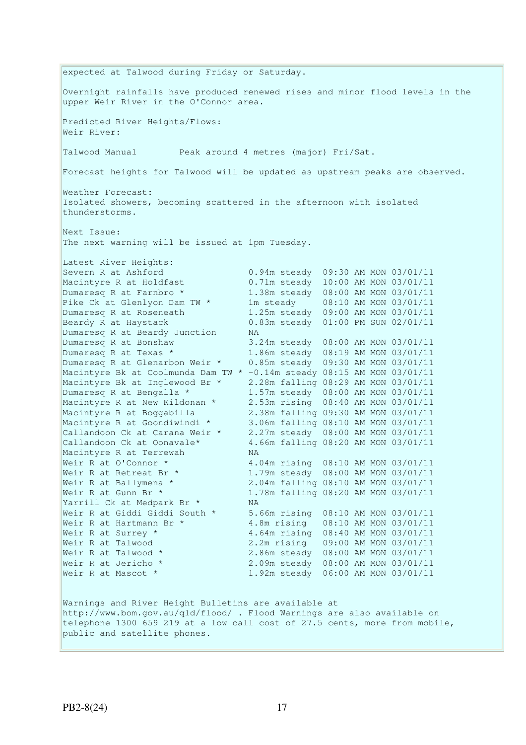expected at Talwood during Friday or Saturday. Overnight rainfalls have produced renewed rises and minor flood levels in the upper Weir River in the O'Connor area. Predicted River Heights/Flows: Weir River: Talwood Manual Peak around 4 metres (major) Fri/Sat. Forecast heights for Talwood will be updated as upstream peaks are observed. Weather Forecast: Isolated showers, becoming scattered in the afternoon with isolated thunderstorms. Next Issue: The next warning will be issued at 1pm Tuesday. Latest River Heights: Severn R at Ashford 0.94m steady 09:30 AM MON 03/01/11 Macintyre R at Holdfast 0.71m steady 10:00 AM MON 03/01/11 Dumaresq R at Farnbro \* 1.38m steady 08:00 AM MON 03/01/11 Pike Ck at Glenlyon Dam TW \* 1m steady 08:10 AM MON 03/01/11 Dumaresq R at Roseneath 1.25m steady 09:00 AM MON 03/01/11 Beardy R at Haystack 0.83m steady 01:00 PM SUN 02/01/11 Dumaresq R at Beardy Junction MA Dumaresq R at Bonshaw 3.24m steady 08:00 AM MON 03/01/11 Dumaresq R at Texas \* 1.86m steady 08:19 AM MON 03/01/11 Dumaresq R at Texas \* 1.86m steady 08:19 AM MON 03/01/11<br>Dumaresq R at Glenarbon Weir \* 0.85m steady 09:30 AM MON 03/01/11 Macintyre Bk at Coolmunda Dam TW \* -0.14m steady 08:15 AM MON 03/01/11 Macintyre Bk at Inglewood Br \* 2.28m falling 08:29 AM MON 03/01/11 Dumaresq R at Bengalla \* 1.57m steady 08:00 AM MON 03/01/11 Macintyre R at New Kildonan \* 2.53m rising 08:40 AM MON 03/01/11 Macintyre R at Boggabilla 2.38m falling 09:30 AM MON 03/01/11 Macintyre R at Goondiwindi \* 3.06m falling 08:10 AM MON 03/01/11 Callandoon Ck at Carana Weir \* 2.27m steady 08:00 AM MON 03/01/11 Callandoon Ck at Oonavale\* 4.66m falling 08:20 AM MON 03/01/11 Macintyre R at Terrewah NA Weir R at O'Connor \* 4.04m rising 08:10 AM MON 03/01/11 Weir R at Retreat Br \* 1.79m steady 08:00 AM MON 03/01/11 Weir R at Ballymena \* 2.04m falling 08:10 AM MON 03/01/11 Weir R at Gunn Br \* 1.78m falling 08:20 AM MON 03/01/11 Yarrill Ck at Medpark Br \* NA Weir R at Giddi Giddi South \* 5.66m rising 08:10 AM MON 03/01/11 Weir R at Hartmann Br \* 4.8m rising 08:10 AM MON 03/01/11 Weir R at Surrey \* 4.64m rising 08:40 AM MON 03/01/11 Weir R at Talwood 2.2m rising 09:00 AM MON 03/01/11<br>Weir R at Talwood \* 2.86m steady 08:00 AM MON 03/01/11<br>Weir R at Jericho \* 2.09m steady 08:00 AM MON 03/01/11 2.86m steady 08:00 AM MON 03/01/11 2.09m steady 08:00 AM MON 03/01/11 Weir R at Mascot \* 1.92m steady 06:00 AM MON 03/01/11 Warnings and River Height Bulletins are available at http://www.bom.gov.au/qld/flood/ . Flood Warnings are also available on telephone 1300 659 219 at a low call cost of 27.5 cents, more from mobile, public and satellite phones.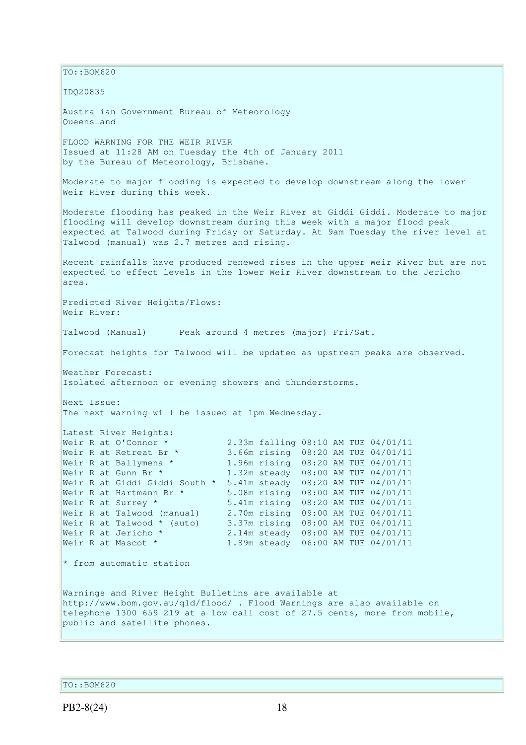$\vert$ TO::BOM620 IDQ20835 Australian Government Bureau of Meteorology Queensland FLOOD WARNING FOR THE WEIR RIVER Issued at 11:28 AM on Tuesday the 4th of January 2011 by the Bureau of Meteorology, Brisbane. Moderate to major flooding is expected to develop downstream along the lower Weir River during this week. Moderate flooding has peaked in the Weir River at Giddi Giddi. Moderate to major flooding will develop downstream during this week with a major flood peak expected at Talwood during Friday or Saturday. At 9am Tuesday the river level at Talwood (manual) was 2.7 metres and rising. Recent rainfalls have produced renewed rises in the upper Weir River but are not expected to effect levels in the lower Weir River downstream to the Jericho area. Predicted River Heights/Flows: Weir River: Talwood (Manual) Peak around 4 metres (major) Fri/Sat. Forecast heights for Talwood will be updated as upstream peaks are observed. Weather Forecast: Isolated afternoon or evening showers and thunderstorms. Next Issue: The next warning will be issued at 1pm Wednesday. Latest River Heights:<br>Weir R at O'Connor \* Weir R at O'Connor \*  $2.33$ m falling 08:10 AM TUE 04/01/11<br>Weir R at Retreat Br \* 3.66m rising 08:20 AM TUE 04/01/11 Weir R at Retreat Br \* 3.66m rising 08:20 AM TUE 04/01/11<br>Weir R at Ballymena \* 1.96m rising 08:20 AM TUE 04/01/11 1.96m rising 08:20 AM TUE 04/01/11 Weir R at Gunn Br \* 1.32m steady 08:00 AM TUE 04/01/11 Weir R at Giddi Giddi South \* 5.41m steady 08:20 AM TUE 04/01/11 Weir R at Hartmann Br \* 5.08m rising 08:00 AM TUE 04/01/11 Weir R at Surrey \* 5.41m rising 08:20 AM TUE 04/01/11 Weir R at Talwood (manual) 2.70m rising 09:00 AM TUE 04/01/11 Weir R at Talwood \* (auto) 3.37m rising 08:00 AM TUE 04/01/11 Weir R at Jericho \* 2.14m steady 08:00 AM TUE 04/01/11 Weir R at Mascot \* 1.89m steady 06:00 AM TUE 04/01/11 \* from automatic station Warnings and River Height Bulletins are available at http://www.bom.gov.au/qld/flood/ . Flood Warnings are also available on telephone 1300 659 219 at a low call cost of 27.5 cents, more from mobile, public and satellite phones.

TO::BOM620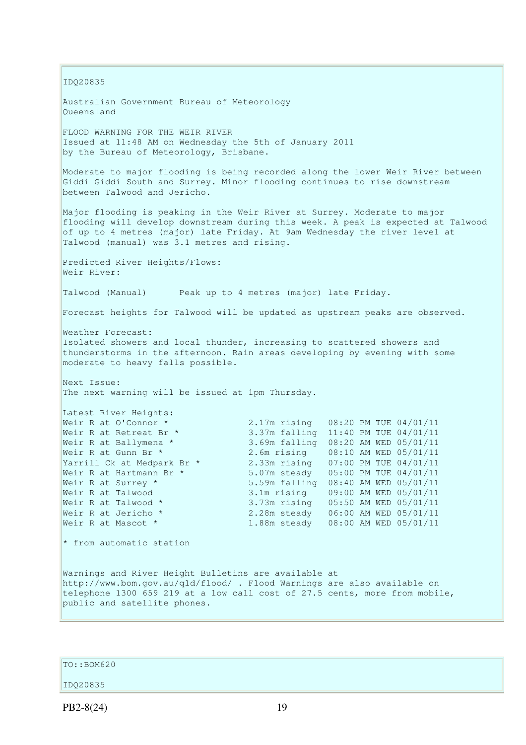IDQ20835 Australian Government Bureau of Meteorology Queensland FLOOD WARNING FOR THE WEIR RIVER Issued at 11:48 AM on Wednesday the 5th of January 2011 by the Bureau of Meteorology, Brisbane. Moderate to major flooding is being recorded along the lower Weir River between Giddi Giddi South and Surrey. Minor flooding continues to rise downstream between Talwood and Jericho. Major flooding is peaking in the Weir River at Surrey. Moderate to major flooding will develop downstream during this week. A peak is expected at Talwood of up to 4 metres (major) late Friday. At 9am Wednesday the river level at Talwood (manual) was 3.1 metres and rising. Predicted River Heights/Flows: Weir River: Talwood (Manual) Peak up to 4 metres (major) late Friday. Forecast heights for Talwood will be updated as upstream peaks are observed. Weather Forecast: Isolated showers and local thunder, increasing to scattered showers and thunderstorms in the afternoon. Rain areas developing by evening with some moderate to heavy falls possible. Next Issue: The next warning will be issued at 1pm Thursday. Latest River Heights: Weir R at O'Connor \* 2.17m rising 08:20 PM TUE 04/01/11 Weir R at Retreat Br \* 3.37m falling 11:40 PM TUE 04/01/11 Weir R at Ballymena \* 3.69m falling 08:20 AM WED 05/01/11 Weir R at Gunn Br \* 2.6m rising 08:10 AM WED 05/01/11 Yarrill Ck at Medpark Br \* 2.33m rising 07:00 PM TUE 04/01/11 Weir R at Hartmann Br \* 5.07m steady 05:00 PM TUE 04/01/11 Weir R at Surrey \* 5.59m falling 08:40 AM WED 05/01/11 Weir R at Talwood 3.1m rising 09:00 AM WED 05/01/11 Weir R at Talwood \* 3.73m rising 05:50 AM WED 05/01/11 Weir R at Jericho \* 2.28m steady 06:00 AM WED 05/01/11 Weir R at Mascot \* 1.88m steady 08:00 AM WED 05/01/11  $*$  from automatic station Warnings and River Height Bulletins are available at http://www.bom.gov.au/qld/flood/ . Flood Warnings are also available on telephone 1300 659 219 at a low call cost of 27.5 cents, more from mobile, public and satellite phones.

TO::BOM620

### IDQ20835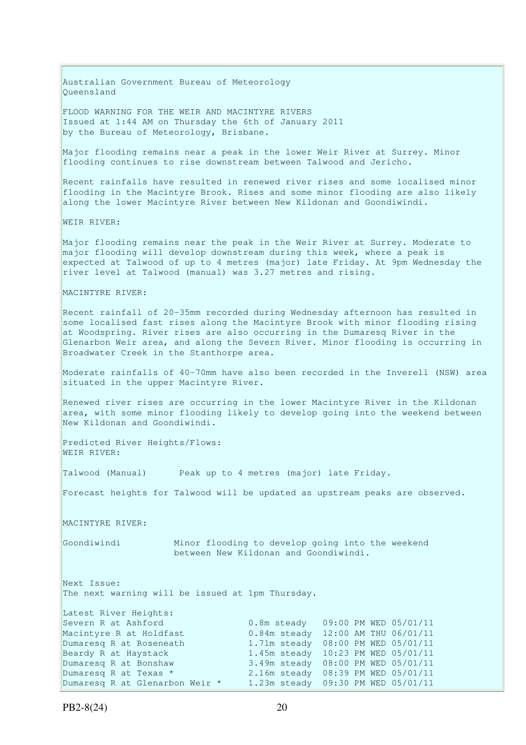Australian Government Bureau of Meteorology Queensland

FLOOD WARNING FOR THE WEIR AND MACINTYRE RIVERS Issued at 1:44 AM on Thursday the 6th of January 2011 by the Bureau of Meteorology, Brisbane.

Major flooding remains near a peak in the lower Weir River at Surrey. Minor flooding continues to rise downstream between Talwood and Jericho.

Recent rainfalls have resulted in renewed river rises and some localised minor flooding in the Macintyre Brook. Rises and some minor flooding are also likely along the lower Macintyre River between New Kildonan and Goondiwindi.

WEIR RIVER:

Major flooding remains near the peak in the Weir River at Surrey. Moderate to major flooding will develop downstream during this week, where a peak is expected at Talwood of up to 4 metres (major) late Friday. At 9pm Wednesday the river level at Talwood (manual) was 3.27 metres and rising.

#### MACINTYRE RIVER:

Recent rainfall of 20-35mm recorded during Wednesday afternoon has resulted in some localised fast rises along the Macintyre Brook with minor flooding rising at Woodspring. River rises are also occurring in the Dumaresq River in the Glenarbon Weir area, and along the Severn River. Minor flooding is occurring in Broadwater Creek in the Stanthorpe area.

Moderate rainfalls of 40-70mm have also been recorded in the Inverell (NSW) area situated in the upper Macintyre River.

Renewed river rises are occurring in the lower Macintyre River in the Kildonan area, with some minor flooding likely to develop going into the weekend between New Kildonan and Goondiwindi.

Predicted River Heights/Flows: WEIR RIVER:

Talwood (Manual) Peak up to 4 metres (major) late Friday.

Forecast heights for Talwood will be updated as upstream peaks are observed.

MACINTYRE RIVER:

Goondiwindi Minor flooding to develop going into the weekend between New Kildonan and Goondiwindi.

Next Issue: The next warning will be issued at 1pm Thursday.

Latest River Heights: Severn R at Ashford 0.8m steady 09:00 PM WED 05/01/11 Macintyre R at Holdfast  $0.84$ m steady 12:00 AM THU 06/01/11 Dumaresq R at Roseneath 1.71m steady 08:00 PM WED 05/01/11 Beardy R at Haystack 1.45m steady 10:23 PM WED 05/01/11 Dumaresq R at Bonshaw 3.49m steady 08:00 PM WED 05/01/11<br>Dumaresq R at Texas \* 2.16m steady 08:39 PM WED 05/01/11 Dumaresq R at Texas \* 2.16m steady 08:39 PM WED 05/01/11 Dumaresq R at Glenarbon Weir \* 1.23m steady 09:30 PM WED 05/01/11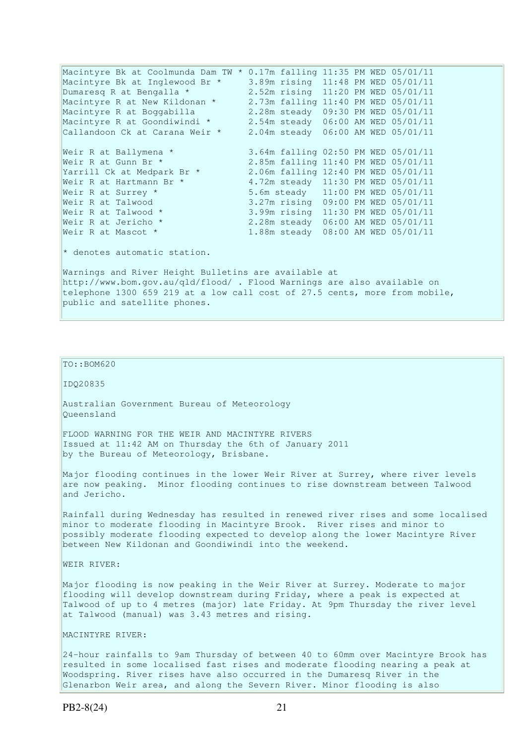Macintyre Bk at Coolmunda Dam TW \* 0.17m falling 11:35 PM WED 05/01/11 Macintyre Bk at Inglewood Br \* 3.89m rising 11:48 PM WED 05/01/11 Dumaresq R at Bengalla \* 2.52m rising 11:20 PM WED 05/01/11 Macintyre R at New Kildonan \* 2.73m falling 11:40 PM WED 05/01/11 Macintyre R at Boggabilla 2.28m steady 09:30 PM WED 05/01/11 Macintyre R at Goondiwindi \* 2.54m steady 06:00 AM WED 05/01/11 Callandoon Ck at Carana Weir \* 2.04m steady 06:00 AM WED 05/01/11 Weir R at Ballymena \*  $\begin{array}{ccc} 3.64 \text{m} & \text{falling} & 02:50 \text{ PM WED} & 05/01/11 \\ \text{Weir R at Gunn Br *} & 2.85 \text{m} & \text{falling} & 11:40 \text{ PM WED} & 05/01/11 \end{array}$ 2.85m falling 11:40 PM WED 05/01/11 Yarrill Ck at Medpark Br \* 2.06m falling 12:40 PM WED 05/01/11 Weir R at Hartmann Br \* 4.72m steady 11:30 PM WED 05/01/11 Weir R at Surrey  $*$  5.6m steady  $11:00$  PM WED 05/01/11 Weir R at Talwood 3.27m rising 09:00 PM WED 05/01/11<br>Weir R at Talwood \* 3.99m rising 11:30 PM WED 05/01/11<br>Weir R at Jericho \* 2.28m steady 06:00 AM WED 05/01/11 Weir R at Talwood \* 3.99m rising 11:30 PM WED 05/01/11 Weir R at Jericho \* 2.28m steady 06:00 AM WED 05/01/11 Weir R at Mascot \* 1.88m steady 08:00 AM WED 05/01/11  $*$  denotes automatic station.

Warnings and River Height Bulletins are available at http://www.bom.gov.au/qld/flood/ . Flood Warnings are also available on telephone 1300 659 219 at a low call cost of 27.5 cents, more from mobile, public and satellite phones.

TO::BOM620

IDQ20835

Australian Government Bureau of Meteorology Queensland

FLOOD WARNING FOR THE WEIR AND MACINTYRE RIVERS Issued at 11:42 AM on Thursday the 6th of January 2011 by the Bureau of Meteorology, Brisbane.

Major flooding continues in the lower Weir River at Surrey, where river levels are now peaking. Minor flooding continues to rise downstream between Talwood and Jericho.

Rainfall during Wednesday has resulted in renewed river rises and some localised minor to moderate flooding in Macintyre Brook. River rises and minor to possibly moderate flooding expected to develop along the lower Macintyre River between New Kildonan and Goondiwindi into the weekend.

WEIR RIVER:

Major flooding is now peaking in the Weir River at Surrey. Moderate to major flooding will develop downstream during Friday, where a peak is expected at Talwood of up to 4 metres (major) late Friday. At 9pm Thursday the river level at Talwood (manual) was 3.43 metres and rising.

MACINTYRE RIVER:

24-hour rainfalls to 9am Thursday of between 40 to 60mm over Macintyre Brook has resulted in some localised fast rises and moderate flooding nearing a peak at Woodspring. River rises have also occurred in the Dumaresq River in the Glenarbon Weir area, and along the Severn River. Minor flooding is also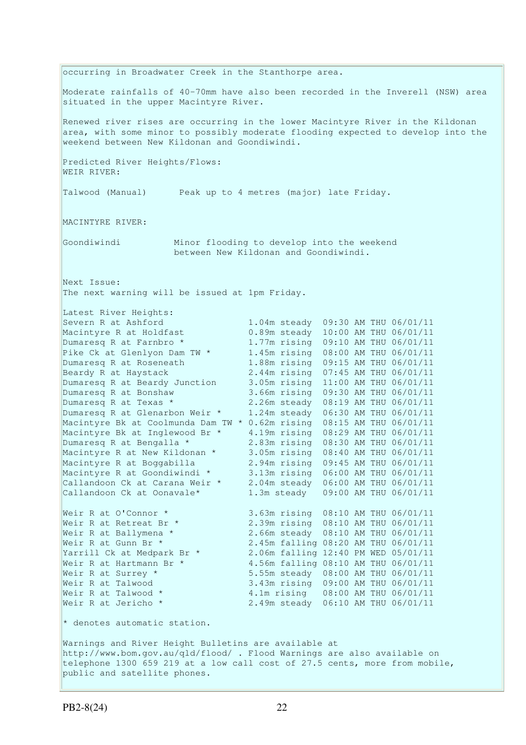occurring in Broadwater Creek in the Stanthorpe area. Moderate rainfalls of 40-70mm have also been recorded in the Inverell (NSW) area situated in the upper Macintyre River. Renewed river rises are occurring in the lower Macintyre River in the Kildonan area, with some minor to possibly moderate flooding expected to develop into the weekend between New Kildonan and Goondiwindi. Predicted River Heights/Flows: WEIR RIVER: Talwood (Manual) Peak up to 4 metres (major) late Friday. MACINTYRE RIVER: Goondiwindi Minor flooding to develop into the weekend between New Kildonan and Goondiwindi. Next Issue: The next warning will be issued at 1pm Friday. Latest River Heights: Severn R at Ashford 1.04m steady 09:30 AM THU 06/01/11 Macintyre R at Holdfast 0.89m steady 10:00 AM THU 06/01/11 Dumaresq R at Farnbro \* 1.77m rising 09:10 AM THU 06/01/11 Pike Ck at Glenlyon Dam TW \* 1.45m rising 08:00 AM THU 06/01/11 Dumaresq R at Roseneath 1.88m rising 09:15 AM THU 06/01/11 Beardy R at Haystack 2.44m rising 07:45 AM THU 06/01/11 Dumaresq R at Beardy Junction 3.05m rising 11:00 AM THU 06/01/11 Dumaresq R at Bonshaw 3.66m rising 09:30 AM THU 06/01/11 Dumaresq R at Texas \* 2.26m steady 08:19 AM THU 06/01/11 Dumaresq R at Glenarbon Weir \* 1.24m steady 06:30 AM THU 06/01/11 Macintyre Bk at Coolmunda Dam TW \* 0.62m rising 08:15 AM THU 06/01/11 Macintyre Bk at Inglewood Br \* 4.19m rising 08:29 AM THU 06/01/11 Dumaresq R at Bengalla \* 2.83m rising 08:30 AM THU 06/01/11 Macintyre R at New Kildonan \* 3.05m rising 08:40 AM THU 06/01/11 Macintyre R at Boggabilla 2.94m rising 09:45 AM THU 06/01/11 Macintyre R at Goondiwindi \* 3.13m rising 06:00 AM THU 06/01/11 Callandoon Ck at Carana Weir \* 2.04m steady 06:00 AM THU 06/01/11 Callandoon Ck at Oonavale\* 1.3m steady 09:00 AM THU 06/01/11 Weir R at O'Connor \* 3.63m rising 08:10 AM THU 06/01/11 Weir R at Retreat Br \* 2.39m rising 08:10 AM THU 06/01/11 Weir R at Ballymena \* 2.66m steady 08:10 AM THU 06/01/11 Weir R at Gunn Br \* 2.45m falling 08:20 AM THU 06/01/11 Yarrill Ck at Medpark Br \* 2.06m falling 12:40 PM WED 05/01/11 Weir R at Hartmann Br  $\star$  4.56m falling 08:10 AM THU 06/01/11 Weir R at Surrey \* 5.55m steady 08:00 AM THU 06/01/11 Weir R at Talwood 3.43m rising 09:00 AM THU 06/01/11 Weir R at Talwood \* 4.1m rising 08:00 AM THU 06/01/11 Weir R at Jericho \* 2.49m steady 06:10 AM THU 06/01/11  $*$  denotes automatic station. Warnings and River Height Bulletins are available at http://www.bom.gov.au/qld/flood/ . Flood Warnings are also available on telephone 1300 659 219 at a low call cost of 27.5 cents, more from mobile, public and satellite phones.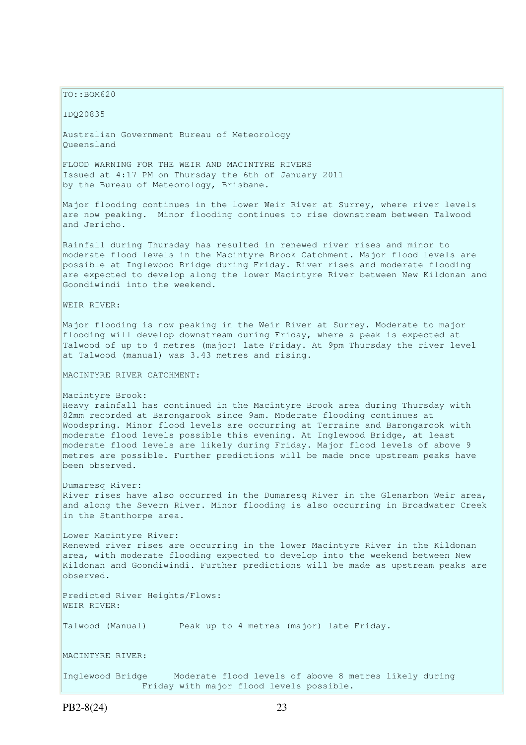$TO: **ROM620**$ 

IDQ20835

Australian Government Bureau of Meteorology Queensland

FLOOD WARNING FOR THE WEIR AND MACINTYRE RIVERS Issued at 4:17 PM on Thursday the 6th of January 2011 by the Bureau of Meteorology, Brisbane.

Major flooding continues in the lower Weir River at Surrey, where river levels are now peaking. Minor flooding continues to rise downstream between Talwood and Jericho.

Rainfall during Thursday has resulted in renewed river rises and minor to moderate flood levels in the Macintyre Brook Catchment. Major flood levels are possible at Inglewood Bridge during Friday. River rises and moderate flooding are expected to develop along the lower Macintyre River between New Kildonan and Goondiwindi into the weekend.

WEIR RIVER:

Major flooding is now peaking in the Weir River at Surrey. Moderate to major flooding will develop downstream during Friday, where a peak is expected at Talwood of up to 4 metres (major) late Friday. At 9pm Thursday the river level at Talwood (manual) was 3.43 metres and rising.

MACINTYRE RIVER CATCHMENT:

Macintyre Brook:

Heavy rainfall has continued in the Macintyre Brook area during Thursday with 82mm recorded at Barongarook since 9am. Moderate flooding continues at Woodspring. Minor flood levels are occurring at Terraine and Barongarook with moderate flood levels possible this evening. At Inglewood Bridge, at least moderate flood levels are likely during Friday. Major flood levels of above 9 metres are possible. Further predictions will be made once upstream peaks have been observed.

Dumaresq River: River rises have also occurred in the Dumaresq River in the Glenarbon Weir area, and along the Severn River. Minor flooding is also occurring in Broadwater Creek in the Stanthorpe area.

Lower Macintyre River: Renewed river rises are occurring in the lower Macintyre River in the Kildonan area, with moderate flooding expected to develop into the weekend between New Kildonan and Goondiwindi. Further predictions will be made as upstream peaks are observed.

Predicted River Heights/Flows: WEIR RIVER:

Talwood (Manual) Peak up to 4 metres (major) late Friday.

MACINTYRE RIVER:

Inglewood Bridge Moderate flood levels of above 8 metres likely during Friday with major flood levels possible.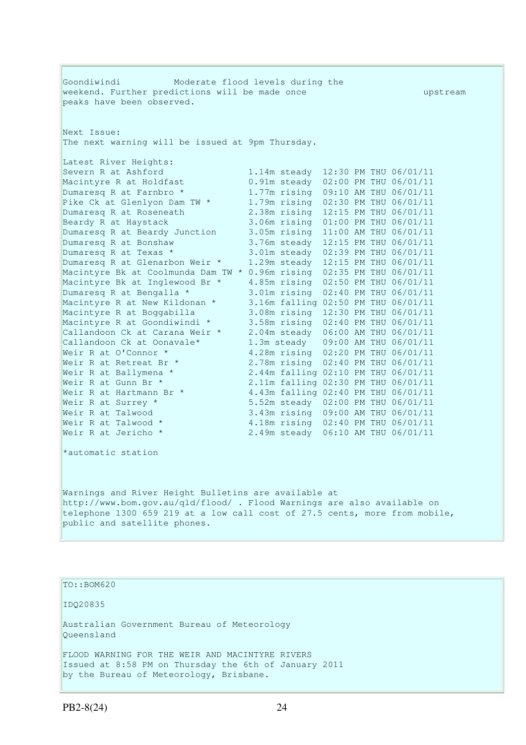Goondiwindi Moderate flood levels during the weekend. Further predictions will be made once with the upstream peaks have been observed. Next Issue: The next warning will be issued at 9pm Thursday. Latest River Heights: Severn R at Ashford 1.14m steady 12:30 PM THU 06/01/11 Macintyre R at Holdfast 0.91m steady 02:00 PM THU 06/01/11<br>Dumaresq R at Farnbro \* 1.77m rising 09:10 AM THU 06/01/11  $1.77m$  rising 09:10 AM THU 06/01/11 Pike Ck at Glenlyon Dam TW \* 1.79m rising 02:30 PM THU 06/01/11<br>Dumaresq R at Roseneath 2.38m rising 12:15 PM THU 06/01/11  $2.38$ m rising  $12:15$  PM THU 06/01/11 Beardy R at Haystack 3.06m rising 01:00 PM THU 06/01/11 Dumaresq R at Beardy Junction 3.05m rising 11:00 AM THU 06/01/11 Dumaresq R at Bonshaw 3.76m steady 12:15 PM THU 06/01/11 Dumaresq R at Texas \* 3.01m steady 02:39 PM THU 06/01/11 Dumaresq R at Glenarbon Weir \* 1.29m steady 12:15 PM THU 06/01/11 Macintyre Bk at Coolmunda Dam TW \* 0.96m rising 02:35 PM THU 06/01/11 Macintyre Bk at Inglewood Br \* 4.85m rising 02:50 PM THU 06/01/11 Dumaresq R at Bengalla \* 3.01m rising 02:40 PM THU 06/01/11 Macintyre R at New Kildonan \* 3.16m falling 02:50 PM THU 06/01/11 Macintyre R at Boggabilla 3.08m rising 12:30 PM THU 06/01/11 Macintyre R at Goondiwindi \* 3.58m rising 02:40 PM THU 06/01/11 Callandoon Ck at Carana Weir \* 2.04m steady 06:00 AM THU 06/01/11 Callandoon Ck at Oonavale\* 1.3m steady 09:00 AM THU 06/01/11 Weir R at O'Connor \* 4.28m rising 02:20 PM THU 06/01/11 Weir R at Retreat Br \* 2.78m rising 02:40 PM THU 06/01/11 Weir R at Ballymena \* 2.44m falling 02:10 PM THU 06/01/11 Weir R at Gunn Br \* 2.11m falling 02:30 PM THU 06/01/11 Weir R at Hartmann Br  $\star$  4.43m falling 02:40 PM THU 06/01/11 Weir R at Surrey \* 5.52m steady 02:00 PM THU 06/01/11 Weir R at Talwood 3.43m rising 09:00 AM THU 06/01/11 Weir R at Talwood \* 4.18m rising 02:40 PM THU 06/01/11 Weir R at Jericho \* 2.49m steady 06:10 AM THU 06/01/11 \*automatic station Warnings and River Height Bulletins are available at http://www.bom.gov.au/qld/flood/ . Flood Warnings are also available on telephone 1300 659 219 at a low call cost of 27.5 cents, more from mobile, public and satellite phones.

TO::BOM620 IDQ20835 Australian Government Bureau of Meteorology Queensland FLOOD WARNING FOR THE WEIR AND MACINTYRE RIVERS Issued at 8:58 PM on Thursday the 6th of January 2011 by the Bureau of Meteorology, Brisbane.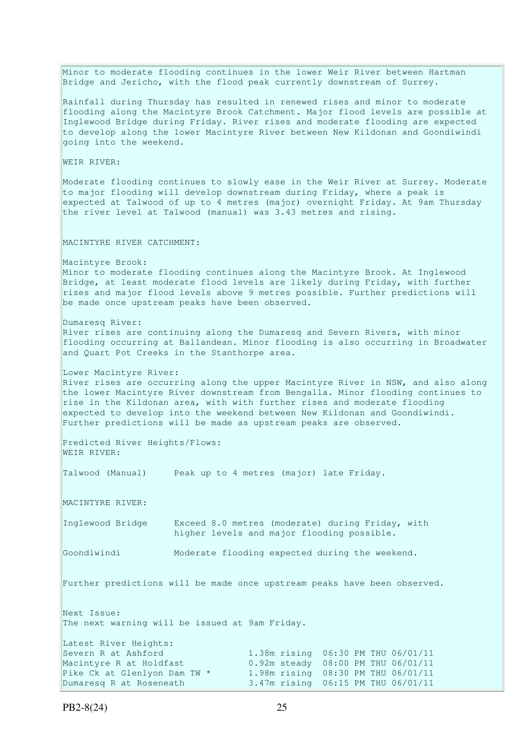Minor to moderate flooding continues in the lower Weir River between Hartman Bridge and Jericho, with the flood peak currently downstream of Surrey. Rainfall during Thursday has resulted in renewed rises and minor to moderate flooding along the Macintyre Brook Catchment. Major flood levels are possible at Inglewood Bridge during Friday. River rises and moderate flooding are expected to develop along the lower Macintyre River between New Kildonan and Goondiwindi going into the weekend. WEIR RIVER: Moderate flooding continues to slowly ease in the Weir River at Surrey. Moderate to major flooding will develop downstream during Friday, where a peak is expected at Talwood of up to 4 metres (major) overnight Friday. At 9am Thursday the river level at Talwood (manual) was 3.43 metres and rising. MACINTYRE RIVER CATCHMENT: Macintyre Brook: Minor to moderate flooding continues along the Macintyre Brook. At Inglewood Bridge, at least moderate flood levels are likely during Friday, with further rises and major flood levels above 9 metres possible. Further predictions will be made once upstream peaks have been observed. Dumaresq River: River rises are continuing along the Dumaresq and Severn Rivers, with minor flooding occurring at Ballandean. Minor flooding is also occurring in Broadwater and Quart Pot Creeks in the Stanthorpe area. Lower Macintyre River: River rises are occurring along the upper Macintyre River in NSW, and also along the lower Macintyre River downstream from Bengalla. Minor flooding continues to rise in the Kildonan area, with with further rises and moderate flooding expected to develop into the weekend between New Kildonan and Goondiwindi. Further predictions will be made as upstream peaks are observed. Predicted River Heights/Flows: WEIR RIVER: Talwood (Manual) Peak up to 4 metres (major) late Friday. MACINTYRE RIVER: Inglewood Bridge Exceed 8.0 metres (moderate) during Friday, with higher levels and major flooding possible. Goondiwindi Moderate flooding expected during the weekend. Further predictions will be made once upstream peaks have been observed. Next Issue: The next warning will be issued at 9am Friday. Latest River Heights: Severn R at Ashford 1.38m rising 06:30 PM THU 06/01/11<br>Macintyre R at Holdfast 0.92m steady 08:00 PM THU 06/01/11 0.92m steady 08:00 PM THU 06/01/11 Pike Ck at Glenlyon Dam TW \* 1.98m rising 08:30 PM THU 06/01/11 Dumaresq R at Roseneath 3.47m rising 06:15 PM THU 06/01/11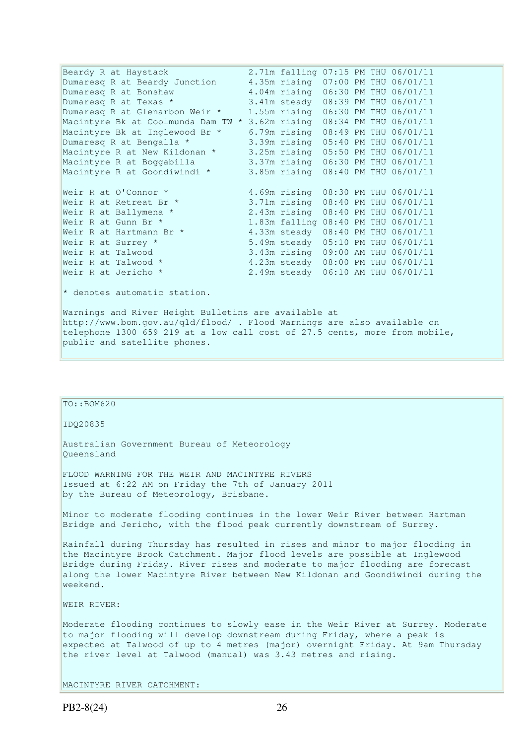Beardy R at Haystack 2.71m falling 07:15 PM THU 06/01/11 Dumaresq R at Beardy Junction 4.35m rising 07:00 PM THU 06/01/11 Dumaresq R at Bonshaw 4.04m rising 06:30 PM THU 06/01/11<br>
Dumaresq R at Texas \* 3.41m steady 08:39 PM THU 06/01/11 Dumaresq R at Texas \* 3.41m steady 08:39 PM THU 06/01/11 Dumaresq R at Glenarbon Weir \* 1.55m rising 06:30 PM THU 06/01/11 Macintyre Bk at Coolmunda Dam TW \* 3.62m rising 08:34 PM THU 06/01/11 Macintyre Bk at Inglewood Br \* 6.79m rising 08:49 PM THU 06/01/11 Dumaresq R at Bengalla \* 3.39m rising 05:40 PM THU 06/01/11 Macintyre R at New Kildonan \* 3.25m rising 05:50 PM THU 06/01/11 Macintyre R at Boggabilla 3.37m rising 06:30 PM THU 06/01/11 Macintyre R at Goondiwindi \* 3.85m rising 08:40 PM THU 06/01/11 Weir R at O'Connor \* 4.69m rising 08:30 PM THU 06/01/11<br>
Weir R at Retreat Br \* 3.71m rising 08:40 PM THU 06/01/11<br>
Weir R at Gunn Br \* 1.83m falling 08:40 PM THU 06/01/11 3.71m rising 08:40 PM THU 06/01/11<br>2.43m rising 08:40 PM THU 06/01/11 Weir R at Ballymena \* 2.43m rising 08:40 PM THU 06/01/11 Weir R at Gunn Br \* 1.83m falling 08:40 PM THU 06/01/11 Weir R at Hartmann Br \* 4.33m steady 08:40 PM THU 06/01/11 Weir R at Surrey \* 5.49m steady 05:10 PM THU 06/01/11 Weir R at Talwood 3.43m rising 09:00 AM THU 06/01/11 Weir R at Talwood \* 4.23m steady 08:00 PM THU 06/01/11 Weir R at Jericho \* 2.49m steady 06:10 AM THU 06/01/11  $*$  denotes automatic station. Warnings and River Height Bulletins are available at http://www.bom.gov.au/qld/flood/ . Flood Warnings are also available on telephone 1300 659 219 at a low call cost of 27.5 cents, more from mobile, public and satellite phones.

| TO::BOM620                                                                                                                                                                                                                                                                                                                                   |
|----------------------------------------------------------------------------------------------------------------------------------------------------------------------------------------------------------------------------------------------------------------------------------------------------------------------------------------------|
| ID020835                                                                                                                                                                                                                                                                                                                                     |
| Australian Government Bureau of Meteorology<br>Oueensland                                                                                                                                                                                                                                                                                    |
| FLOOD WARNING FOR THE WEIR AND MACINTYRE RIVERS<br>Issued at 6:22 AM on Friday the 7th of January 2011<br>by the Bureau of Meteorology, Brisbane.                                                                                                                                                                                            |
| Minor to moderate flooding continues in the lower Weir River between Hartman<br>Bridge and Jericho, with the flood peak currently downstream of Surrey.                                                                                                                                                                                      |
| Rainfall during Thursday has resulted in rises and minor to major flooding in<br>the Macintyre Brook Catchment. Major flood levels are possible at Inglewood<br>Bridge during Friday. River rises and moderate to major flooding are forecast<br>along the lower Macintyre River between New Kildonan and Goondiwindi during the<br>weekend. |
| WEIR RIVER:                                                                                                                                                                                                                                                                                                                                  |
| Moderate flooding continues to slowly ease in the Weir River at Surrey. Moderate<br>to major flooding will develop downstream during Friday, where a peak is<br>expected at Talwood of up to 4 metres (major) overnight Friday. At 9am Thursday<br>the river level at Talwood (manual) was 3.43 metres and rising.                           |
| MACINTYRE RIVER CATCHMENT:                                                                                                                                                                                                                                                                                                                   |
|                                                                                                                                                                                                                                                                                                                                              |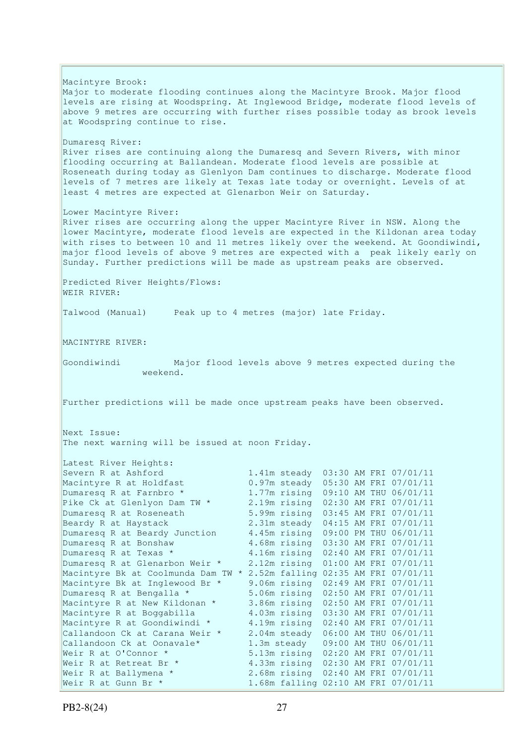Macintyre Brook: Major to moderate flooding continues along the Macintyre Brook. Major flood levels are rising at Woodspring. At Inglewood Bridge, moderate flood levels of above 9 metres are occurring with further rises possible today as brook levels at Woodspring continue to rise. Dumaresq River: River rises are continuing along the Dumaresq and Severn Rivers, with minor flooding occurring at Ballandean. Moderate flood levels are possible at Roseneath during today as Glenlyon Dam continues to discharge. Moderate flood levels of 7 metres are likely at Texas late today or overnight. Levels of at least 4 metres are expected at Glenarbon Weir on Saturday. Lower Macintyre River: River rises are occurring along the upper Macintyre River in NSW. Along the lower Macintyre, moderate flood levels are expected in the Kildonan area today with rises to between 10 and 11 metres likely over the weekend. At Goondiwindi, major flood levels of above 9 metres are expected with a peak likely early on Sunday. Further predictions will be made as upstream peaks are observed. Predicted River Heights/Flows: WEIR RIVER: Talwood (Manual) Peak up to 4 metres (major) late Friday. MACINTYRE RIVER: Goondiwindi Major flood levels above 9 metres expected during the weekend. Further predictions will be made once upstream peaks have been observed. Next Issue: The next warning will be issued at noon Friday. Latest River Heights: Severn R at Ashford 1.41m steady 03:30 AM FRI 07/01/11<br>
Macintyre R at Holdfast 0.97m steady 05:30 AM FRI 07/01/11<br>
Dumaresq R at Farnbro \* 1.77m rising 09:10 AM THU 06/01/11 Macintyre R at Holdfast 0.97m steady 05:30 AM FRI 07/01/11 Dumaresq R at Farnbro \* 1.77m rising 09:10 AM THU 06/01/11 Pike Ck at Glenlyon Dam TW \* 2.19m rising 02:30 AM FRI 07/01/11 Dumaresq R at Roseneath 5.99m rising 03:45 AM FRI 07/01/11 Beardy R at Haystack 2.31m steady 04:15 AM FRI 07/01/11 Dumaresq R at Beardy Junction 4.45m rising 09:00 PM THU 06/01/11 Dumaresq R at Bonshaw 4.68m rising 03:30 AM FRI 07/01/11 Dumaresq R at Texas \* 4.16m rising 02:40 AM FRI 07/01/11 Dumaresq R at Glenarbon Weir \* 2.12m rising 01:00 AM FRI 07/01/11 Macintyre Bk at Coolmunda Dam TW \* 2.52m falling 02:35 AM FRI 07/01/11 Macintyre Bk at Inglewood Br \* 9.06m rising 02:49 AM FRI 07/01/11 Dumaresq R at Bengalla \* 5.06m rising 02:50 AM FRI 07/01/11 Macintyre R at New Kildonan \* 3.86m rising 02:50 AM FRI 07/01/11 Macintyre R at Boggabilla 4.03m rising 03:30 AM FRI 07/01/11 Macintyre R at Goondiwindi \* 4.19m rising 02:40 AM FRI 07/01/11 Callandoon Ck at Carana Weir \* 2.04m steady 06:00 AM THU 06/01/11 Callandoon Ck at Oonavale\* 1.3m steady 09:00 AM THU 06/01/11 Weir R at O'Connor \* 5.13m rising 02:20 AM FRI 07/01/11 Weir R at Retreat Br \* 4.33m rising 02:30 AM FRI 07/01/11 Weir R at Ballymena \* 2.68m rising 02:40 AM FRI 07/01/11 Weir R at Gunn Br \* 1.68m falling 02:10 AM FRI 07/01/11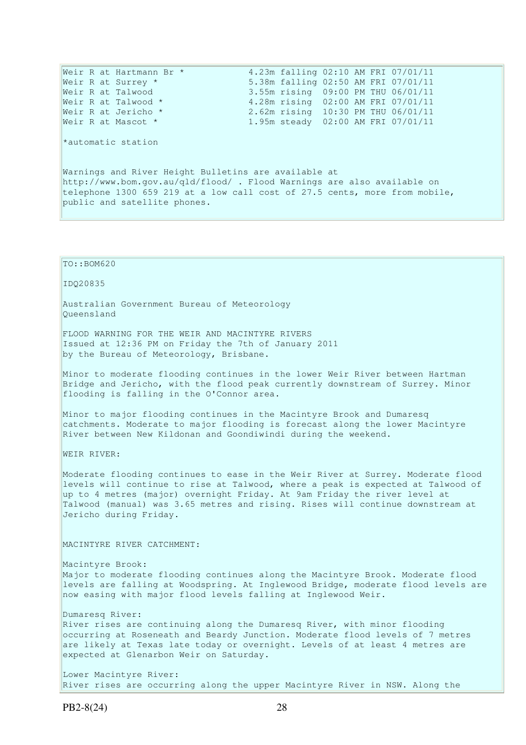Weir R at Hartmann Br \* 4.23m falling 02:10 AM FRI 07/01/11 Weir R at Surrey \* 5.38m falling 02:50 AM FRI 07/01/11 Weir R at Talwood 3.55m rising 09:00 PM THU 06/01/11 Weir R at Talwood \* 3.28m rising 02:00 AM FRI 07/01/11 Weir R at Jericho \* 2.62m rising 10:30 PM THU 06/01/11 Weir R at Mascot \* 1.95m steady 02:00 AM FRI 07/01/11 \*automatic station Warnings and River Height Bulletins are available at http://www.bom.gov.au/qld/flood/ . Flood Warnings are also available on telephone 1300 659 219 at a low call cost of 27.5 cents, more from mobile, public and satellite phones.

## IDQ20835 Australian Government Bureau of Meteorology Queensland FLOOD WARNING FOR THE WEIR AND MACINTYRE RIVERS Issued at 12:36 PM on Friday the 7th of January 2011 by the Bureau of Meteorology, Brisbane. Minor to moderate flooding continues in the lower Weir River between Hartman Bridge and Jericho, with the flood peak currently downstream of Surrey. Minor flooding is falling in the O'Connor area. Minor to major flooding continues in the Macintyre Brook and Dumaresq catchments. Moderate to major flooding is forecast along the lower Macintyre River between New Kildonan and Goondiwindi during the weekend. WEIR RIVER: Moderate flooding continues to ease in the Weir River at Surrey. Moderate flood levels will continue to rise at Talwood, where a peak is expected at Talwood of up to 4 metres (major) overnight Friday. At 9am Friday the river level at Talwood (manual) was 3.65 metres and rising. Rises will continue downstream at Jericho during Friday. MACINTYRE RIVER CATCHMENT: Macintyre Brook: Major to moderate flooding continues along the Macintyre Brook. Moderate flood levels are falling at Woodspring. At Inglewood Bridge, moderate flood levels are now easing with major flood levels falling at Inglewood Weir. Dumaresq River: River rises are continuing along the Dumaresq River, with minor flooding occurring at Roseneath and Beardy Junction. Moderate flood levels of 7 metres are likely at Texas late today or overnight. Levels of at least 4 metres are expected at Glenarbon Weir on Saturday. Lower Macintyre River:

River rises are occurring along the upper Macintyre River in NSW. Along the

TO::BOM620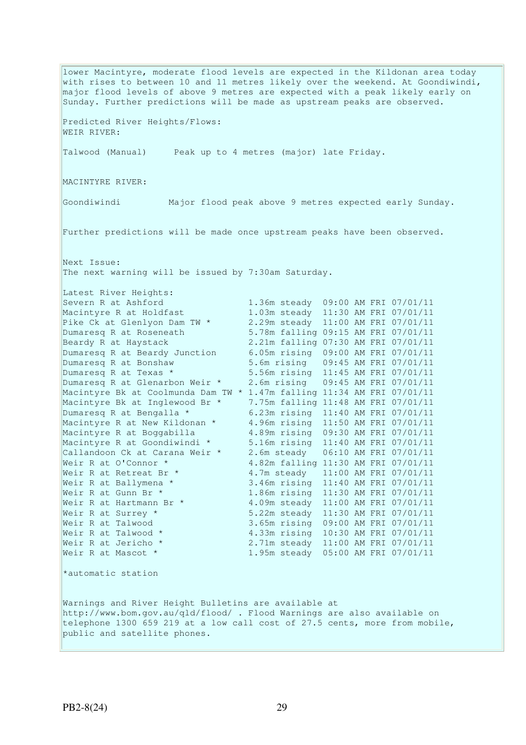lower Macintyre, moderate flood levels are expected in the Kildonan area today with rises to between 10 and 11 metres likely over the weekend. At Goondiwindi, major flood levels of above 9 metres are expected with a peak likely early on Sunday. Further predictions will be made as upstream peaks are observed. Predicted River Heights/Flows: WEIR RIVER: Talwood (Manual) Peak up to 4 metres (major) late Friday. MACINTYRE RIVER: Goondiwindi Major flood peak above 9 metres expected early Sunday. Further predictions will be made once upstream peaks have been observed. Next Issue: The next warning will be issued by 7:30am Saturday. Latest River Heights: Severn R at Ashford 1.36m steady 09:00 AM FRI 07/01/11<br>Macintyre R at Holdfast 1.03m steady 11:30 AM FRI 07/01/11 Macintyre R at Holdfast 1.03m steady 11:30 AM FRI 07/01/11 Pike Ck at Glenlyon Dam TW \* 2.29m steady 11:00 AM FRI 07/01/11 Dumaresq R at Roseneath 5.78m falling 09:15 AM FRI 07/01/11 Dumaresq R at Roseneath 5.78m falling 09:15 AM FRI 07/01/11<br>Beardy R at Haystack 2.21m falling 07:30 AM FRI 07/01/11 Dumaresq R at Beardy Junction 6.05m rising 09:00 AM FRI 07/01/11<br>Dumaresq R at Bonshaw 5.6m rising 09:45 AM FRI 07/01/11 5.6m rising 09:45 AM FRI 07/01/11 Dumaresq R at Texas \* 5.56m rising 11:45 AM FRI 07/01/11 Dumaresq R at Glenarbon Weir \* 2.6m rising 09:45 AM FRI 07/01/11 Macintyre Bk at Coolmunda Dam TW \* 1.47m falling 11:34 AM FRI 07/01/11 Macintyre Bk at Inglewood Br \*  $7.75$ m falling 11:48 AM FRI 07/01/11<br>Dumaresq R at Bengalla \* 6.23m rising 11:40 AM FRI 07/01/11 Dumaresq R at Bengalla \* 6.23m rising 11:40 AM FRI 07/01/11 Macintyre R at New Kildonan \* 4.96m rising 11:50 AM FRI 07/01/11 Macintyre R at Boggabilla 4.89m rising 09:30 AM FRI 07/01/11 Macintyre R at Goondiwindi \* 5.16m rising 11:40 AM FRI 07/01/11 Callandoon Ck at Carana Weir \* 2.6m steady 06:10 AM FRI 07/01/11 Weir R at O'Connor \* 4.82m falling 11:30 AM FRI 07/01/11 Weir R at Retreat Br \* 4.7m steady 11:00 AM FRI 07/01/11<br>Weir R at Ballymena \* 3.46m rising 11:40 AM FRI 07/01/11 3.46m rising 11:40 AM FRI 07/01/11 Weir R at Gunn Br \* 1.86m rising 11:30 AM FRI 07/01/11 Weir R at Hartmann Br \* 4.09m steady 11:00 AM FRI 07/01/11 Weir R at Surrey \* 5.22m steady 11:30 AM FRI 07/01/11 Weir R at Talwood 3.65m rising 09:00 AM FRI 07/01/11 Weir R at Talwood \* 4.33m rising 10:30 AM FRI 07/01/11 Weir R at Jericho \* 2.71m steady 11:00 AM FRI 07/01/11 Weir R at Mascot \* 1.95m steady 05:00 AM FRI 07/01/11 \*automatic station Warnings and River Height Bulletins are available at http://www.bom.gov.au/qld/flood/ . Flood Warnings are also available on telephone 1300 659 219 at a low call cost of 27.5 cents, more from mobile, public and satellite phones.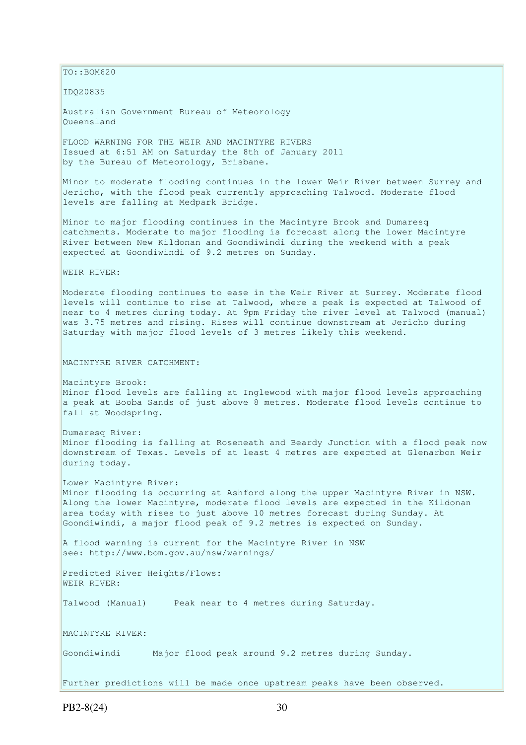$\vert$ TO::BOM620

IDQ20835

Australian Government Bureau of Meteorology Queensland

FLOOD WARNING FOR THE WEIR AND MACINTYRE RIVERS Issued at 6:51 AM on Saturday the 8th of January 2011 by the Bureau of Meteorology, Brisbane.

Minor to moderate flooding continues in the lower Weir River between Surrey and Jericho, with the flood peak currently approaching Talwood. Moderate flood levels are falling at Medpark Bridge.

Minor to major flooding continues in the Macintyre Brook and Dumaresq catchments. Moderate to major flooding is forecast along the lower Macintyre River between New Kildonan and Goondiwindi during the weekend with a peak expected at Goondiwindi of 9.2 metres on Sunday.

WEIR RIVER:

Moderate flooding continues to ease in the Weir River at Surrey. Moderate flood levels will continue to rise at Talwood, where a peak is expected at Talwood of near to 4 metres during today. At 9pm Friday the river level at Talwood (manual) was 3.75 metres and rising. Rises will continue downstream at Jericho during Saturday with major flood levels of 3 metres likely this weekend.

MACINTYRE RIVER CATCHMENT:

Macintyre Brook: Minor flood levels are falling at Inglewood with major flood levels approaching a peak at Booba Sands of just above 8 metres. Moderate flood levels continue to fall at Woodspring.

Dumaresq River: Minor flooding is falling at Roseneath and Beardy Junction with a flood peak now downstream of Texas. Levels of at least 4 metres are expected at Glenarbon Weir during today.

Lower Macintyre River: Minor flooding is occurring at Ashford along the upper Macintyre River in NSW. Along the lower Macintyre, moderate flood levels are expected in the Kildonan area today with rises to just above 10 metres forecast during Sunday. At Goondiwindi, a major flood peak of 9.2 metres is expected on Sunday.

A flood warning is current for the Macintyre River in NSW see: http://www.bom.gov.au/nsw/warnings/

Predicted River Heights/Flows: WEIR RIVER:

Talwood (Manual) Peak near to 4 metres during Saturday.

MACINTYRE RIVER:

Goondiwindi Major flood peak around 9.2 metres during Sunday.

Further predictions will be made once upstream peaks have been observed.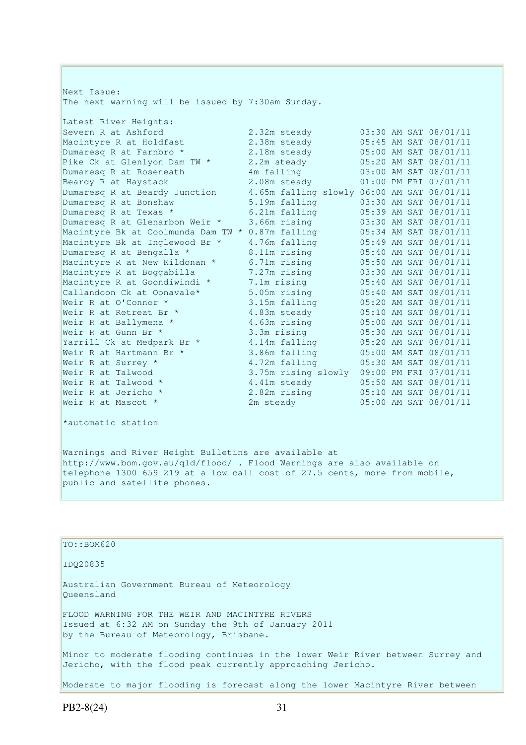Next Issue: The next warning will be issued by 7:30am Sunday. Latest River Heights: Severn R at Ashford 2.32m steady 03:30 AM SAT 08/01/11 Macintyre R at Holdfast 2.38m steady 05:45 AM SAT 08/01/11 Dumaresq R at Farnbro \* 2.38m steady<br>
Pike Ck at Glenlyon Dam TW \* 2.2m steady<br>
Dumaresq R at Roseneath 4m falling Pike Ck at Glenlyon Dam TW \* 2.2m steady 05:20 AM SAT 08/01/11<br>Dumaresq R at Roseneath 4m falling 03:00 AM SAT 08/01/11 Dumaresq R at Roseneath 4m falling 03:00 AM SAT 08/01/11<br>Beardy R at Haystack 2.08m steady 01:00 PM FRI 07/01/11 Beardy R at Haystack 2.08m steady 01:00 PM FRI 07/01/11 Dumaresq R at Beardy Junction 4.65m falling slowly 06:00 AM SAT 08/01/11 Dumaresq R at Bonshaw 5.19m falling 03:30 AM SAT 08/01/11 Dumaresq R at Texas \* 6.21m falling 05:39 AM SAT 08/01/11 Dumaresq R at Glenarbon Weir \* 3.66m rising 03:30 AM SAT 08/01/11 Macintyre Bk at Coolmunda Dam TW \* 0.87m falling 05:34 AM SAT 08/01/11 Macintyre Bk at Inglewood Br \* 4.76m falling 05:49 AM SAT 08/01/11 Dumaresq R at Bengalla \* 8.11m rising 05:40 AM SAT 08/01/11 Macintyre R at New Kildonan \* 6.71m rising 05:50 AM SAT 08/01/11 Macintyre R at Boggabilla 7.27m rising 03:30 AM SAT 08/01/11 Macintyre R at Goondiwindi \* 7.1m rising 05:40 AM SAT 08/01/11 Callandoon Ck at Oonavale\*  $5.05$ m rising  $05:40$  AM SAT  $08/01/11$ Weir R at O'Connor \* 3.15m falling 05:20 AM SAT 08/01/11 Weir R at Retreat Br \* 4.83m steady 05:10 AM SAT 08/01/11 Weir R at Ballymena \* 4.63m rising 05:00 AM SAT 08/01/11 Weir R at Gunn Br \* 3.3m rising 05:30 AM SAT 08/01/11 Yarrill Ck at Medpark Br \* 4.14m falling 05:20 AM SAT 08/01/11 Weir R at Hartmann Br  $\star$  3.86m falling 05:00 AM SAT 08/01/11 Weir R at Surrey \* 4.72m falling 05:30 AM SAT 08/01/11 Weir R at Talwood 3.75m rising slowly 09:00 PM FRI 07/01/11 Weir R at Talwood \* 4.41m steady 05:50 AM SAT 08/01/11 Weir R at Jericho \* 2.82m rising 05:10 AM SAT 08/01/11 Weir R at Mascot \* 2m steady 05:00 AM SAT 08/01/11

\*automatic station

Warnings and River Height Bulletins are available at http://www.bom.gov.au/qld/flood/ . Flood Warnings are also available on telephone 1300 659 219 at a low call cost of 27.5 cents, more from mobile, public and satellite phones.

| $TO: BOM620$                                                                                                                                      |
|---------------------------------------------------------------------------------------------------------------------------------------------------|
| ID020835                                                                                                                                          |
| Australian Government Bureau of Meteorology<br>Oueensland                                                                                         |
| FLOOD WARNING FOR THE WEIR AND MACINTYRE RIVERS<br>Issued at 6:32 AM on Sunday the 9th of January 2011<br>by the Bureau of Meteorology, Brisbane. |
| Minor to moderate flooding continues in the lower Weir River between Surrey and<br>Jericho, with the flood peak currently approaching Jericho.    |
| Moderate to major flooding is forecast along the lower Macintyre River between                                                                    |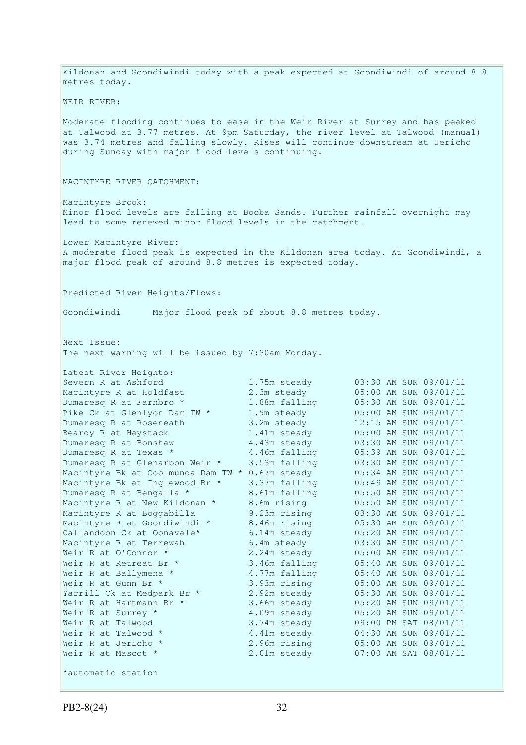Kildonan and Goondiwindi today with a peak expected at Goondiwindi of around 8.8 metres today. WEIR RIVER: Moderate flooding continues to ease in the Weir River at Surrey and has peaked at Talwood at 3.77 metres. At 9pm Saturday, the river level at Talwood (manual) was 3.74 metres and falling slowly. Rises will continue downstream at Jericho during Sunday with major flood levels continuing. MACINTYRE RIVER CATCHMENT: Macintyre Brook: Minor flood levels are falling at Booba Sands. Further rainfall overnight may lead to some renewed minor flood levels in the catchment. Lower Macintyre River: A moderate flood peak is expected in the Kildonan area today. At Goondiwindi, a major flood peak of around 8.8 metres is expected today. Predicted River Heights/Flows: Goondiwindi Major flood peak of about 8.8 metres today. Next Issue: The next warning will be issued by 7:30am Monday. Latest River Heights: Severn R at Ashford 1.75m steady 03:30 AM SUN 09/01/11 Macintyre R at Holdfast 2.3m steady 05:00 AM SUN 09/01/11 Dumaresq R at Farnbro \* 1.88m falling 05:30 AM SUN 09/01/11 Pike Ck at Glenlyon Dam TW \* 1.9m steady 05:00 AM SUN 09/01/11 Dumaresq R at Roseneath 3.2m steady 12:15 AM SUN 09/01/11 Beardy R at Haystack 1.41m steady 05:00 AM SUN 09/01/11 Dumaresq R at Bonshaw 4.43m steady 03:30 AM SUN 09/01/11 Dumaresq R at Texas  $*$  4.46m falling 05:39 AM SUN 09/01/11 Dumaresq R at Glenarbon Weir \* 3.53m falling 03:30 AM SUN 09/01/11 Macintyre Bk at Coolmunda Dam TW \* 0.67m steady 05:34 AM SUN 09/01/11 Macintyre Bk at Inglewood Br \* 3.37m falling 05:49 AM SUN 09/01/11 Dumaresq R at Bengalla \* 8.61m falling 05:50 AM SUN 09/01/11 Macintyre R at New Kildonan \* 8.6m rising 05:50 AM SUN 09/01/11 Macintyre R at Boggabilla 9.23m rising 03:30 AM SUN 09/01/11 Macintyre R at Goondiwindi \* 8.46m rising 05:30 AM SUN 09/01/11 Callandoon Ck at Oonavale\*  $6.14$ m steady  $0.5:20$  AM SUN 09/01/11 Macintyre R at Terrewah 6.4m steady 03:30 AM SUN 09/01/11 Weir R at O'Connor \* 2.24m steady 05:00 AM SUN 09/01/11 Weir R at Retreat Br \* 3.46m falling 05:40 AM SUN 09/01/11 Weir R at Ballymena \* 1.77m falling 1.85:40 AM SUN 09/01/11 Weir R at Gunn Br \* 3.93m rising 05:00 AM SUN 09/01/11 Yarrill Ck at Medpark Br \* 2.92m steady 05:30 AM SUN 09/01/11 Weir R at Hartmann Br \* 3.66m steady 05:20 AM SUN 09/01/11 Weir R at Surrey  $*$  4.09m steady 05:20 AM SUN 09/01/11 Weir R at Talwood 3.74m steady 09:00 PM SAT 08/01/11 Weir R at Talwood  $\star$  4.41m steady 04:30 AM SUN 09/01/11 Weir R at Jericho \* 2.96m rising 05:00 AM SUN 09/01/11 Weir R at Mascot  $\star$  2.01m steady 07:00 AM SAT 08/01/11 \*automatic station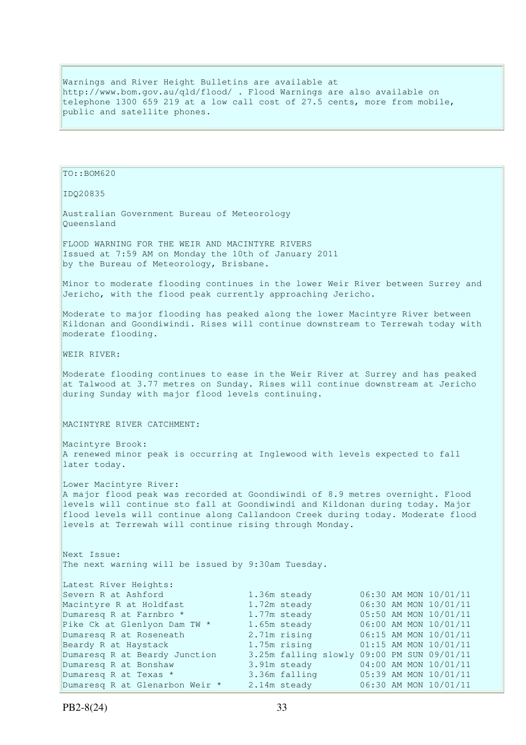Warnings and River Height Bulletins are available at http://www.bom.gov.au/qld/flood/ . Flood Warnings are also available on telephone 1300 659 219 at a low call cost of 27.5 cents, more from mobile, public and satellite phones.

TO::BOM620 IDQ20835 Australian Government Bureau of Meteorology Queensland FLOOD WARNING FOR THE WEIR AND MACINTYRE RIVERS Issued at 7:59 AM on Monday the 10th of January 2011 by the Bureau of Meteorology, Brisbane. Minor to moderate flooding continues in the lower Weir River between Surrey and Jericho, with the flood peak currently approaching Jericho. Moderate to major flooding has peaked along the lower Macintyre River between Kildonan and Goondiwindi. Rises will continue downstream to Terrewah today with moderate flooding. WEIR RIVER: Moderate flooding continues to ease in the Weir River at Surrey and has peaked at Talwood at 3.77 metres on Sunday. Rises will continue downstream at Jericho during Sunday with major flood levels continuing. MACINTYRE RIVER CATCHMENT: Macintyre Brook: A renewed minor peak is occurring at Inglewood with levels expected to fall later today. Lower Macintyre River: A major flood peak was recorded at Goondiwindi of 8.9 metres overnight. Flood levels will continue sto fall at Goondiwindi and Kildonan during today. Major flood levels will continue along Callandoon Creek during today. Moderate flood levels at Terrewah will continue rising through Monday. Next Issue: The next warning will be issued by 9:30am Tuesday. Latest River Heights:<br>Severn R at Ashford 1.36m steady 06:30 AM MON 10/01/11<br>1.72m steady 06:30 AM MON 10/01/11 Macintyre R at Holdfast Dumaresq R at Farnbro \* 1.77m steady 05:50 AM MON 10/01/11<br>Pike Ck at Glenlyon Dam TW \* 1.65m steady 06:00 AM MON 10/01/11 Pike Ck at Glenlyon Dam TW \*<br>Dumaresq R at Roseneath Dumaresq R at Roseneath 2.71m rising 06:15 AM MON 10/01/11 Beardy R at Haystack 1.75m rising 01:15 AM MON 10/01/11 Beardy R at Haystack<br>
Dumaresq R at Beardy Junction 3.25m falling slowly 09:00 PM SUN 09/01/11<br>
Dumaresq R at Bonshaw 3.91m steady 04:00 AM MON 10/01/11 Dumaresq R at Bonshaw 3.91m steady 04:00 AM MON 10/01/11 Dumaresq R at Texas \* 3.36m falling 05:39 AM MON 10/01/11 Dumaresq R at Glenarbon Weir \* 2.14m steady 06:30 AM MON 10/01/11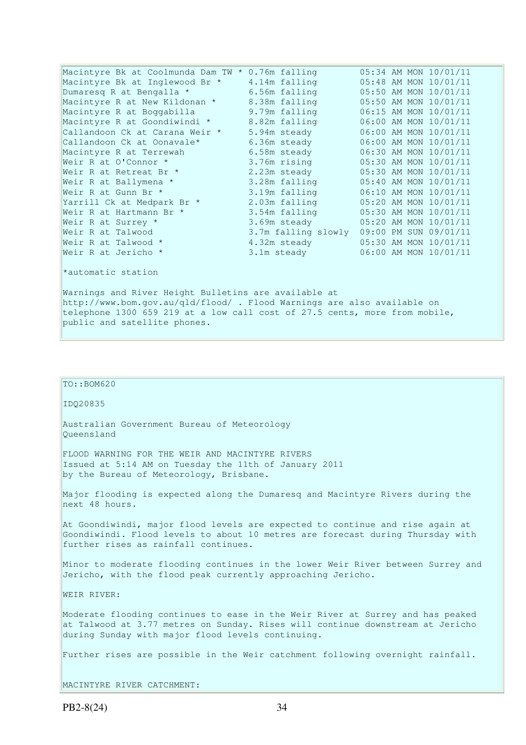| Macintyre Bk at Coolmunda Dam TW * 0.76m falling                           |               | 05:34 AM MON 10/01/11                     |  |  |  |
|----------------------------------------------------------------------------|---------------|-------------------------------------------|--|--|--|
| Macintyre Bk at Inglewood Br *                                             | 4.14m falling | 05:48 AM MON 10/01/11                     |  |  |  |
| Dumaresq R at Bengalla *                                                   | 6.56m falling | 05:50 AM MON 10/01/11                     |  |  |  |
| Macintyre R at New Kildonan *                                              | 8.38m falling | 05:50 AM MON 10/01/11                     |  |  |  |
| Macintyre R at Boggabilla                                                  | 9.79m falling | 06:15 AM MON 10/01/11                     |  |  |  |
| Macintyre R at Goondiwindi *                                               | 8.82m falling | 06:00 AM MON 10/01/11                     |  |  |  |
| Callandoon Ck at Carana Weir *                                             | 5.94m steady  | 06:00 AM MON 10/01/11                     |  |  |  |
| Callandoon Ck at Oonavale*                                                 | 6.36m steady  | 06:00 AM MON 10/01/11                     |  |  |  |
| Macintyre R at Terrewah                                                    | 6.58m steady  | 06:30 AM MON 10/01/11                     |  |  |  |
| Weir R at O'Connor *                                                       | 3.76m rising  | 05:30 AM MON 10/01/11                     |  |  |  |
| Weir R at Retreat Br *                                                     | 2.23m steady  | 05:30 AM MON 10/01/11                     |  |  |  |
| Weir R at Ballymena *                                                      | 3.28m falling | 05:40 AM MON 10/01/11                     |  |  |  |
| Weir R at Gunn Br *                                                        | 3.19m falling | 06:10 AM MON 10/01/11                     |  |  |  |
| Yarrill Ck at Medpark Br *                                                 | 2.03m falling | 05:20 AM MON 10/01/11                     |  |  |  |
| Weir R at Hartmann Br *                                                    | 3.54m falling | 05:30 AM MON 10/01/11                     |  |  |  |
| Weir R at Surrey *                                                         | 3.69m steady  | 05:20 AM MON 10/01/11                     |  |  |  |
| Weir R at Talwood                                                          |               | 3.7m falling slowly 09:00 PM SUN 09/01/11 |  |  |  |
| Weir R at Talwood *                                                        | 4.32m steady  | 05:30 AM MON 10/01/11                     |  |  |  |
| Weir R at Jericho *                                                        | 3.1m steady   | 06:00 AM MON 10/01/11                     |  |  |  |
| *automatic station                                                         |               |                                           |  |  |  |
| Warnings and River Height Bulletins are available at                       |               |                                           |  |  |  |
| http://www.bom.gov.au/qld/flood/ . Flood Warnings are also available on    |               |                                           |  |  |  |
| telephone 1300 659 219 at a low call cost of 27.5 cents, more from mobile, |               |                                           |  |  |  |
| public and satellite phones.                                               |               |                                           |  |  |  |

```
TO::BOM620
```
IDQ20835

Australian Government Bureau of Meteorology Queensland

FLOOD WARNING FOR THE WEIR AND MACINTYRE RIVERS Issued at 5:14 AM on Tuesday the 11th of January 2011 by the Bureau of Meteorology, Brisbane.

Major flooding is expected along the Dumaresq and Macintyre Rivers during the next 48 hours.

At Goondiwindi, major flood levels are expected to continue and rise again at Goondiwindi. Flood levels to about 10 metres are forecast during Thursday with further rises as rainfall continues.

Minor to moderate flooding continues in the lower Weir River between Surrey and Jericho, with the flood peak currently approaching Jericho.

WEIR RIVER:

Moderate flooding continues to ease in the Weir River at Surrey and has peaked at Talwood at 3.77 metres on Sunday. Rises will continue downstream at Jericho during Sunday with major flood levels continuing.

Further rises are possible in the Weir catchment following overnight rainfall.

MACINTYRE RIVER CATCHMENT: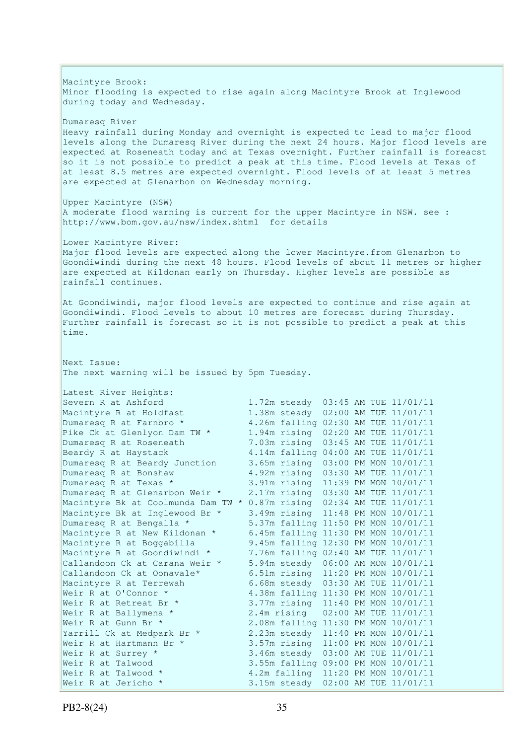Macintyre Brook: Minor flooding is expected to rise again along Macintyre Brook at Inglewood during today and Wednesday. Dumaresq River Heavy rainfall during Monday and overnight is expected to lead to major flood levels along the Dumaresq River during the next 24 hours. Major flood levels are expected at Roseneath today and at Texas overnight. Further rainfall is foreacst so it is not possible to predict a peak at this time. Flood levels at Texas of at least 8.5 metres are expected overnight. Flood levels of at least 5 metres are expected at Glenarbon on Wednesday morning. Upper Macintyre (NSW) A moderate flood warning is current for the upper Macintyre in NSW. see : http://www.bom.gov.au/nsw/index.shtml for details Lower Macintyre River: Major flood levels are expected along the lower Macintyre.from Glenarbon to Goondiwindi during the next 48 hours. Flood levels of about 11 metres or higher are expected at Kildonan early on Thursday. Higher levels are possible as rainfall continues. At Goondiwindi, major flood levels are expected to continue and rise again at Goondiwindi. Flood levels to about 10 metres are forecast during Thursday. Further rainfall is forecast so it is not possible to predict a peak at this time. Next Issue: The next warning will be issued by 5pm Tuesday. Latest River Heights:<br>Severn R at Ashford 1.72m steady 03:45 AM TUE 11/01/11 Macintyre R at Holdfast 1.38m steady 02:00 AM TUE 11/01/11<br>Dumaresq R at Farnbro \* 4.26m falling 02:30 AM TUE 11/01/11 Dumaresq R at Farnbro \* 4.26m falling 02:30 AM TUE 11/01/11 Pike Ck at Glenlyon Dam TW \* 1.94m rising 02:20 AM TUE 11/01/11 Pike Ck at Glenlyon Dam Iw (2008) 1.2.1 1.2.1 (2018) 1.45 AM TUE 11/01/11<br>Dumaresq R at Roseneath (2008) 2.14m falling 04:00 AM TUE 11/01/11 4.14m falling 04:00 AM TUE 11/01/11 Dumaresq R at Beardy Junction 3.65m rising 03:00 PM MON 10/01/11<br>Dumaresq R at Bonshaw 4.92m rising 03:30 AM TUE 11/01/11 4.92m rising 03:30 AM TUE 11/01/11 Dumaresq R at Texas \* 3.91m rising 11:39 PM MON 10/01/11 Dumaresq R at Glenarbon Weir \* 2.17m rising 03:30 AM TUE 11/01/11 Macintyre Bk at Coolmunda Dam TW \* 0.87m rising 02:34 AM TUE 11/01/11 Macintyre Bk at Inglewood Br \* 3.49m rising 11:48 PM MON 10/01/11 Dumaresq R at Bengalla \* 5.37m falling 11:50 PM MON 10/01/11 Macintyre R at New Kildonan \* 6.45m falling 11:30 PM MON 10/01/11 Macintyre R at Boggabilla 9.45m falling 12:30 PM MON 10/01/11 Macintyre R at Goondiwindi \* 7.76m falling 02:40 AM TUE 11/01/11 Callandoon Ck at Carana Weir \* 5.94m steady 06:00 AM MON 10/01/11 Callandoon Ck at Oonavale\* 6.51m rising 11:20 PM MON 10/01/11 Macintyre R at Terrewah 6.68m steady 03:30 AM TUE 11/01/11 Weir R at O'Connor \* 4.38m falling 11:30 PM MON 10/01/11 Weir R at Retreat Br \* 3.77m rising 11:40 PM MON 10/01/11<br>Weir R at Ballymena \* 2.4m rising 02:00 AM TUE 11/01/11 Weir R at Ballymena \* 2.4m rising 02:00 AM TUE 11/01/11 Weir R at Gunn Br \* 2.08m falling 11:30 PM MON 10/01/11 Yarrill Ck at Medpark Br \* 2.23m steady 11:40 PM MON 10/01/11 Weir R at Hartmann Br \* 3.57m rising 11:00 PM MON 10/01/11 Weir R at Surrey \* 3.46m steady 03:00 AM TUE 11/01/11 Weir R at Talwood 3.55m falling 09:00 PM MON 10/01/11 Weir R at Talwood \* 4.2m falling 11:20 PM MON 10/01/11 Weir R at Jericho \* 3.15m steady 02:00 AM TUE 11/01/11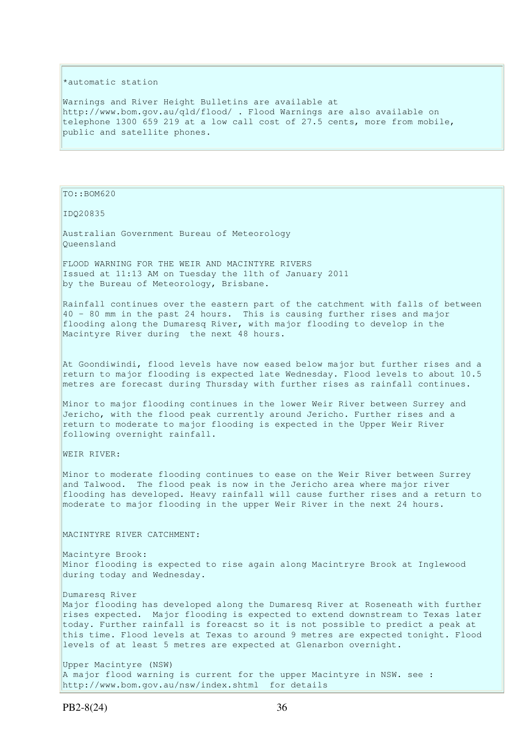#### \*automatic station

Warnings and River Height Bulletins are available at http://www.bom.gov.au/qld/flood/ . Flood Warnings are also available on telephone 1300 659 219 at a low call cost of 27.5 cents, more from mobile, public and satellite phones.

TO::BOM620

IDQ20835

Australian Government Bureau of Meteorology Queensland

FLOOD WARNING FOR THE WEIR AND MACINTYRE RIVERS Issued at 11:13 AM on Tuesday the 11th of January 2011 by the Bureau of Meteorology, Brisbane.

Rainfall continues over the eastern part of the catchment with falls of between  $40$  - 80 mm in the past 24 hours. This is causing further rises and major flooding along the Dumaresq River, with major flooding to develop in the Macintyre River during the next 48 hours.

At Goondiwindi, flood levels have now eased below major but further rises and a return to major flooding is expected late Wednesday. Flood levels to about 10.5 metres are forecast during Thursday with further rises as rainfall continues.

Minor to major flooding continues in the lower Weir River between Surrey and Jericho, with the flood peak currently around Jericho. Further rises and a return to moderate to major flooding is expected in the Upper Weir River following overnight rainfall.

WEIR RIVER:

Minor to moderate flooding continues to ease on the Weir River between Surrey and Talwood. The flood peak is now in the Jericho area where major river flooding has developed. Heavy rainfall will cause further rises and a return to moderate to major flooding in the upper Weir River in the next 24 hours.

MACINTYRE RIVER CATCHMENT:

Macintyre Brook: Minor flooding is expected to rise again along Macintryre Brook at Inglewood during today and Wednesday.

Dumaresq River Major flooding has developed along the Dumaresq River at Roseneath with further rises expected. Major flooding is expected to extend downstream to Texas later today. Further rainfall is foreacst so it is not possible to predict a peak at this time. Flood levels at Texas to around 9 metres are expected tonight. Flood levels of at least 5 metres are expected at Glenarbon overnight.

Upper Macintyre (NSW) A major flood warning is current for the upper Macintyre in NSW. see : http://www.bom.gov.au/nsw/index.shtml for details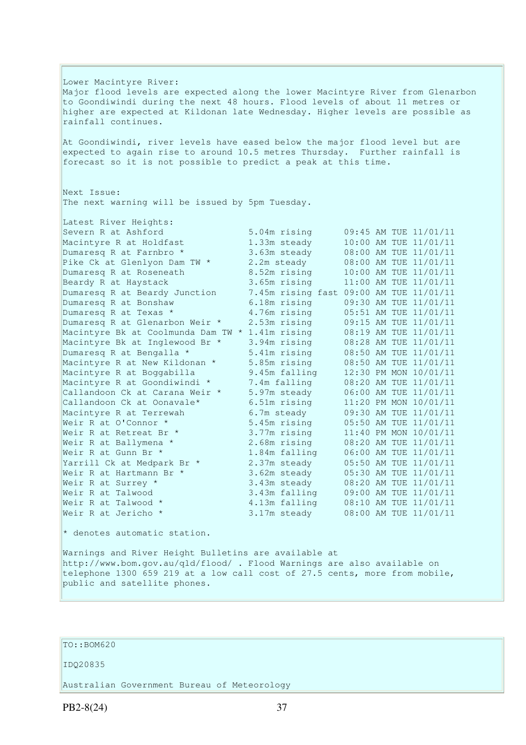Lower Macintyre River: Major flood levels are expected along the lower Macintyre River from Glenarbon to Goondiwindi during the next 48 hours. Flood levels of about 11 metres or higher are expected at Kildonan late Wednesday. Higher levels are possible as rainfall continues. At Goondiwindi, river levels have eased below the major flood level but are expected to again rise to around 10.5 metres Thursday. Further rainfall is forecast so it is not possible to predict a peak at this time. Next Issue: The next warning will be issued by 5pm Tuesday. Latest River Heights: Severn R at Ashford 5.04m rising 09:45 AM TUE 11/01/11 Macintyre R at Holdfast 1.33m steady 10:00 AM TUE 11/01/11 Dumaresq R at Farnbro \* 3.63m steady 08:00 AM TUE 11/01/11 Pike Ck at Glenlyon Dam TW \* 2.2m steady 08:00 AM TUE 11/01/11 Dumaresq R at Roseneath 8.52m rising 10:00 AM TUE 11/01/11 Beardy R at Haystack 3.65m rising 11:00 AM TUE 11/01/11 Dumaresq R at Beardy Junction 7.45m rising fast 09:00 AM TUE 11/01/11 Dumaresq R at Bonshaw 6.18m rising 09:30 AM TUE 11/01/11 Dumaresq R at Texas \* 4.76m rising 05:51 AM TUE 11/01/11 Dumaresq R at Glenarbon Weir \* 2.53m rising 09:15 AM TUE 11/01/11 Macintyre Bk at Coolmunda Dam TW \* 1.41m rising 08:19 AM TUE 11/01/11 Macintyre Bk at Inglewood Br \* 3.94m rising 08:28 AM TUE 11/01/11 Dumaresq R at Bengalla \* 5.41m rising 08:50 AM TUE 11/01/11 Macintyre R at New Kildonan \* 5.85m rising 08:50 AM TUE 11/01/11 Macintyre R at Boggabilla 9.45m falling 12:30 PM MON 10/01/11 Macintyre R at Goondiwindi \* 7.4m falling 08:20 AM TUE 11/01/11 Callandoon Ck at Carana Weir  $*$  5.97m steady 06:00 AM TUE 11/01/11 Callandoon Ck at Oonavale\* 6.51m rising 11:20 PM MON 10/01/11 Macintyre R at Terrewah 6.7m steady 09:30 AM TUE 11/01/11 Weir R at O'Connor \* 5.45m rising 05:50 AM TUE 11/01/11 Weir R at Retreat Br \* 3.77m rising 11:40 PM MON 10/01/11 Weir R at Ballymena \* 2.68m rising 08:20 AM TUE 11/01/11 Weir R at Gunn Br \* 1.84m falling 06:00 AM TUE 11/01/11 Yarrill Ck at Medpark Br \* 2.37m steady 05:50 AM TUE 11/01/11 Weir R at Hartmann Br  $\star$  3.62m steady 05:30 AM TUE 11/01/11 Weir R at Surrey  $*$  3.43m steady 08:20 AM TUE 11/01/11 Weir R at Talwood 3.43m falling 09:00 AM TUE 11/01/11 Weir R at Talwood \* 4.13m falling 08:10 AM TUE 11/01/11 Weir R at Jericho \* 3.17m steady 08:00 AM TUE 11/01/11  $*$  denotes automatic station. Warnings and River Height Bulletins are available at http://www.bom.gov.au/qld/flood/ . Flood Warnings are also available on telephone 1300 659 219 at a low call cost of 27.5 cents, more from mobile,

## TO::BOM620

public and satellite phones.

#### IDQ20835

Australian Government Bureau of Meteorology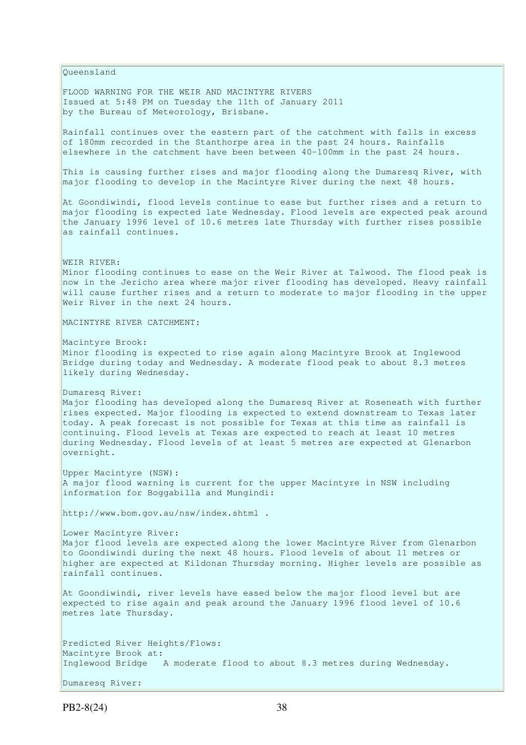Queensland FLOOD WARNING FOR THE WEIR AND MACINTYRE RIVERS Issued at 5:48 PM on Tuesday the 11th of January 2011 by the Bureau of Meteorology, Brisbane. Rainfall continues over the eastern part of the catchment with falls in excess of 180mm recorded in the Stanthorpe area in the past 24 hours. Rainfalls elsewhere in the catchment have been between 40-100mm in the past 24 hours. This is causing further rises and major flooding along the Dumaresq River, with major flooding to develop in the Macintyre River during the next 48 hours. At Goondiwindi, flood levels continue to ease but further rises and a return to major flooding is expected late Wednesday. Flood levels are expected peak around the January 1996 level of 10.6 metres late Thursday with further rises possible as rainfall continues. WEIR RIVER: Minor flooding continues to ease on the Weir River at Talwood. The flood peak is now in the Jericho area where major river flooding has developed. Heavy rainfall will cause further rises and a return to moderate to major flooding in the upper Weir River in the next 24 hours. MACINTYRE RIVER CATCHMENT: Macintyre Brook: Minor flooding is expected to rise again along Macintyre Brook at Inglewood Bridge during today and Wednesday. A moderate flood peak to about 8.3 metres likely during Wednesday. Dumaresq River: Major flooding has developed along the Dumaresq River at Roseneath with further rises expected. Major flooding is expected to extend downstream to Texas later today. A peak forecast is not possible for Texas at this time as rainfall is continuing. Flood levels at Texas are expected to reach at least 10 metres during Wednesday. Flood levels of at least 5 metres are expected at Glenarbon overnight. Upper Macintyre (NSW): A major flood warning is current for the upper Macintyre in NSW including information for Boggabilla and Mungindi: http://www.bom.gov.au/nsw/index.shtml . Lower Macintyre River: Major flood levels are expected along the lower Macintyre River from Glenarbon to Goondiwindi during the next 48 hours. Flood levels of about 11 metres or higher are expected at Kildonan Thursday morning. Higher levels are possible as rainfall continues. At Goondiwindi, river levels have eased below the major flood level but are expected to rise again and peak around the January 1996 flood level of 10.6 metres late Thursday. Predicted River Heights/Flows: Macintyre Brook at: Inglewood Bridge A moderate flood to about 8.3 metres during Wednesday. Dumaresq River:

PB2-8(24) 38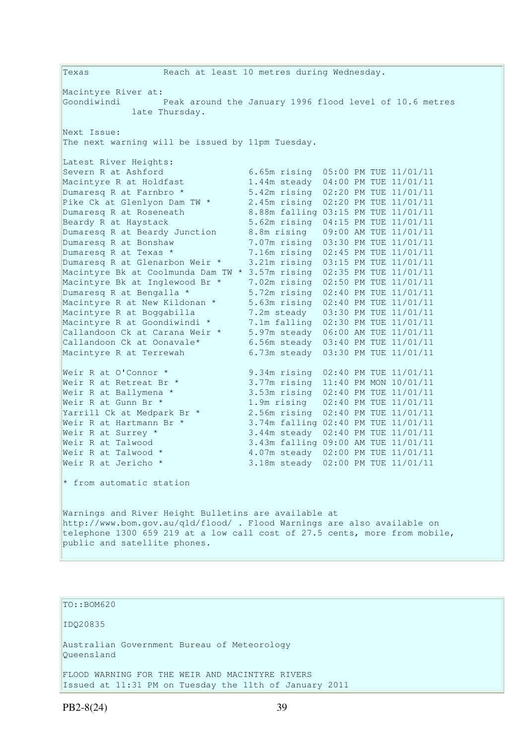Texas Reach at least 10 metres during Wednesday. Macintyre River at: Goondiwindi Peak around the January 1996 flood level of 10.6 metres late Thursday. Next Issue: The next warning will be issued by 11pm Tuesday. Latest River Heights: Severn R at Ashford 6.65m rising 05:00 PM TUE 11/01/11<br>
Macintyre R at Holdfast 1.44m steady 04:00 PM TUE 11/01/11<br>
Dumaresq R at Farnbro \* 5.42m rising 02:20 PM TUE 11/01/11<br>
Pike Ck at Glenlyon Dam TW \* 2005 1.44m steady 04:00 PM TUE 11/01/11 Dumaresq R at Farnbro \* 5.42m rising 02:20 PM TUE 11/01/11<br>Pike Ck at Glenlyon Dam TW \* 2.45m rising 02:20 PM TUE 11/01/11 Pike Ck at Glenlyon Dam TW \* 2.45m rising 02:20 PM TUE 11/01/11 Dumaresq R at Roseneath 8.88m falling 03:15 PM TUE 11/01/11 Dumaresq R at Roseneath 8.88m falling 03:15 PM TUE 11/01/11<br>Beardy R at Haystack 5.62m rising 04:15 PM TUE 11/01/11 Dumaresq R at Beardy Junction 8.8m rising 04:15 PM 10E 11/01/11<br>Dumaresq R at Bonshaw 7.07m rising 03:30 PM TUE 11/01/11<br>Dumaresq R at Texas \* 7.16m rising 02:45 PM TUE 11/01/11 7.07m rising 03:30 PM TUE 11/01/11 Dumaresq R at Texas \* 7.16m rising 02:45 PM TUE 11/01/11 Dumaresq R at Glenarbon Weir \* 3.21m rising 03:15 PM TUE 11/01/11 Macintyre Bk at Coolmunda Dam TW \* 3.57m rising 02:35 PM TUE 11/01/11 Macintyre Bk at Inglewood Br \* 7.02m rising 02:50 PM TUE 11/01/11 Dumaresq R at Bengalla \* 5.72m rising 02:40 PM TUE 11/01/11 Macintyre R at New Kildonan \* 5.63m rising 02:40 PM TUE 11/01/11 Macintyre R at Boggabilla 7.2m steady 03:30 PM TUE 11/01/11 Macintyre R at Goondiwindi \* 7.1m falling 02:30 PM TUE 11/01/11 Callandoon Ck at Carana Weir \* 5.97m steady 06:00 AM TUE 11/01/11 Callandoon Ck at Oonavale\* 6.56m steady 03:40 PM TUE 11/01/11 Macintyre R at Terrewah 6.73m steady 03:30 PM TUE 11/01/11 Weir R at O'Connor \* 9.34m rising 02:40 PM TUE 11/01/11 Weir R at Retreat Br \* 3.77m rising 11:40 PM MON 10/01/11 Weir R at Ballymena \* 3.53m rising 02:40 PM TUE 11/01/11 Weir R at Gunn Br \* 1.9m rising 02:40 PM TUE 11/01/11 Yarrill Ck at Medpark Br \* 2.56m rising 02:40 PM TUE 11/01/11 Weir R at Hartmann Br  $\star$  3.74m falling 02:40 PM TUE 11/01/11 Weir R at Surrey \* 3.44m steady 02:40 PM TUE 11/01/11 Weir R at Talwood 3.43m falling 09:00 AM TUE 11/01/11 Weir R at Talwood \* 4.07m steady 02:00 PM TUE 11/01/11 Weir R at Jericho \* 3.18m steady 02:00 PM TUE 11/01/11 \* from automatic station Warnings and River Height Bulletins are available at http://www.bom.gov.au/qld/flood/ . Flood Warnings are also available on telephone 1300 659 219 at a low call cost of 27.5 cents, more from mobile, public and satellite phones.

TO::BOM620

IDQ20835

Australian Government Bureau of Meteorology Queensland

FLOOD WARNING FOR THE WEIR AND MACINTYRE RIVERS Issued at 11:31 PM on Tuesday the 11th of January 2011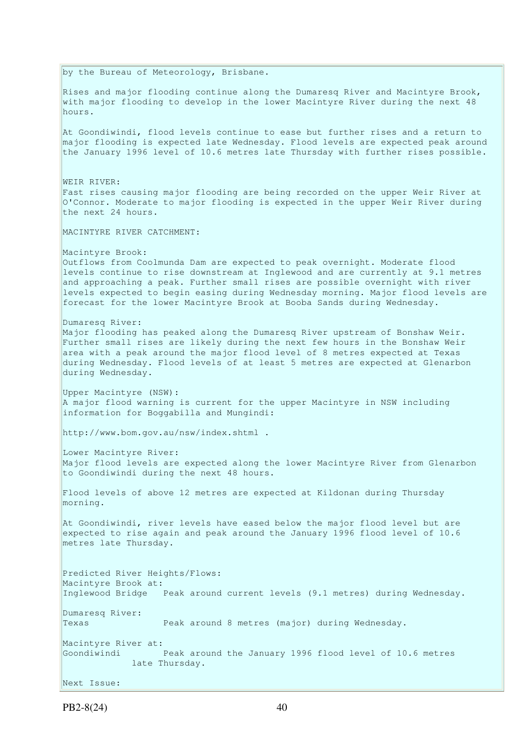by the Bureau of Meteorology, Brisbane. Rises and major flooding continue along the Dumaresq River and Macintyre Brook, with major flooding to develop in the lower Macintyre River during the next 48 hours. At Goondiwindi, flood levels continue to ease but further rises and a return to major flooding is expected late Wednesday. Flood levels are expected peak around the January 1996 level of 10.6 metres late Thursday with further rises possible. WEIR RIVER: Fast rises causing major flooding are being recorded on the upper Weir River at O'Connor. Moderate to major flooding is expected in the upper Weir River during the next 24 hours. MACINTYRE RIVER CATCHMENT: Macintyre Brook: Outflows from Coolmunda Dam are expected to peak overnight. Moderate flood levels continue to rise downstream at Inglewood and are currently at 9.1 metres and approaching a peak. Further small rises are possible overnight with river levels expected to begin easing during Wednesday morning. Major flood levels are forecast for the lower Macintyre Brook at Booba Sands during Wednesday. Dumaresq River: Major flooding has peaked along the Dumaresq River upstream of Bonshaw Weir. Further small rises are likely during the next few hours in the Bonshaw Weir area with a peak around the major flood level of 8 metres expected at Texas during Wednesday. Flood levels of at least 5 metres are expected at Glenarbon during Wednesday. Upper Macintyre (NSW): A major flood warning is current for the upper Macintyre in NSW including information for Boggabilla and Mungindi: http://www.bom.gov.au/nsw/index.shtml . Lower Macintyre River: Major flood levels are expected along the lower Macintyre River from Glenarbon to Goondiwindi during the next 48 hours. Flood levels of above 12 metres are expected at Kildonan during Thursday morning. At Goondiwindi, river levels have eased below the major flood level but are expected to rise again and peak around the January 1996 flood level of 10.6 metres late Thursday. Predicted River Heights/Flows: Macintyre Brook at: Inglewood Bridge Peak around current levels (9.1 metres) during Wednesday. Dumaresq River: Texas Peak around 8 metres (major) during Wednesday. Macintyre River at: Goondiwindi Peak around the January 1996 flood level of 10.6 metres late Thursday. Next Issue: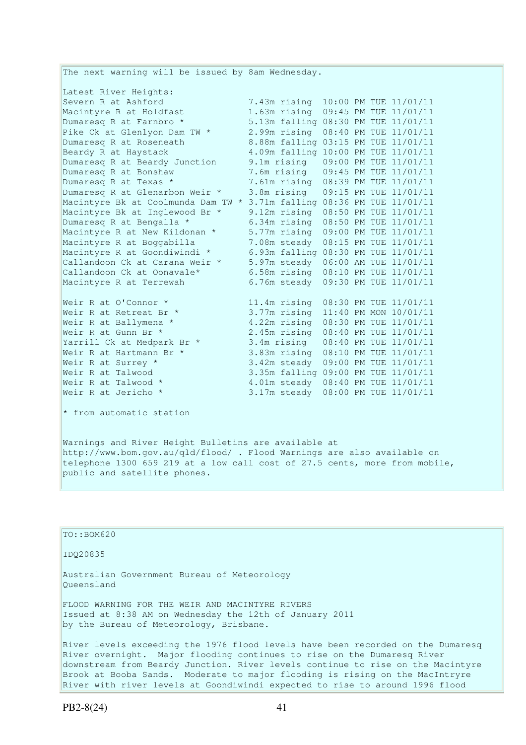The next warning will be issued by 8am Wednesday. Latest River Heights: Severn R at Ashford 7.43m rising 10:00 PM TUE 11/01/11 Macintyre R at Holdfast 1.63m rising 09:45 PM TUE 11/01/11 Dumaresq R at Farnbro \* 5.13m falling 08:30 PM TUE 11/01/11 Pike Ck at Glenlyon Dam TW \* 2.99m rising 08:40 PM TUE 11/01/11 Dumaresq R at Roseneath 8.88m falling 03:15 PM TUE 11/01/11 Beardy R at Haystack 4.09m falling 10:00 PM TUE 11/01/11 Dumaresq R at Beardy Junction 9.1m rising 09:00 PM TUE 11/01/11<br>Dumaresq R at Bonshaw 7.6m rising 09:45 PM TUE 11/01/11<br>Dumaresq R at Texas \* 7.61m rising 08:39 PM TUE 11/01/11 Dumaresq R at Bonshaw 7.6m rising 09:45 PM TUE 11/01/11<br>
Dumaresq R at Texas \* 7.61m rising 08:39 PM TUE 11/01/11 Dumaresq R at Texas \* 7.61m rising 08:39 PM TUE 11/01/11 Dumaresq R at Glenarbon Weir \* 3.8m rising 09:15 PM TUE 11/01/11 Macintyre Bk at Coolmunda Dam TW \* 3.71m falling 08:36 PM TUE 11/01/11 Macintyre Bk at Inglewood Br \* 9.12m rising 08:50 PM TUE 11/01/11 Dumaresq R at Bengalla \* 6.34m rising 08:50 PM TUE 11/01/11 Macintyre R at New Kildonan \* 5.77m rising 09:00 PM TUE 11/01/11 Macintyre R at Boggabilla 7.08m steady 08:15 PM TUE 11/01/11 Macintyre R at Goondiwindi \* 6.93m falling 08:30 PM TUE 11/01/11 Callandoon Ck at Carana Weir \* 5.97m steady 06:00 AM TUE 11/01/11 Callandoon Ck at Oonavale\* 6.58m rising 08:10 PM TUE 11/01/11 Macintyre R at Terrewah 6.76m steady 09:30 PM TUE 11/01/11 Weir R at O'Connor \* 11.4m rising 08:30 PM TUE 11/01/11 Weir R at Retreat Br \* 3.77m rising 11:40 PM MON 10/01/11 Weir R at Ballymena \* 4.22m rising 08:30 PM TUE 11/01/11 Weir R at Gunn Br \* 2.45m rising 08:40 PM TUE 11/01/11 Yarrill Ck at Medpark Br \* 3.4m rising 08:40 PM TUE 11/01/11 Weir R at Hartmann Br \* 3.83m rising 08:10 PM TUE 11/01/11 Weir R at Surrey \* 3.42m steady 09:00 PM TUE 11/01/11 Weir R at Talwood 3.35m falling 09:00 PM TUE 11/01/11 Weir R at Talwood \* 4.01m steady 08:40 PM TUE 11/01/11 Weir R at Jericho \* 3.17m steady 08:00 PM TUE 11/01/11  $*$  from automatic station Warnings and River Height Bulletins are available at

http://www.bom.gov.au/qld/flood/ . Flood Warnings are also available on telephone 1300 659 219 at a low call cost of 27.5 cents, more from mobile, public and satellite phones.

TO::BOM620 IDQ20835 Australian Government Bureau of Meteorology Queensland FLOOD WARNING FOR THE WEIR AND MACINTYRE RIVERS Issued at 8:38 AM on Wednesday the 12th of January 2011 by the Bureau of Meteorology, Brisbane. River levels exceeding the 1976 flood levels have been recorded on the Dumaresq River overnight. Major flooding continues to rise on the Dumaresq River downstream from Beardy Junction. River levels continue to rise on the Macintyre Brook at Booba Sands. Moderate to major flooding is rising on the MacIntryre

River with river levels at Goondiwindi expected to rise to around 1996 flood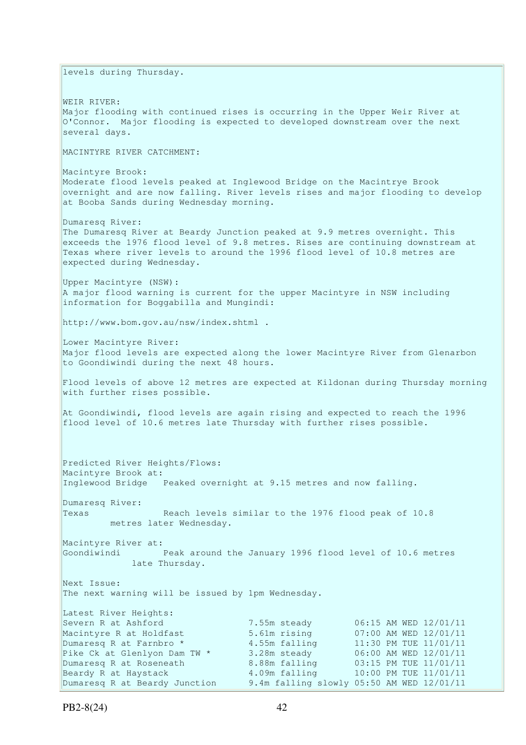levels during Thursday. WEIR RIVER: Major flooding with continued rises is occurring in the Upper Weir River at O'Connor. Major flooding is expected to developed downstream over the next several days. MACINTYRE RIVER CATCHMENT: Macintyre Brook: Moderate flood levels peaked at Inglewood Bridge on the Macintrye Brook overnight and are now falling. River levels rises and major flooding to develop at Booba Sands during Wednesday morning. Dumaresq River: The Dumaresq River at Beardy Junction peaked at 9.9 metres overnight. This exceeds the 1976 flood level of 9.8 metres. Rises are continuing downstream at Texas where river levels to around the 1996 flood level of 10.8 metres are expected during Wednesday. Upper Macintyre (NSW): A major flood warning is current for the upper Macintyre in NSW including information for Boggabilla and Mungindi: http://www.bom.gov.au/nsw/index.shtml . Lower Macintyre River: Major flood levels are expected along the lower Macintyre River from Glenarbon to Goondiwindi during the next 48 hours. Flood levels of above 12 metres are expected at Kildonan during Thursday morning with further rises possible. At Goondiwindi, flood levels are again rising and expected to reach the 1996 flood level of 10.6 metres late Thursday with further rises possible. Predicted River Heights/Flows: Macintyre Brook at: Inglewood Bridge Peaked overnight at 9.15 metres and now falling. Dumaresq River: Texas Reach levels similar to the 1976 flood peak of 10.8 metres later Wednesday. Macintyre River at: Goondiwindi Peak around the January 1996 flood level of 10.6 metres late Thursday. Next Issue: The next warning will be issued by 1pm Wednesday. Latest River Heights: Severn R at Ashford 7.55m steady 06:15 AM WED 12/01/11 Macintyre R at Holdfast 5.61m rising 07:00 AM WED 12/01/11 Dumaresq R at Farnbro  $\star$  4.55m falling 11:30 PM TUE 11/01/11 Pike Ck at Glenlyon Dam TW \* 3.28m steady 06:00 AM WED 12/01/11<br>
Dumaresq R at Roseneath 8.88m falling 03:15 PM TUE 11/01/11 8.88m falling 03:15 PM TUE 11/01/11<br>4.09m falling 10:00 PM TUE 11/01/11 Beardy R at Haystack  $4.09$ m falling  $10:00$  PM TUE  $11/01/11$ Dumaresq R at Beardy Junction 9.4m falling slowly 05:50 AM WED 12/01/11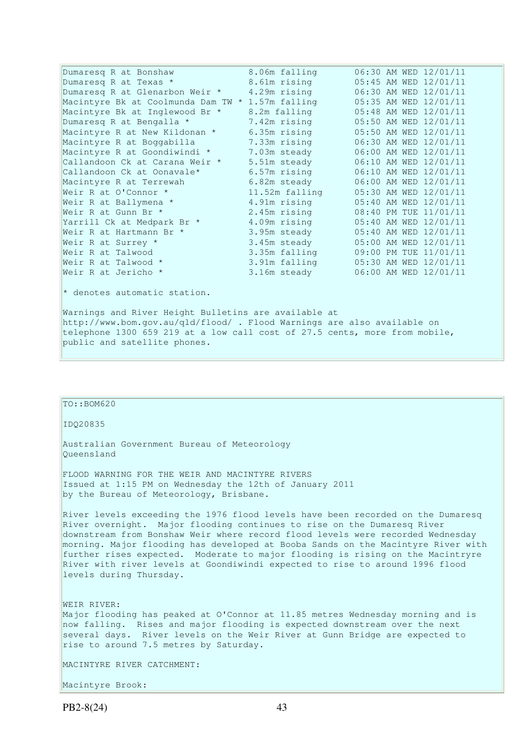| Dumaresg R at Bonshaw                                                      | 8.06m falling  | 06:30 AM WED 12/01/11 |  |  |  |  |  |  |  |
|----------------------------------------------------------------------------|----------------|-----------------------|--|--|--|--|--|--|--|
| Dumaresq R at Texas *                                                      | 8.61m rising   | 05:45 AM WED 12/01/11 |  |  |  |  |  |  |  |
| Dumaresq R at Glenarbon Weir *                                             | 4.29m rising   | 06:30 AM WED 12/01/11 |  |  |  |  |  |  |  |
| Macintyre Bk at Coolmunda Dam TW * 1.57m falling                           |                | 05:35 AM WED 12/01/11 |  |  |  |  |  |  |  |
| Macintyre Bk at Inglewood Br *                                             | 8.2m falling   | 05:48 AM WED 12/01/11 |  |  |  |  |  |  |  |
| Dumaresq R at Bengalla *                                                   | 7.42m rising   | 05:50 AM WED 12/01/11 |  |  |  |  |  |  |  |
| Macintyre R at New Kildonan *                                              | 6.35m rising   | 05:50 AM WED 12/01/11 |  |  |  |  |  |  |  |
| Macintyre R at Boggabilla                                                  | 7.33m rising   | 06:30 AM WED 12/01/11 |  |  |  |  |  |  |  |
| Macintyre R at Goondiwindi *                                               | 7.03m steady   | 06:00 AM WED 12/01/11 |  |  |  |  |  |  |  |
| Callandoon Ck at Carana Weir *                                             | 5.51m steady   | 06:10 AM WED 12/01/11 |  |  |  |  |  |  |  |
| Callandoon Ck at Oonavale*                                                 | 6.57m rising   | 06:10 AM WED 12/01/11 |  |  |  |  |  |  |  |
| Macintyre R at Terrewah                                                    | 6.82m steady   | 06:00 AM WED 12/01/11 |  |  |  |  |  |  |  |
| Weir R at O'Connor *                                                       | 11.52m falling | 05:30 AM WED 12/01/11 |  |  |  |  |  |  |  |
| Weir R at Ballymena *                                                      | 4.91m rising   | 05:40 AM WED 12/01/11 |  |  |  |  |  |  |  |
| Weir R at Gunn Br *                                                        | 2.45m rising   | 08:40 PM TUE 11/01/11 |  |  |  |  |  |  |  |
| Yarrill Ck at Medpark Br *                                                 | 4.09m rising   | 05:40 AM WED 12/01/11 |  |  |  |  |  |  |  |
| Weir R at Hartmann Br *                                                    | 3.95m steady   | 05:40 AM WED 12/01/11 |  |  |  |  |  |  |  |
| Weir R at Surrey *                                                         | 3.45m steady   | 05:00 AM WED 12/01/11 |  |  |  |  |  |  |  |
| Weir R at Talwood                                                          | 3.35m falling  | 09:00 PM TUE 11/01/11 |  |  |  |  |  |  |  |
| Weir R at Talwood *                                                        | 3.91m falling  | 05:30 AM WED 12/01/11 |  |  |  |  |  |  |  |
| Weir R at Jericho *                                                        | 3.16m steady   | 06:00 AM WED 12/01/11 |  |  |  |  |  |  |  |
| * denotes automatic station.                                               |                |                       |  |  |  |  |  |  |  |
| Warnings and River Height Bulletins are available at                       |                |                       |  |  |  |  |  |  |  |
| http://www.bom.gov.au/qld/flood/ . Flood Warnings are also available on    |                |                       |  |  |  |  |  |  |  |
| telephone 1300 659 219 at a low call cost of 27.5 cents, more from mobile, |                |                       |  |  |  |  |  |  |  |
| public and satellite phones.                                               |                |                       |  |  |  |  |  |  |  |

| ID020835                                                                                                                                                                                                                                                                                                                                                                                                                                                                                                                      |
|-------------------------------------------------------------------------------------------------------------------------------------------------------------------------------------------------------------------------------------------------------------------------------------------------------------------------------------------------------------------------------------------------------------------------------------------------------------------------------------------------------------------------------|
| Australian Government Bureau of Meteorology<br>Oueensland                                                                                                                                                                                                                                                                                                                                                                                                                                                                     |
| FLOOD WARNING FOR THE WEIR AND MACINTYRE RIVERS<br>Issued at 1:15 PM on Wednesday the 12th of January 2011<br>by the Bureau of Meteorology, Brisbane.                                                                                                                                                                                                                                                                                                                                                                         |
| River levels exceeding the 1976 flood levels have been recorded on the Dumaresg<br>River overnight. Major flooding continues to rise on the Dumaresq River<br>downstream from Bonshaw Weir where record flood levels were recorded Wednesday<br>morning. Major flooding has developed at Booba Sands on the Macintyre River with<br>further rises expected. Moderate to major flooding is rising on the Macintryre<br>River with river levels at Goondiwindi expected to rise to around 1996 flood<br>levels during Thursday. |
| WEIR RIVER:<br>Major flooding has peaked at O'Connor at 11.85 metres Wednesday morning and is<br>now falling. Rises and major flooding is expected downstream over the next<br>several days. River levels on the Weir River at Gunn Bridge are expected to<br>rise to around 7.5 metres by Saturday.                                                                                                                                                                                                                          |
| MACINTYRE RIVER CATCHMENT:                                                                                                                                                                                                                                                                                                                                                                                                                                                                                                    |
| Macintyre Brook:                                                                                                                                                                                                                                                                                                                                                                                                                                                                                                              |

TO::BOM620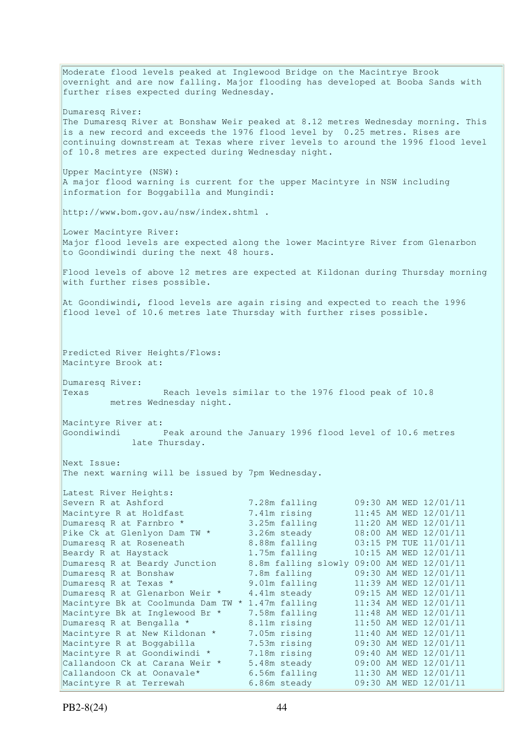Moderate flood levels peaked at Inglewood Bridge on the Macintrye Brook  $\overline{\text{overnight}}$  and are now falling. Major flooding has developed at Booba Sands with further rises expected during Wednesday. Dumaresq River: The Dumaresq River at Bonshaw Weir peaked at 8.12 metres Wednesday morning. This is a new record and exceeds the 1976 flood level by 0.25 metres. Rises are continuing downstream at Texas where river levels to around the 1996 flood level of 10.8 metres are expected during Wednesday night. Upper Macintyre (NSW): A major flood warning is current for the upper Macintyre in NSW including information for Boggabilla and Mungindi: http://www.bom.gov.au/nsw/index.shtml . Lower Macintyre River: Major flood levels are expected along the lower Macintyre River from Glenarbon to Goondiwindi during the next 48 hours. Flood levels of above 12 metres are expected at Kildonan during Thursday morning with further rises possible. At Goondiwindi, flood levels are again rising and expected to reach the 1996 flood level of 10.6 metres late Thursday with further rises possible. Predicted River Heights/Flows: Macintyre Brook at: Dumaresq River: Texas Reach levels similar to the 1976 flood peak of 10.8 metres Wednesday night. Macintyre River at: Goondiwindi Peak around the January 1996 flood level of 10.6 metres late Thursday. Next Issue: The next warning will be issued by 7pm Wednesday. Latest River Heights: Severn R at Ashford 7.28m falling 09:30 AM WED 12/01/11<br>
Macintyre R at Holdfast 7.41m rising 11:45 AM WED 12/01/11<br>
Dumaresq R at Farnbro \* 3.25m falling 11:20 AM WED 12/01/11<br>
Pike Ck at Glenlyon Dam TW \* 3.26m steady 08 Macintyre R at Holdfast 7.41m rising 11:45 AM WED 12/01/11 Dumaresq R at Farnbro  $\star$  3.25m falling 11:20 AM WED 12/01/11 Pike Ck at Glenlyon Dam TW \* 3.26m steady 08:00 AM WED 12/01/11 Dumaresq R at Roseneath 8.88m falling 03:15 PM TUE 11/01/11 Beardy R at Haystack 1.75m falling 10:15 AM WED 12/01/11 Dumaresq R at Beardy Junction 8.8m falling slowly 09:00 AM WED 12/01/11 Dumaresq R at Bonshaw 7.8m falling 09:30 AM WED 12/01/11 Dumaresq R at Texas  $*$  9.01m falling 11:39 AM WED 12/01/11 Dumaresq R at Glenarbon Weir \* 4.41m steady 09:15 AM WED 12/01/11 Macintyre Bk at Coolmunda Dam TW \* 1.47m falling 11:34 AM WED 12/01/11 Macintyre Bk at Inglewood Br \* 7.58m falling 11:48 AM WED 12/01/11 Dumaresq R at Bengalla  $*$  8.11m rising 11:50 AM WED 12/01/11 Macintyre R at New Kildonan \* 7.05m rising 11:40 AM WED 12/01/11 Macintyre R at Boggabilla 7.53m rising 09:30 AM WED 12/01/11 Macintyre R at Goondiwindi \* 7.18m rising 09:40 AM WED 12/01/11 Callandoon Ck at Carana Weir \* 5.48m steady 09:00 AM WED 12/01/11 Callandoon Ck at Oonavale\*  $6.56m$  falling  $11:30$  AM WED  $12/01/11$ Macintyre R at Terrewah 6.86m steady 09:30 AM WED 12/01/11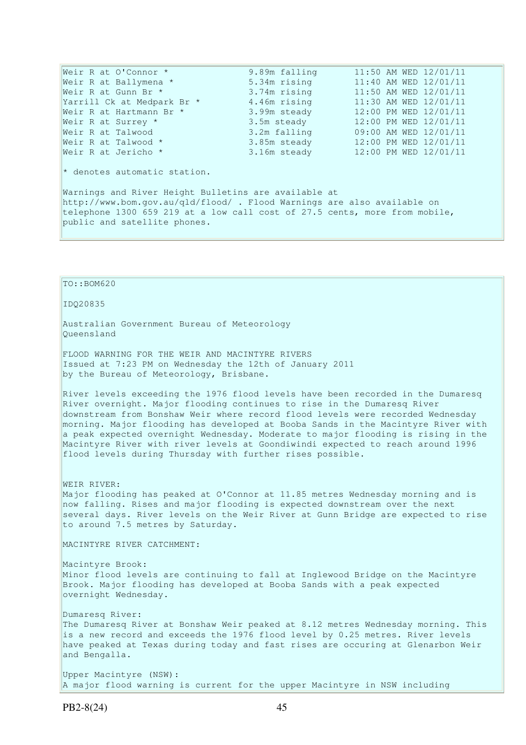| Weir R at O'Connor *                                                                 | 9.89m falling | 11:50 AM WED 12/01/11 |  |  |  |  |  |
|--------------------------------------------------------------------------------------|---------------|-----------------------|--|--|--|--|--|
| Weir R at Ballymena *                                                                | 5.34m rising  | 11:40 AM WED 12/01/11 |  |  |  |  |  |
| Weir R at Gunn Br *                                                                  | 3.74m rising  | 11:50 AM WED 12/01/11 |  |  |  |  |  |
| Yarrill Ck at Medpark Br *                                                           | 4.46m rising  | 11:30 AM WED 12/01/11 |  |  |  |  |  |
| Weir R at Hartmann Br *                                                              | 3.99m steady  | 12:00 PM WED 12/01/11 |  |  |  |  |  |
| Weir R at Surrey *                                                                   | 3.5m steady   | 12:00 PM WED 12/01/11 |  |  |  |  |  |
| Weir R at Talwood                                                                    | 3.2m falling  | 09:00 AM WED 12/01/11 |  |  |  |  |  |
| Weir R at Talwood $*$                                                                | 3.85m steady  | 12:00 PM WED 12/01/11 |  |  |  |  |  |
| Weir R at Jericho *                                                                  | 3.16m steady  | 12:00 PM WED 12/01/11 |  |  |  |  |  |
| $\star$ denotes automatic station.                                                   |               |                       |  |  |  |  |  |
| Warnings and River Height Bulletins are available at                                 |               |                       |  |  |  |  |  |
| $\frac{1}{1}$ http://www.bom.qov.au/q1d/flood/. Flood Warnings are also available on |               |                       |  |  |  |  |  |
| telephone 1300 659 219 at a low call cost of 27.5 cents, more from mobile,           |               |                       |  |  |  |  |  |

public and satellite phones.

# TO::BOM620

#### IDQ20835

Australian Government Bureau of Meteorology Queensland

FLOOD WARNING FOR THE WEIR AND MACINTYRE RIVERS Issued at 7:23 PM on Wednesday the 12th of January 2011 by the Bureau of Meteorology, Brisbane.

River levels exceeding the 1976 flood levels have been recorded in the Dumaresq River overnight. Major flooding continues to rise in the Dumaresq River downstream from Bonshaw Weir where record flood levels were recorded Wednesday morning. Major flooding has developed at Booba Sands in the Macintyre River with a peak expected overnight Wednesday. Moderate to major flooding is rising in the Macintyre River with river levels at Goondiwindi expected to reach around 1996 flood levels during Thursday with further rises possible.

WEIR RIVER: Major flooding has peaked at O'Connor at 11.85 metres Wednesday morning and is now falling. Rises and major flooding is expected downstream over the next several days. River levels on the Weir River at Gunn Bridge are expected to rise to around 7.5 metres by Saturday.

MACINTYRE RIVER CATCHMENT:

Macintyre Brook: Minor flood levels are continuing to fall at Inglewood Bridge on the Macintyre Brook. Major flooding has developed at Booba Sands with a peak expected overnight Wednesday.

Dumaresq River: The Dumaresq River at Bonshaw Weir peaked at 8.12 metres Wednesday morning. This is a new record and exceeds the 1976 flood level by 0.25 metres. River levels have peaked at Texas during today and fast rises are occuring at Glenarbon Weir and Bengalla.

Upper Macintyre (NSW): A major flood warning is current for the upper Macintyre in NSW including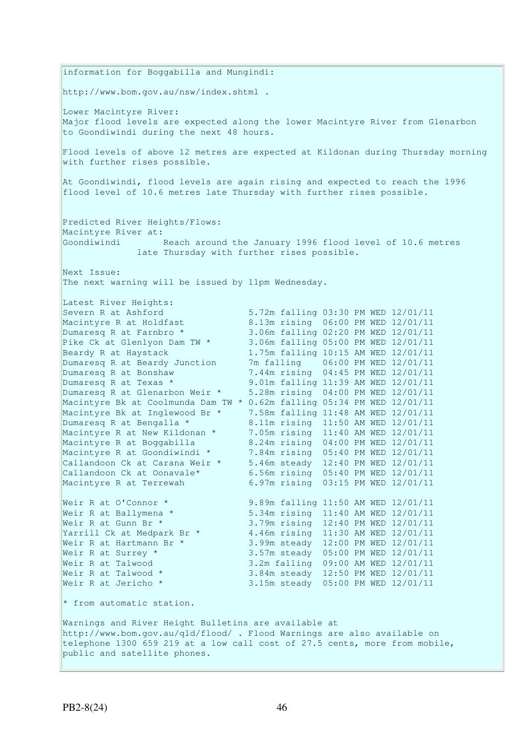information for Boggabilla and Mungindi: http://www.bom.gov.au/nsw/index.shtml . Lower Macintyre River: Major flood levels are expected along the lower Macintyre River from Glenarbon to Goondiwindi during the next 48 hours. Flood levels of above 12 metres are expected at Kildonan during Thursday morning with further rises possible. At Goondiwindi, flood levels are again rising and expected to reach the 1996 flood level of 10.6 metres late Thursday with further rises possible. Predicted River Heights/Flows: Macintyre River at: Goondiwindi Reach around the January 1996 flood level of 10.6 metres late Thursday with further rises possible. Next Issue: The next warning will be issued by 11pm Wednesday. Latest River Heights: Severn R at Ashford 5.72m falling 03:30 PM WED 12/01/11 Macintyre R at Holdfast 8.13m rising 06:00 PM WED 12/01/11 Dumaresq R at Farnbro \* 3.06m falling 02:20 PM WED 12/01/11 Pike Ck at Glenlyon Dam TW \* 3.06m falling 05:00 PM WED 12/01/11 Beardy R at Haystack 1.75m falling 10:15 AM WED 12/01/11 Dumaresq R at Beardy Junction 7m falling 06:00 PM WED 12/01/11 Dumaresq R at Bonshaw 7.44m rising 04:45 PM WED 12/01/11 Dumaresq R at Texas \* 9.01m falling 11:39 AM WED 12/01/11 Dumaresq R at Glenarbon Weir \* 5.28m rising 04:00 PM WED 12/01/11 Macintyre Bk at Coolmunda Dam TW \* 0.62m falling 05:34 PM WED 12/01/11 Macintyre Bk at Inglewood Br \* 7.58m falling 11:48 AM WED 12/01/11<br>Dumaresq R at Bengalla \* 8.11m rising 11:50 AM WED 12/01/11 Dumaresq R at Bengalla \* 8.11m rising 11:50 AM WED 12/01/11 Macintyre R at New Kildonan \* 7.05m rising 11:40 AM WED 12/01/11 Macintyre R at Boggabilla 8.24m rising 04:00 PM WED 12/01/11 Macintyre R at Goondiwindi \* 7.84m rising 05:40 PM WED 12/01/11 Callandoon Ck at Carana Weir \* 5.46m steady 12:40 PM WED 12/01/11 Callandoon Ck at Oonavale\* 6.56m rising 05:40 PM WED 12/01/11 Macintyre R at Terrewah 6.97m rising 03:15 PM WED 12/01/11 Weir R at O'Connor \* 9.89m falling 11:50 AM WED 12/01/11 Weir R at Ballymena \* 5.34m rising 11:40 AM WED 12/01/11 Weir R at Gunn Br \* 3.79m rising 12:40 PM WED 12/01/11 Yarrill Ck at Medpark Br \* 4.46m rising 11:30 AM WED 12/01/11 Weir R at Hartmann Br \* 3.99m steady 12:00 PM WED 12/01/11 Weir R at Surrey \* 3.57m steady 05:00 PM WED 12/01/11 Weir R at Talwood 3.2m falling 09:00 AM WED 12/01/11 Weir R at Talwood \* 3.84m steady 12:50 PM WED 12/01/11 Weir R at Jericho \* 3.15m steady 05:00 PM WED 12/01/11 \* from automatic station. Warnings and River Height Bulletins are available at http://www.bom.gov.au/qld/flood/ . Flood Warnings are also available on telephone 1300 659 219 at a low call cost of 27.5 cents, more from mobile, public and satellite phones.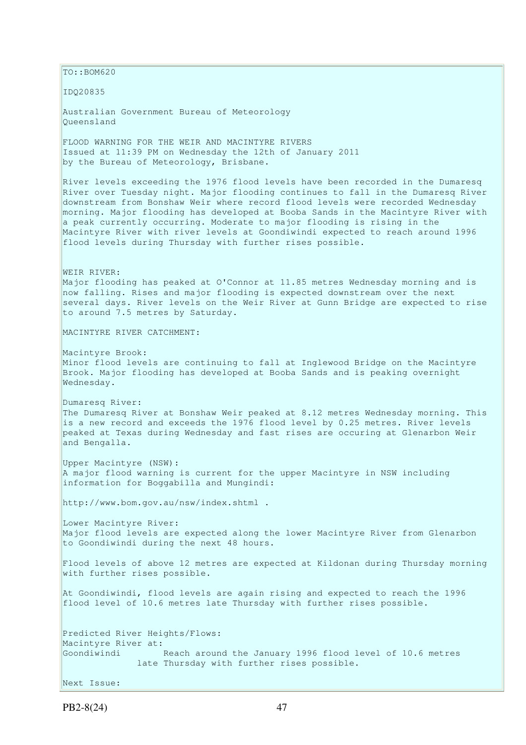$\vert$ TO::BOM620

IDQ20835

Australian Government Bureau of Meteorology Queensland

FLOOD WARNING FOR THE WEIR AND MACINTYRE RIVERS Issued at 11:39 PM on Wednesday the 12th of January 2011 by the Bureau of Meteorology, Brisbane.

River levels exceeding the 1976 flood levels have been recorded in the Dumaresq River over Tuesday night. Major flooding continues to fall in the Dumaresq River downstream from Bonshaw Weir where record flood levels were recorded Wednesday morning. Major flooding has developed at Booba Sands in the Macintyre River with a peak currently occurring. Moderate to major flooding is rising in the Macintyre River with river levels at Goondiwindi expected to reach around 1996 flood levels during Thursday with further rises possible.

WEIR RIVER:

Major flooding has peaked at O'Connor at 11.85 metres Wednesday morning and is now falling. Rises and major flooding is expected downstream over the next several days. River levels on the Weir River at Gunn Bridge are expected to rise to around 7.5 metres by Saturday.

MACINTYRE RIVER CATCHMENT:

Macintyre Brook: Minor flood levels are continuing to fall at Inglewood Bridge on the Macintyre Brook. Major flooding has developed at Booba Sands and is peaking overnight Wednesday.

Dumaresq River: The Dumaresq River at Bonshaw Weir peaked at 8.12 metres Wednesday morning. This is a new record and exceeds the 1976 flood level by 0.25 metres. River levels peaked at Texas during Wednesday and fast rises are occuring at Glenarbon Weir and Bengalla.

Upper Macintyre (NSW): A major flood warning is current for the upper Macintyre in NSW including information for Boggabilla and Mungindi:

http://www.bom.gov.au/nsw/index.shtml .

Lower Macintyre River: Major flood levels are expected along the lower Macintyre River from Glenarbon to Goondiwindi during the next 48 hours.

Flood levels of above 12 metres are expected at Kildonan during Thursday morning with further rises possible.

At Goondiwindi, flood levels are again rising and expected to reach the 1996 flood level of 10.6 metres late Thursday with further rises possible.

Predicted River Heights/Flows: Macintyre River at: Goondiwindi Reach around the January 1996 flood level of 10.6 metres late Thursday with further rises possible.

Next Issue: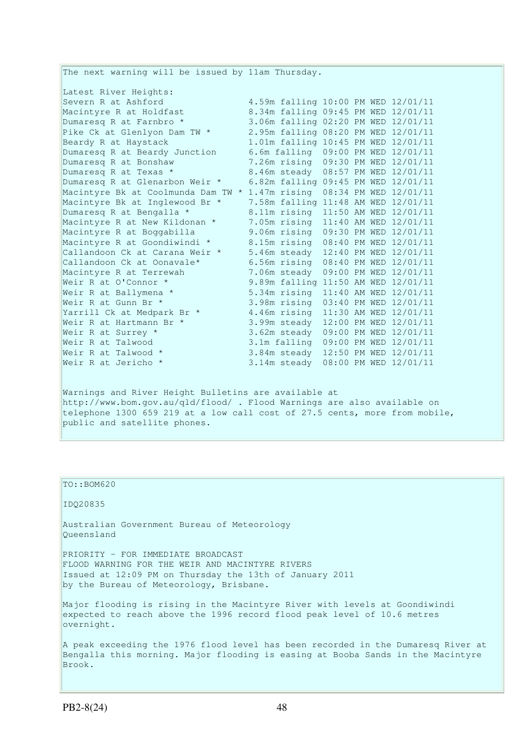The next warning will be issued by 11am Thursday. Latest River Heights: Severn R at Ashford 4.59m falling 10:00 PM WED 12/01/11 Macintyre R at Holdfast 8.34m falling 09:45 PM WED 12/01/11 Dumaresq R at Farnbro \* 3.06m falling 02:20 PM WED 12/01/11 Pike Ck at Glenlyon Dam TW \* 2.95m falling 08:20 PM WED 12/01/11 Beardy R at Haystack 1.01m falling 10:45 PM WED 12/01/11 Dumaresq R at Beardy Junction 6.6m falling 09:00 PM WED 12/01/11 Dumaresq R at Bonshaw 7.26m rising 09:30 PM WED 12/01/11 Dumaresq R at Texas \* 8.46m steady 08:57 PM WED 12/01/11 Dumaresq R at Glenarbon Weir \* 6.82m falling 09:45 PM WED 12/01/11 Macintyre Bk at Coolmunda Dam TW \* 1.47m rising 08:34 PM WED 12/01/11 Macintyre Bk at Inglewood Br \* 7.58m falling 11:48 AM WED 12/01/11 Dumaresq R at Bengalla \* 8.11m rising 11:50 AM WED 12/01/11 Macintyre R at New Kildonan \* 7.05m rising 11:40 AM WED 12/01/11 Macintyre R at Boggabilla 9.06m rising 09:30 PM WED 12/01/11 Macintyre R at Goondiwindi \* 8.15m rising 08:40 PM WED 12/01/11 Callandoon Ck at Carana Weir \* 5.46m steady 12:40 PM WED 12/01/11 Callandoon Ck at Oonavale\* 6.56m rising 08:40 PM WED 12/01/11 Macintyre R at Terrewah 7.06m steady 09:00 PM WED 12/01/11 Weir R at O'Connor \* 9.89m falling 11:50 AM WED 12/01/11 Weir R at Ballymena \* 5.34m rising 11:40 AM WED 12/01/11 Weir R at Gunn Br \* 3.98m rising 03:40 PM WED 12/01/11 Yarrill Ck at Medpark Br \* 4.46m rising 11:30 AM WED 12/01/11 Weir R at Hartmann Br \* 3.99m steady 12:00 PM WED 12/01/11 Weir R at Surrey \* 3.62m steady 09:00 PM WED 12/01/11 Weir R at Talwood 3.1m falling 09:00 PM WED 12/01/11 Weir R at Talwood \* 3.84m steady 12:50 PM WED 12/01/11 Weir R at Jericho \* 3.14m steady 08:00 PM WED 12/01/11 Warnings and River Height Bulletins are available at http://www.bom.gov.au/qld/flood/ . Flood Warnings are also available on telephone 1300 659 219 at a low call cost of 27.5 cents, more from mobile, public and satellite phones.

#### TO::BOM620

IDQ20835

Australian Government Bureau of Meteorology Queensland

PRIORITY - FOR IMMEDIATE BROADCAST FLOOD WARNING FOR THE WEIR AND MACINTYRE RIVERS Issued at 12:09 PM on Thursday the 13th of January 2011 by the Bureau of Meteorology, Brisbane.

Major flooding is rising in the Macintyre River with levels at Goondiwindi expected to reach above the 1996 record flood peak level of 10.6 metres overnight.

A peak exceeding the 1976 flood level has been recorded in the Dumaresq River at Bengalla this morning. Major flooding is easing at Booba Sands in the Macintyre Brook.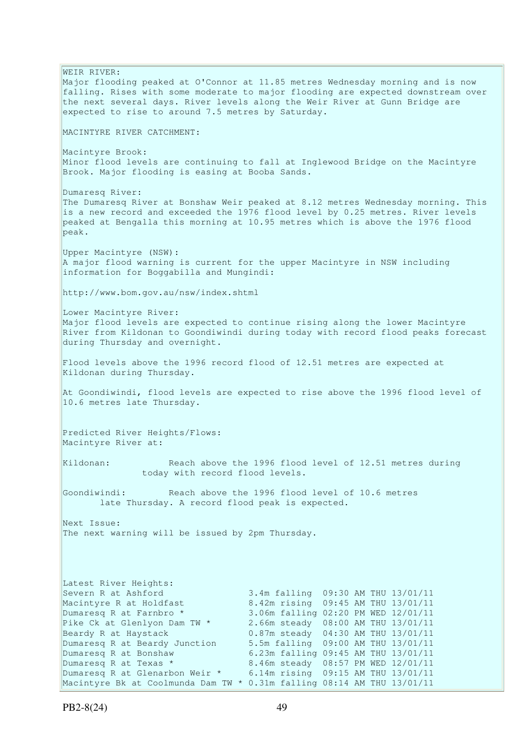WEIR RIVER: Major flooding peaked at O'Connor at 11.85 metres Wednesday morning and is now falling. Rises with some moderate to major flooding are expected downstream over the next several days. River levels along the Weir River at Gunn Bridge are expected to rise to around 7.5 metres by Saturday. MACINTYRE RIVER CATCHMENT: Macintyre Brook: Minor flood levels are continuing to fall at Inglewood Bridge on the Macintyre Brook. Major flooding is easing at Booba Sands. Dumaresq River: The Dumaresq River at Bonshaw Weir peaked at 8.12 metres Wednesday morning. This is a new record and exceeded the 1976 flood level by 0.25 metres. River levels peaked at Bengalla this morning at 10.95 metres which is above the 1976 flood peak. Upper Macintyre (NSW): A major flood warning is current for the upper Macintyre in NSW including information for Boggabilla and Mungindi: http://www.bom.gov.au/nsw/index.shtml Lower Macintyre River: Major flood levels are expected to continue rising along the lower Macintyre River from Kildonan to Goondiwindi during today with record flood peaks forecast during Thursday and overnight. Flood levels above the 1996 record flood of 12.51 metres are expected at Kildonan during Thursday. At Goondiwindi, flood levels are expected to rise above the 1996 flood level of 10.6 metres late Thursday. Predicted River Heights/Flows: Macintyre River at: Kildonan: Reach above the 1996 flood level of 12.51 metres during today with record flood levels. Goondiwindi: Reach above the 1996 flood level of 10.6 metres late Thursday. A record flood peak is expected. Next Issue: The next warning will be issued by 2pm Thursday. Latest River Heights: Severn R at Ashford 3.4m falling 09:30 AM THU 13/01/11 Macintyre R at Holdfast 8.42m rising 09:45 AM THU 13/01/11<br>Dumaresq R at Farnbro \* 3.06m falling 02:20 PM WED 12/01/11 Dumaresq R at Farnbro \* 3.06m falling 02:20 PM WED 12/01/11 Pike Ck at Glenlyon Dam TW \* 2.66m steady 08:00 AM THU 13/01/11 Beardy R at Haystack 0.87m steady 04:30 AM THU 13/01/11 Dumaresq R at Beardy Junction 5.5m falling 09:00 AM THU 13/01/11<br>Dumaresq R at Bonshaw 6.23m falling 09:45 AM THU 13/01/11 6.23m falling 09:45 AM THU 13/01/11 Dumaresq R at Texas \* 8.46m steady 08:57 PM WED 12/01/11 Dumaresq R at Glenarbon Weir \* 6.14m rising 09:15 AM THU 13/01/11 Macintyre Bk at Coolmunda Dam TW \* 0.31m falling 08:14 AM THU 13/01/11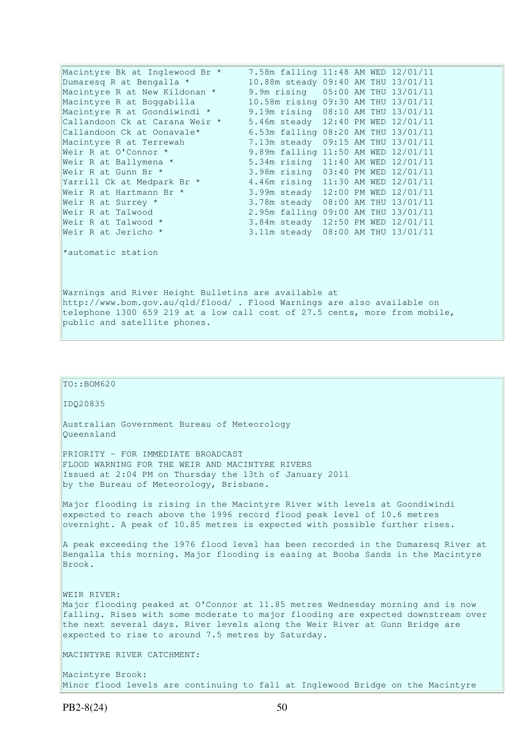| Macintyre Bk at Inglewood Br *                                                                                                                                                                                                                | 7.58m falling 11:48 AM WED 12/01/11 |  |  |  |  |  |
|-----------------------------------------------------------------------------------------------------------------------------------------------------------------------------------------------------------------------------------------------|-------------------------------------|--|--|--|--|--|
| Dumaresq R at Bengalla *                                                                                                                                                                                                                      | 10.88m steady 09:40 AM THU 13/01/11 |  |  |  |  |  |
| Macintyre R at New Kildonan *                                                                                                                                                                                                                 | 9.9m rising 05:00 AM THU 13/01/11   |  |  |  |  |  |
| Macintyre R at Boggabilla                                                                                                                                                                                                                     | 10.58m rising 09:30 AM THU 13/01/11 |  |  |  |  |  |
| Macintyre R at Goondiwindi *                                                                                                                                                                                                                  | 9.19m rising 08:10 AM THU 13/01/11  |  |  |  |  |  |
| Callandoon Ck at Carana Weir *                                                                                                                                                                                                                | 5.46m steady 12:40 PM WED 12/01/11  |  |  |  |  |  |
| Callandoon Ck at Oonavale*                                                                                                                                                                                                                    | 6.53m falling 08:20 AM THU 13/01/11 |  |  |  |  |  |
| Macintyre R at Terrewah                                                                                                                                                                                                                       | 7.13m steady 09:15 AM THU 13/01/11  |  |  |  |  |  |
| Weir R at O'Connor *                                                                                                                                                                                                                          | 9.89m falling 11:50 AM WED 12/01/11 |  |  |  |  |  |
| Weir R at Ballymena *                                                                                                                                                                                                                         | 5.34m rising 11:40 AM WED 12/01/11  |  |  |  |  |  |
| Weir R at Gunn Br *                                                                                                                                                                                                                           | 3.98m rising 03:40 PM WED 12/01/11  |  |  |  |  |  |
| Yarrill Ck at Medpark Br *                                                                                                                                                                                                                    | 4.46m rising 11:30 AM WED 12/01/11  |  |  |  |  |  |
| Weir R at Hartmann Br *                                                                                                                                                                                                                       | 3.99m steady 12:00 PM WED 12/01/11  |  |  |  |  |  |
| Weir R at Surrey *                                                                                                                                                                                                                            | 3.78m steady 08:00 AM THU 13/01/11  |  |  |  |  |  |
| Weir R at Talwood                                                                                                                                                                                                                             | 2.95m falling 09:00 AM THU 13/01/11 |  |  |  |  |  |
| Weir R at Talwood *                                                                                                                                                                                                                           | 3.84m steady 12:50 PM WED 12/01/11  |  |  |  |  |  |
| Weir R at Jericho *                                                                                                                                                                                                                           | 3.11m steady 08:00 AM THU 13/01/11  |  |  |  |  |  |
| *automatic station                                                                                                                                                                                                                            |                                     |  |  |  |  |  |
| Warnings and River Height Bulletins are available at<br>http://www.bom.gov.au/qld/flood/ . Flood Warnings are also available on<br>telephone 1300 659 219 at a low call cost of 27.5 cents, more from mobile,<br>public and satellite phones. |                                     |  |  |  |  |  |

```
TO::BOM620
```
IDQ20835

Australian Government Bureau of Meteorology Queensland

PRIORITY - FOR IMMEDIATE BROADCAST FLOOD WARNING FOR THE WEIR AND MACINTYRE RIVERS Issued at 2:04 PM on Thursday the 13th of January 2011 by the Bureau of Meteorology, Brisbane.

Major flooding is rising in the Macintyre River with levels at Goondiwindi expected to reach above the 1996 record flood peak level of 10.6 metres overnight. A peak of 10.85 metres is expected with possible further rises.

A peak exceeding the 1976 flood level has been recorded in the Dumaresq River at Bengalla this morning. Major flooding is easing at Booba Sands in the Macintyre Brook.

WEIR RIVER: Major flooding peaked at O'Connor at 11.85 metres Wednesday morning and is now falling. Rises with some moderate to major flooding are expected downstream over the next several days. River levels along the Weir River at Gunn Bridge are expected to rise to around 7.5 metres by Saturday.

MACINTYRE RIVER CATCHMENT:

Macintyre Brook: Minor flood levels are continuing to fall at Inglewood Bridge on the Macintyre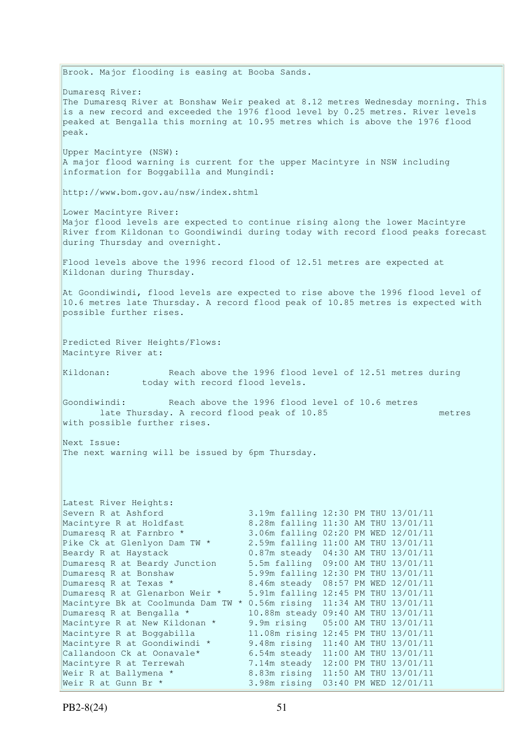Brook. Major flooding is easing at Booba Sands. Dumaresq River: The Dumaresq River at Bonshaw Weir peaked at 8.12 metres Wednesday morning. This is a new record and exceeded the 1976 flood level by 0.25 metres. River levels peaked at Bengalla this morning at 10.95 metres which is above the 1976 flood peak. Upper Macintyre (NSW): A major flood warning is current for the upper Macintyre in NSW including information for Boggabilla and Mungindi: http://www.bom.gov.au/nsw/index.shtml Lower Macintyre River: Major flood levels are expected to continue rising along the lower Macintyre River from Kildonan to Goondiwindi during today with record flood peaks forecast during Thursday and overnight. Flood levels above the 1996 record flood of 12.51 metres are expected at Kildonan during Thursday. At Goondiwindi, flood levels are expected to rise above the 1996 flood level of 10.6 metres late Thursday. A record flood peak of 10.85 metres is expected with possible further rises. Predicted River Heights/Flows: Macintyre River at: Kildonan: Reach above the 1996 flood level of 12.51 metres during today with record flood levels. Goondiwindi: Reach above the 1996 flood level of 10.6 metres late Thursday. A record flood peak of 10.85 metres with possible further rises. Next Issue: The next warning will be issued by 6pm Thursday. Latest River Heights: Severn R at Ashford 3.19m falling 12:30 PM THU 13/01/11<br>
Macintyre R at Holdfast 8.28m falling 11:30 AM THU 13/01/11<br>
Dumaresq R at Farnbro \* 3.06m falling 02:20 PM WED 12/01/11 8.28m falling 11:30 AM THU 13/01/11 3.06m falling 02:20 PM WED 12/01/11 Pike Ck at Glenlyon Dam TW \* 2.59m falling 11:00 AM THU 13/01/11 Beardy R at Haystack 0.87m steady 04:30 AM THU 13/01/11 Dumaresq R at Beardy Junction 5.5m falling 09:00 AM THU 13/01/11<br>Dumaresq R at Bonshaw 5.99m falling 12:30 PM THU 13/01/11 5.99m falling 12:30 PM THU 13/01/11 Dumaresq R at Texas \* 8.46m steady 08:57 PM WED 12/01/11 Dumaresq R at Glenarbon Weir \* 5.91m falling 12:45 PM THU 13/01/11 Macintyre Bk at Coolmunda Dam TW \* 0.56m rising 11:34 AM THU 13/01/11 Dumaresq R at Bengalla \* 10.88m steady 09:40 AM THU 13/01/11 Macintyre R at New Kildonan \* 9.9m rising 05:00 AM THU 13/01/11 Macintyre R at Boggabilla 11.08m rising 12:45 PM THU 13/01/11 Macintyre R at Goondiwindi \* 9.48m rising 11:40 AM THU 13/01/11 Callandoon Ck at Oonavale\* 6.54m steady 11:00 AM THU 13/01/11 Macintyre R at Terrewah 7.14m steady 12:00 PM THU 13/01/11 Weir R at Ballymena \* 8.83m rising 11:50 AM THU 13/01/11 Weir R at Gunn Br \* 3.98m rising 03:40 PM WED 12/01/11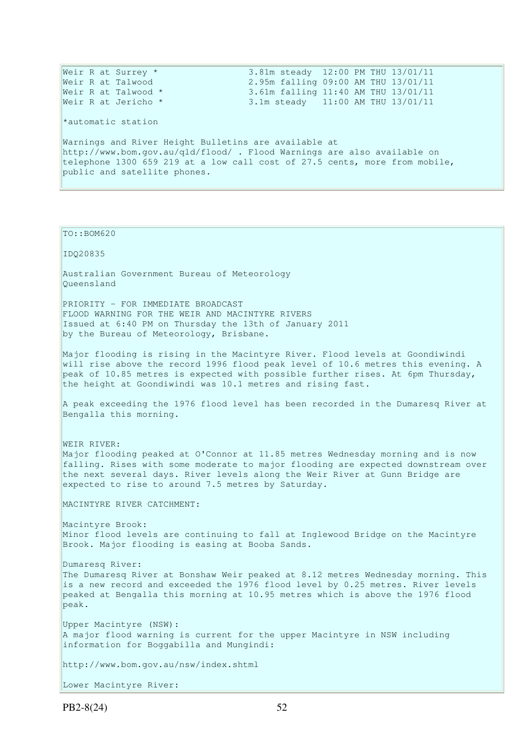Weir R at Surrey \* 3.81m steady 12:00 PM THU 13/01/11 Weir R at Talwood 2.95m falling 09:00 AM THU 13/01/11 Weir R at Talwood \* 3.61m falling 11:40 AM THU 13/01/11 Weir R at Jericho \* 3.1m steady 11:00 AM THU 13/01/11 \*automatic station Warnings and River Height Bulletins are available at http://www.bom.gov.au/qld/flood/ . Flood Warnings are also available on telephone 1300 659 219 at a low call cost of 27.5 cents, more from mobile, public and satellite phones.

 $To:BOM620$ 

IDQ20835

Australian Government Bureau of Meteorology Queensland

PRIORITY - FOR IMMEDIATE BROADCAST FLOOD WARNING FOR THE WEIR AND MACINTYRE RIVERS Issued at 6:40 PM on Thursday the 13th of January 2011 by the Bureau of Meteorology, Brisbane.

Major flooding is rising in the Macintyre River. Flood levels at Goondiwindi will rise above the record 1996 flood peak level of 10.6 metres this evening. A peak of 10.85 metres is expected with possible further rises. At 6pm Thursday, the height at Goondiwindi was 10.1 metres and rising fast.

A peak exceeding the 1976 flood level has been recorded in the Dumaresq River at Bengalla this morning.

WEIR RIVER: Major flooding peaked at O'Connor at 11.85 metres Wednesday morning and is now falling. Rises with some moderate to major flooding are expected downstream over the next several days. River levels along the Weir River at Gunn Bridge are expected to rise to around 7.5 metres by Saturday.

MACINTYRE RIVER CATCHMENT:

Macintyre Brook: Minor flood levels are continuing to fall at Inglewood Bridge on the Macintyre Brook. Major flooding is easing at Booba Sands.

Dumaresq River: The Dumaresq River at Bonshaw Weir peaked at 8.12 metres Wednesday morning. This is a new record and exceeded the 1976 flood level by 0.25 metres. River levels peaked at Bengalla this morning at 10.95 metres which is above the 1976 flood peak.

Upper Macintyre (NSW): A major flood warning is current for the upper Macintyre in NSW including information for Boggabilla and Mungindi:

http://www.bom.gov.au/nsw/index.shtml

Lower Macintyre River: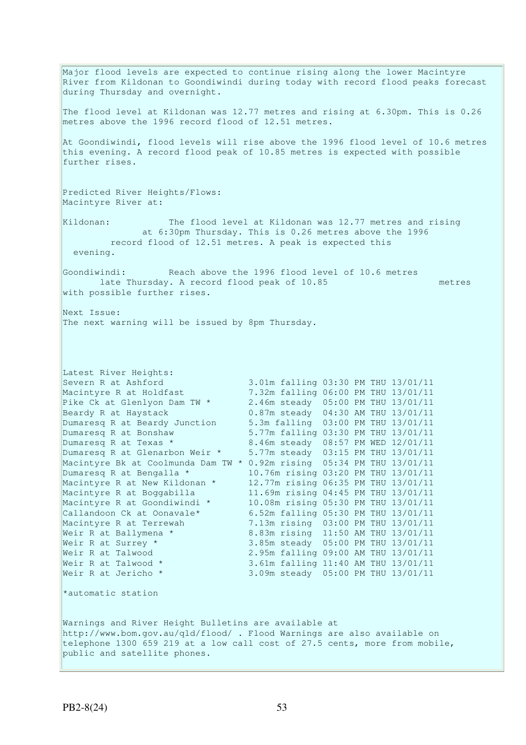Major flood levels are expected to continue rising along the lower Macintyre River from Kildonan to Goondiwindi during today with record flood peaks forecast during Thursday and overnight. The flood level at Kildonan was 12.77 metres and rising at 6.30pm. This is 0.26 metres above the 1996 record flood of 12.51 metres. At Goondiwindi, flood levels will rise above the 1996 flood level of 10.6 metres this evening. A record flood peak of 10.85 metres is expected with possible further rises. Predicted River Heights/Flows: Macintyre River at: Kildonan: The flood level at Kildonan was 12.77 metres and rising at 6:30pm Thursday. This is 0.26 metres above the 1996 record flood of 12.51 metres. A peak is expected this evening. Goondiwindi: Reach above the 1996 flood level of 10.6 metres late Thursday. A record flood peak of 10.85 metres with possible further rises. Next Issue: The next warning will be issued by 8pm Thursday. Latest River Heights: Severn R at Ashford 3.01m falling 03:30 PM THU 13/01/11 Macintyre R at Holdfast 7.32m falling 06:00 PM THU 13/01/11 Pike Ck at Glenlyon Dam TW \* 2.46m steady 05:00 PM THU 13/01/11 Beardy R at Haystack 0.87m steady 04:30 AM THU 13/01/11 Dumaresq R at Beardy Junction 5.3m falling 03:00 PM THU 13/01/11 Dumaresq R at Bonshaw 5.77m falling 03:30 PM THU 13/01/11 Dumaresq R at Texas \* 8.46m steady 08:57 PM WED 12/01/11 Dumaresq R at Glenarbon Weir \* 5.77m steady 03:15 PM THU 13/01/11 Macintyre Bk at Coolmunda Dam TW \* 0.92m rising 05:34 PM THU 13/01/11 Dumaresq R at Bengalla \* 10.76m rising 03:20 PM THU 13/01/11 Macintyre R at New Kildonan \* 12.77m rising 06:35 PM THU 13/01/11 Macintyre R at Boggabilla 11.69m rising 04:45 PM THU 13/01/11 Macintyre R at Goondiwindi \* 10.08m rising 05:30 PM THU 13/01/11 Callandoon Ck at Oonavale\* 6.52m falling 05:30 PM THU 13/01/11 Macintyre R at Terrewah 7.13m rising 03:00 PM THU 13/01/11 Weir R at Ballymena \* 8.83m rising 11:50 AM THU 13/01/11 Weir R at Surrey \* 3.85m steady 05:00 PM THU 13/01/11 Weir R at Talwood 2.95m falling 09:00 AM THU 13/01/11 Weir R at Talwood \* 3.61m falling 11:40 AM THU 13/01/11 Weir R at Jericho \* 3.09m steady 05:00 PM THU 13/01/11 \*automatic station Warnings and River Height Bulletins are available at http://www.bom.gov.au/qld/flood/ . Flood Warnings are also available on telephone 1300 659 219 at a low call cost of 27.5 cents, more from mobile, public and satellite phones.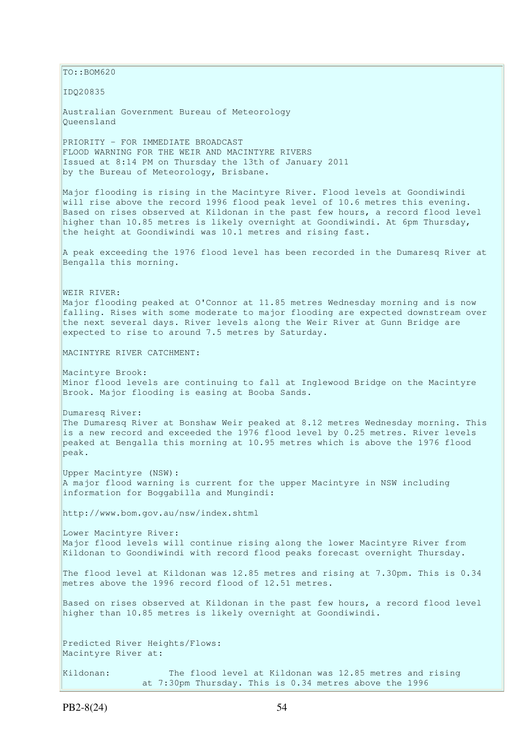$\vert$ TO::BOM620 IDQ20835 Australian Government Bureau of Meteorology Queensland PRIORITY - FOR IMMEDIATE BROADCAST FLOOD WARNING FOR THE WEIR AND MACINTYRE RIVERS Issued at 8:14 PM on Thursday the 13th of January 2011 by the Bureau of Meteorology, Brisbane. Major flooding is rising in the Macintyre River. Flood levels at Goondiwindi will rise above the record 1996 flood peak level of 10.6 metres this evening. Based on rises observed at Kildonan in the past few hours, a record flood level higher than 10.85 metres is likely overnight at Goondiwindi. At 6pm Thursday, the height at Goondiwindi was 10.1 metres and rising fast. A peak exceeding the 1976 flood level has been recorded in the Dumaresq River at Bengalla this morning. WEIR RIVER: Major flooding peaked at O'Connor at 11.85 metres Wednesday morning and is now falling. Rises with some moderate to major flooding are expected downstream over the next several days. River levels along the Weir River at Gunn Bridge are expected to rise to around 7.5 metres by Saturday. MACINTYRE RIVER CATCHMENT: Macintyre Brook: Minor flood levels are continuing to fall at Inglewood Bridge on the Macintyre Brook. Major flooding is easing at Booba Sands. Dumaresq River: The Dumaresq River at Bonshaw Weir peaked at 8.12 metres Wednesday morning. This is a new record and exceeded the 1976 flood level by 0.25 metres. River levels peaked at Bengalla this morning at 10.95 metres which is above the 1976 flood peak. Upper Macintyre (NSW): A major flood warning is current for the upper Macintyre in NSW including information for Boggabilla and Mungindi: http://www.bom.gov.au/nsw/index.shtml Lower Macintyre River: Major flood levels will continue rising along the lower Macintyre River from Kildonan to Goondiwindi with record flood peaks forecast overnight Thursday. The flood level at Kildonan was 12.85 metres and rising at 7.30pm. This is 0.34 metres above the 1996 record flood of 12.51 metres. Based on rises observed at Kildonan in the past few hours, a record flood level higher than 10.85 metres is likely overnight at Goondiwindi. Predicted River Heights/Flows: Macintyre River at: Kildonan: The flood level at Kildonan was 12.85 metres and rising at 7:30pm Thursday. This is 0.34 metres above the 1996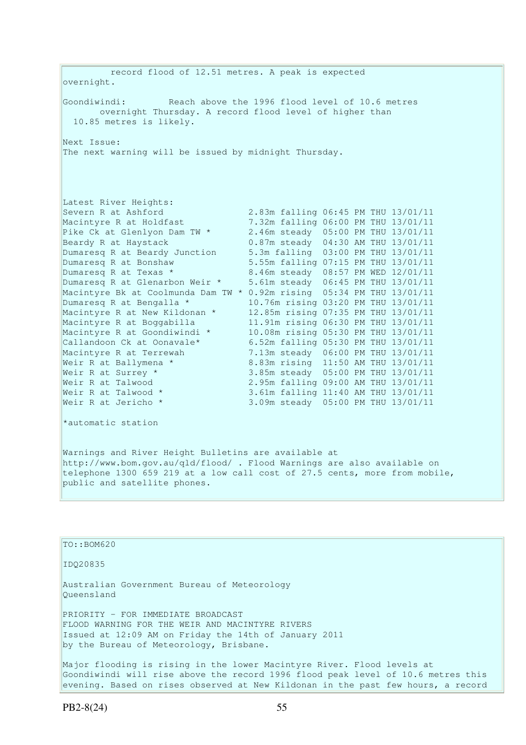record flood of 12.51 metres. A peak is expected overnight. Goondiwindi: Reach above the 1996 flood level of 10.6 metres overnight Thursday. A record flood level of higher than 10.85 metres is likely. Next Issue: The next warning will be issued by midnight Thursday. Latest River Heights: Severn R at Ashford 2.83m falling 06:45 PM THU 13/01/11 Macintyre R at Holdfast 7.32m falling 06:00 PM THU 13/01/11 Pike Ck at Glenlyon Dam TW \* 2.46m steady 05:00 PM THU 13/01/11 Beardy R at Haystack 0.87m steady 04:30 AM THU 13/01/11<br>
Dumaresq R at Beardy Junction 5.3m falling 03:00 PM THU 13/01/11<br>
Dumaresq R at Bonshaw 5.55m falling 07:15 PM THU 13/01/11 Dumaresq R at Beardy Junction 5.3m falling 03:00 PM THU 13/01/11 Dumaresq R at Bonshaw 5.55m falling 07:15 PM THU 13/01/11 Dumaresq R at Texas \* 8.46m steady 08:57 PM WED 12/01/11 Dumaresq R at Glenarbon Weir \* 5.61m steady 06:45 PM THU 13/01/11 Macintyre Bk at Coolmunda Dam TW \* 0.92m rising 05:34 PM THU 13/01/11 Dumaresq R at Bengalla \* 10.76m rising 03:20 PM THU 13/01/11 Macintyre R at New Kildonan \* 12.85m rising 07:35 PM THU 13/01/11 Macintyre R at Boggabilla 11.91m rising 06:30 PM THU 13/01/11 Macintyre R at Goondiwindi \* 10.08m rising 05:30 PM THU 13/01/11 Callandoon Ck at Oonavale\* 6.52m falling 05:30 PM THU 13/01/11 Macintyre R at Terrewah 7.13m steady 06:00 PM THU 13/01/11 Weir R at Ballymena \* 8.83m rising 11:50 AM THU 13/01/11 Weir R at Surrey \* 3.85m steady 05:00 PM THU 13/01/11 Weir R at Talwood 2.95m falling 09:00 AM THU 13/01/11 Weir R at Talwood \* 3.61m falling 11:40 AM THU 13/01/11 Weir R at Jericho \* 3.09m steady 05:00 PM THU 13/01/11 \*automatic station Warnings and River Height Bulletins are available at

http://www.bom.gov.au/qld/flood/ . Flood Warnings are also available on telephone 1300 659 219 at a low call cost of 27.5 cents, more from mobile, public and satellite phones.

TO::BOM620 IDQ20835 Australian Government Bureau of Meteorology Queensland PRIORITY - FOR IMMEDIATE BROADCAST FLOOD WARNING FOR THE WEIR AND MACINTYRE RIVERS Issued at 12:09 AM on Friday the 14th of January 2011 by the Bureau of Meteorology, Brisbane. Major flooding is rising in the lower Macintyre River. Flood levels at Goondiwindi will rise above the record 1996 flood peak level of 10.6 metres this evening. Based on rises observed at New Kildonan in the past few hours, a record

PB2-8(24) 55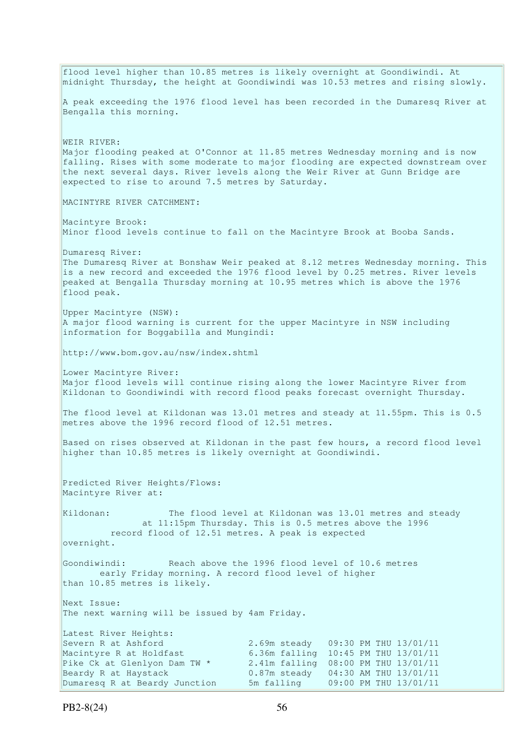flood level higher than 10.85 metres is likely overnight at Goondiwindi. At midnight Thursday, the height at Goondiwindi was 10.53 metres and rising slowly. A peak exceeding the 1976 flood level has been recorded in the Dumaresq River at Bengalla this morning. WEIR RIVER: Major flooding peaked at O'Connor at 11.85 metres Wednesday morning and is now falling. Rises with some moderate to major flooding are expected downstream over the next several days. River levels along the Weir River at Gunn Bridge are expected to rise to around 7.5 metres by Saturday. MACINTYRE RIVER CATCHMENT: Macintyre Brook: Minor flood levels continue to fall on the Macintyre Brook at Booba Sands. Dumaresq River: The Dumaresq River at Bonshaw Weir peaked at 8.12 metres Wednesday morning. This is a new record and exceeded the 1976 flood level by 0.25 metres. River levels peaked at Bengalla Thursday morning at 10.95 metres which is above the 1976 flood peak. Upper Macintyre (NSW): A major flood warning is current for the upper Macintyre in NSW including information for Boggabilla and Mungindi: http://www.bom.gov.au/nsw/index.shtml Lower Macintyre River: Major flood levels will continue rising along the lower Macintyre River from Kildonan to Goondiwindi with record flood peaks forecast overnight Thursday. The flood level at Kildonan was 13.01 metres and steady at 11.55pm. This is 0.5 metres above the 1996 record flood of 12.51 metres. Based on rises observed at Kildonan in the past few hours, a record flood level higher than 10.85 metres is likely overnight at Goondiwindi. Predicted River Heights/Flows: Macintyre River at: Kildonan: The flood level at Kildonan was 13.01 metres and steady at 11:15pm Thursday. This is 0.5 metres above the 1996 record flood of 12.51 metres. A peak is expected overnight. Goondiwindi: Reach above the 1996 flood level of 10.6 metres early Friday morning. A record flood level of higher than 10.85 metres is likely. Next Issue: The next warning will be issued by 4am Friday. Latest River Heights: Severn R at Ashford 2.69m steady 09:30 PM THU 13/01/11<br>Macintyre R at Holdfast 6.36m falling 10:45 PM THU 13/01/11 Macintyre R at Holdfast 6.36m falling 10:45 PM THU 13/01/11<br>Pike Ck at Glenlyon Dam TW \* 2.41m falling 08:00 PM THU 13/01/11 2.41m falling 08:00 PM THU 13/01/11 Beardy R at Haystack 0.87m steady 04:30 AM THU 13/01/11 Dumaresq R at Beardy Junction 5m falling 09:00 PM THU 13/01/11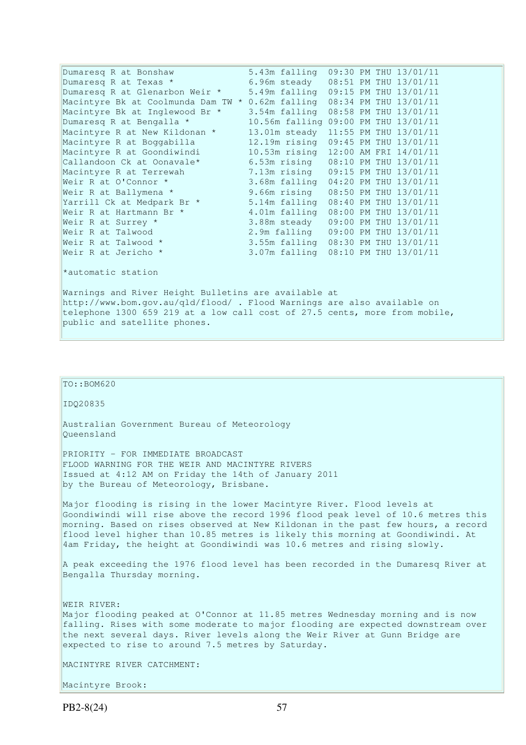| Dumaresq R at Bonshaw                                                      | 5.43m falling                        |  |  |  | 09:30 PM THU 13/01/11 |  |  |
|----------------------------------------------------------------------------|--------------------------------------|--|--|--|-----------------------|--|--|
| Dumaresq R at Texas *                                                      | 6.96m steady                         |  |  |  | 08:51 PM THU 13/01/11 |  |  |
| Dumaresq R at Glenarbon Weir *                                             | 5.49m falling 09:15 PM THU 13/01/11  |  |  |  |                       |  |  |
| Macintyre Bk at Coolmunda Dam TW * 0.62m falling 08:34 PM THU 13/01/11     |                                      |  |  |  |                       |  |  |
| Macintyre Bk at Inglewood Br *                                             | 3.54m falling 08:58 PM THU 13/01/11  |  |  |  |                       |  |  |
| Dumaresq R at Bengalla *                                                   | 10.56m falling 09:00 PM THU 13/01/11 |  |  |  |                       |  |  |
| Macintyre R at New Kildonan *                                              | 13.01m steady                        |  |  |  | 11:55 PM THU 13/01/11 |  |  |
| Macintyre R at Boggabilla                                                  | 12.19m rising 09:45 PM THU 13/01/11  |  |  |  |                       |  |  |
| Macintyre R at Goondiwindi                                                 | 10.53m rising                        |  |  |  | 12:00 AM FRI 14/01/11 |  |  |
| Callandoon Ck at Oonavale*                                                 | 6.53m rising                         |  |  |  | 08:10 PM THU 13/01/11 |  |  |
| Macintyre R at Terrewah                                                    | 7.13m rising                         |  |  |  | 09:15 PM THU 13/01/11 |  |  |
| Weir R at O'Connor *                                                       | 3.68m falling 04:20 PM THU 13/01/11  |  |  |  |                       |  |  |
| Weir R at Ballymena *                                                      | 9.66m rising                         |  |  |  | 08:50 PM THU 13/01/11 |  |  |
| Yarrill Ck at Medpark Br *                                                 | 5.14m falling 08:40 PM THU 13/01/11  |  |  |  |                       |  |  |
| Weir R at Hartmann Br *                                                    | 4.01m falling                        |  |  |  | 08:00 PM THU 13/01/11 |  |  |
| Weir R at Surrey *                                                         | 3.88m steady                         |  |  |  | 09:00 PM THU 13/01/11 |  |  |
| Weir R at Talwood                                                          | 2.9m falling                         |  |  |  | 09:00 PM THU 13/01/11 |  |  |
| Weir R at Talwood *                                                        | 3.55m falling 08:30 PM THU 13/01/11  |  |  |  |                       |  |  |
| Weir R at Jericho *                                                        | 3.07m falling 08:10 PM THU 13/01/11  |  |  |  |                       |  |  |
| *automatic station                                                         |                                      |  |  |  |                       |  |  |
| Warnings and River Height Bulletins are available at                       |                                      |  |  |  |                       |  |  |
| http://www.bom.gov.au/qld/flood/ . Flood Warnings are also available on    |                                      |  |  |  |                       |  |  |
| telephone 1300 659 219 at a low call cost of 27.5 cents, more from mobile, |                                      |  |  |  |                       |  |  |
| public and satellite phones.                                               |                                      |  |  |  |                       |  |  |

### TO::BOM620

IDQ20835

Australian Government Bureau of Meteorology Queensland

PRIORITY - FOR IMMEDIATE BROADCAST FLOOD WARNING FOR THE WEIR AND MACINTYRE RIVERS Issued at 4:12 AM on Friday the 14th of January 2011 by the Bureau of Meteorology, Brisbane.

Major flooding is rising in the lower Macintyre River. Flood levels at Goondiwindi will rise above the record 1996 flood peak level of 10.6 metres this morning. Based on rises observed at New Kildonan in the past few hours, a record flood level higher than 10.85 metres is likely this morning at Goondiwindi. At 4am Friday, the height at Goondiwindi was 10.6 metres and rising slowly.

A peak exceeding the 1976 flood level has been recorded in the Dumaresq River at Bengalla Thursday morning.

WEIR RIVER: Major flooding peaked at O'Connor at 11.85 metres Wednesday morning and is now falling. Rises with some moderate to major flooding are expected downstream over the next several days. River levels along the Weir River at Gunn Bridge are expected to rise to around 7.5 metres by Saturday.

MACINTYRE RIVER CATCHMENT:

Macintyre Brook: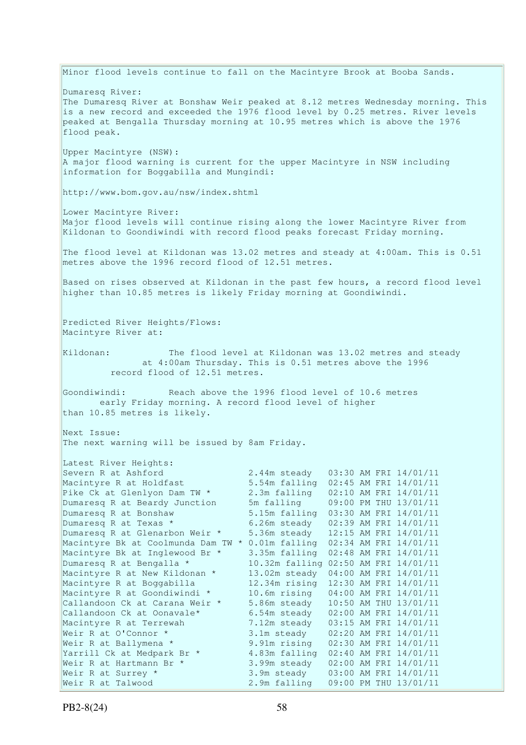Minor flood levels continue to fall on the Macintyre Brook at Booba Sands. Dumaresq River: The Dumaresq River at Bonshaw Weir peaked at 8.12 metres Wednesday morning. This is a new record and exceeded the 1976 flood level by 0.25 metres. River levels peaked at Bengalla Thursday morning at 10.95 metres which is above the 1976 flood peak. Upper Macintyre (NSW): A major flood warning is current for the upper Macintyre in NSW including information for Boggabilla and Mungindi: http://www.bom.gov.au/nsw/index.shtml Lower Macintyre River: Major flood levels will continue rising along the lower Macintyre River from Kildonan to Goondiwindi with record flood peaks forecast Friday morning. The flood level at Kildonan was 13.02 metres and steady at 4:00am. This is 0.51 metres above the 1996 record flood of 12.51 metres. Based on rises observed at Kildonan in the past few hours, a record flood level higher than 10.85 metres is likely Friday morning at Goondiwindi. Predicted River Heights/Flows: Macintyre River at: Kildonan: The flood level at Kildonan was 13.02 metres and steady at 4:00am Thursday. This is 0.51 metres above the 1996 record flood of 12.51 metres. Goondiwindi: Reach above the 1996 flood level of 10.6 metres early Friday morning. A record flood level of higher than 10.85 metres is likely. Next Issue: The next warning will be issued by 8am Friday. Latest River Heights: Severn R at Ashford 2.44m steady 03:30 AM FRI 14/01/11 Macintyre R at Holdfast 5.54m falling 02:45 AM FRI 14/01/11 Pike Ck at Glenlyon Dam TW \* 2.3m falling 02:10 AM FRI 14/01/11 Dumaresq R at Beardy Junction 5m falling 09:00 PM THU 13/01/11 Dumaresq R at Bonshaw 5.15m falling 03:30 AM FRI 14/01/11 Dumaresq R at Texas  $\star$  6.26m steady 02:39 AM FRI 14/01/11 Dumaresq R at Glenarbon Weir \* 5.36m steady 12:15 AM FRI 14/01/11 Macintyre Bk at Coolmunda Dam TW \* 0.01m falling 02:34 AM FRI 14/01/11 Macintyre Bk at Inglewood Br \* 3.35m falling 02:48 AM FRI 14/01/11 Dumaresq R at Bengalla \* 10.32m falling 02:50 AM FRI 14/01/11 Macintyre R at New Kildonan \* 13.02m steady 04:00 AM FRI 14/01/11 Macintyre R at Boggabilla 12.34m rising 12:30 AM FRI 14/01/11 Macintyre R at Goondiwindi \* 10.6m rising 04:00 AM FRI 14/01/11 Callandoon Ck at Carana Weir \* 5.86m steady 10:50 AM THU 13/01/11 Callandoon Ck at Oonavale\* 6.54m steady 02:00 AM FRI 14/01/11 Macintyre R at Terrewah 7.12m steady 03:15 AM FRI 14/01/11 Weir R at O'Connor \* 3.1m steady 02:20 AM FRI 14/01/11 Weir R at Ballymena \* 9.91m rising 02:30 AM FRI 14/01/11 Yarrill Ck at Medpark Br \* 4.83m falling 02:40 AM FRI 14/01/11 Weir R at Hartmann Br \* 3.99m steady 02:00 AM FRI 14/01/11 Weir R at Surrey \* 3.9m steady 03:00 AM FRI 14/01/11 Weir R at Talwood 2.9m falling 09:00 PM THU 13/01/11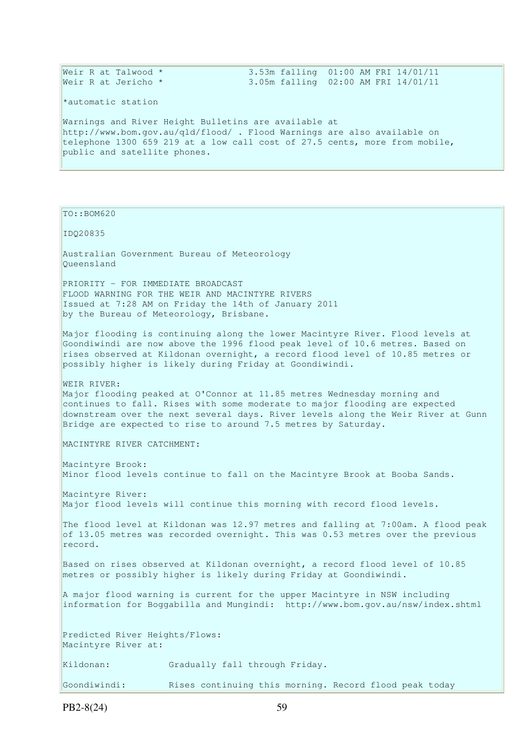|  | Weir R at Talwood * |  | 3.53m falling 01:00 AM FRI 14/01/11 |  |  |  |
|--|---------------------|--|-------------------------------------|--|--|--|
|  | Weir R at Jericho * |  | 3.05m falling 02:00 AM FRI 14/01/11 |  |  |  |

\*automatic station

Warnings and River Height Bulletins are available at http://www.bom.gov.au/qld/flood/ . Flood Warnings are also available on telephone 1300 659 219 at a low call cost of 27.5 cents, more from mobile, public and satellite phones.

#### TO::BOM620

#### IDQ20835

Australian Government Bureau of Meteorology Queensland

PRIORITY - FOR IMMEDIATE BROADCAST FLOOD WARNING FOR THE WEIR AND MACINTYRE RIVERS Issued at 7:28 AM on Friday the 14th of January 2011 by the Bureau of Meteorology, Brisbane.

Major flooding is continuing along the lower Macintyre River. Flood levels at Goondiwindi are now above the 1996 flood peak level of 10.6 metres. Based on rises observed at Kildonan overnight, a record flood level of 10.85 metres or possibly higher is likely during Friday at Goondiwindi.

WEIR RIVER: Major flooding peaked at O'Connor at 11.85 metres Wednesday morning and continues to fall. Rises with some moderate to major flooding are expected downstream over the next several days. River levels along the Weir River at Gunn Bridge are expected to rise to around 7.5 metres by Saturday.

MACINTYRE RIVER CATCHMENT:

Macintyre Brook: Minor flood levels continue to fall on the Macintyre Brook at Booba Sands.

Macintyre River: Major flood levels will continue this morning with record flood levels.

The flood level at Kildonan was 12.97 metres and falling at 7:00am. A flood peak of 13.05 metres was recorded overnight. This was  $0.53$  metres over the previous record.

Based on rises observed at Kildonan overnight, a record flood level of 10.85 metres or possibly higher is likely during Friday at Goondiwindi.

A major flood warning is current for the upper Macintyre in NSW including information for Boggabilla and Mungindi: http://www.bom.gov.au/nsw/index.shtml

Predicted River Heights/Flows: Macintyre River at: Kildonan: Gradually fall through Friday.

Goondiwindi: Rises continuing this morning. Record flood peak today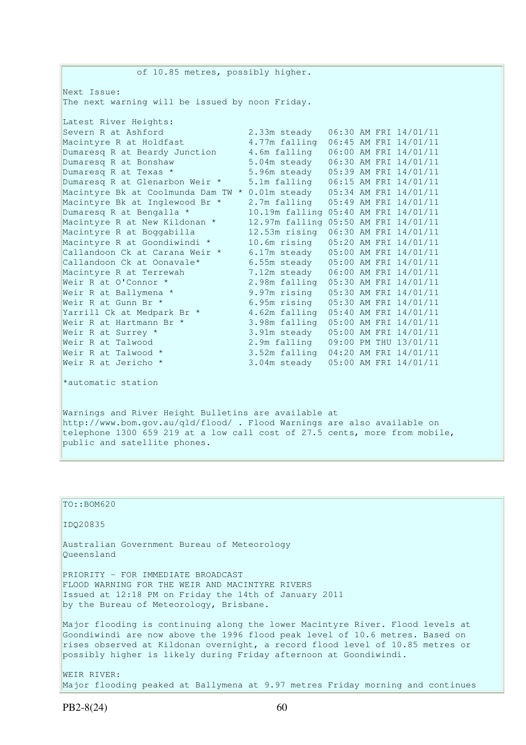of 10.85 metres, possibly higher. Next Issue: The next warning will be issued by noon Friday. Latest River Heights: Severn R at Ashford 2.33m steady 06:30 AM FRI 14/01/11<br>Macintyre R at Holdfast 4.77m falling 06:45 AM FRI 14/01/11 4.77m falling 06:45 AM FRI 14/01/11 Dumaresq R at Beardy Junction 4.6m falling 06:00 AM FRI 14/01/11<br>Dumaresq R at Bonshaw 5.04m steady 06:30 AM FRI 14/01/11 Dumaresq R at Bonshaw 5.04m steady 06:30 AM FRI 14/01/11<br>Dumaresq R at Texas \* 5.96m steady 05:39 AM FRI 14/01/11 5.96m steady 05:39 AM FRI 14/01/11 Dumaresq R at Glenarbon Weir \* 5.1m falling 06:15 AM FRI 14/01/11 Macintyre Bk at Coolmunda Dam TW \* 0.01m steady 05:34 AM FRI 14/01/11 Macintyre Bk at Inglewood Br \* 2.7m falling 05:49 AM FRI 14/01/11 Dumaresq R at Bengalla \* 10.19m falling 05:40 AM FRI 14/01/11 Macintyre R at New Kildonan \* 12.97m falling 05:50 AM FRI 14/01/11 Macintyre R at Boggabilla 12.53m rising 06:30 AM FRI 14/01/11 Macintyre R at Goondiwindi \* 10.6m rising 05:20 AM FRI 14/01/11 Callandoon Ck at Carana Weir \* 6.17m steady 05:00 AM FRI 14/01/11 Callandoon Ck at Oonavale\* 6.55m steady 05:00 AM FRI 14/01/11 Macintyre R at Terrewah 7.12m steady 06:00 AM FRI 14/01/11 Weir R at O'Connor \* 2.98m falling 05:30 AM FRI 14/01/11 Weir R at Ballymena \* 9.97m rising 05:30 AM FRI 14/01/11 Weir R at Gunn Br \* 6.95m rising 05:30 AM FRI 14/01/11 Yarrill Ck at Medpark Br \* 4.62m falling 05:40 AM FRI 14/01/11 Weir R at Hartmann Br \* 3.98m falling 05:00 AM FRI 14/01/11 Weir R at Surrey \* 3.91m steady 05:00 AM FRI 14/01/11 Weir R at Talwood 2.9m falling 09:00 PM THU 13/01/11 Weir R at Talwood \* 3.52m falling 04:20 AM FRI 14/01/11 3.04m steady 05:00 AM FRI 14/01/11 Weir R at Talwood \*<br>Weir R at Jericho \* \*automatic station Warnings and River Height Bulletins are available at http://www.bom.gov.au/qld/flood/ . Flood Warnings are also available on

telephone 1300 659 219 at a low call cost of 27.5 cents, more from mobile, public and satellite phones.

TO::BOM620 IDQ20835 Australian Government Bureau of Meteorology Queensland PRIORITY - FOR IMMEDIATE BROADCAST FLOOD WARNING FOR THE WEIR AND MACINTYRE RIVERS Issued at 12:18 PM on Friday the 14th of January 2011 by the Bureau of Meteorology, Brisbane. Major flooding is continuing along the lower Macintyre River. Flood levels at Goondiwindi are now above the 1996 flood peak level of 10.6 metres. Based on rises observed at Kildonan overnight, a record flood level of 10.85 metres or possibly higher is likely during Friday afternoon at Goondiwindi. WEIR RIVER: Major flooding peaked at Ballymena at 9.97 metres Friday morning and continues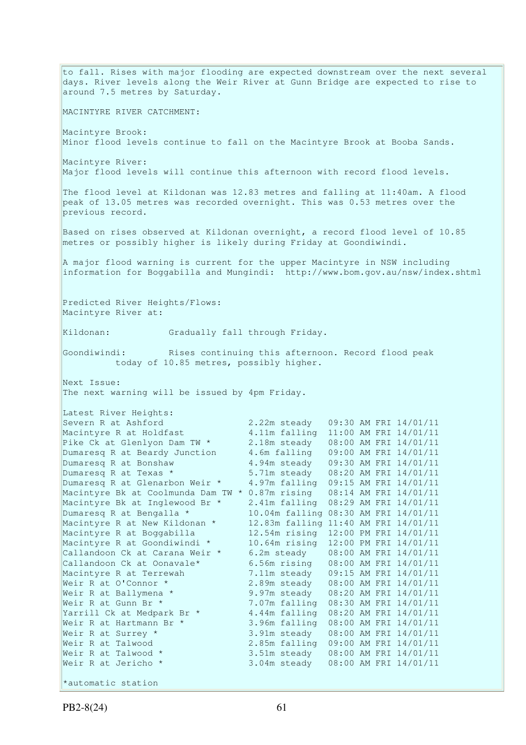to fall. Rises with major flooding are expected downstream over the next several days. River levels along the Weir River at Gunn Bridge are expected to rise to around 7.5 metres by Saturday. MACINTYRE RIVER CATCHMENT: Macintyre Brook: Minor flood levels continue to fall on the Macintyre Brook at Booba Sands. Macintyre River: Major flood levels will continue this afternoon with record flood levels. The flood level at Kildonan was 12.83 metres and falling at 11:40am. A flood peak of 13.05 metres was recorded overnight. This was 0.53 metres over the previous record. Based on rises observed at Kildonan overnight, a record flood level of 10.85 metres or possibly higher is likely during Friday at Goondiwindi. A major flood warning is current for the upper Macintyre in NSW including information for Boggabilla and Mungindi: http://www.bom.gov.au/nsw/index.shtml Predicted River Heights/Flows: Macintyre River at: Kildonan: Gradually fall through Friday. Goondiwindi: Rises continuing this afternoon. Record flood peak today of 10.85 metres, possibly higher. Next Issue: The next warning will be issued by 4pm Friday. Latest River Heights:<br>Severn R at Ashford 2.22m steady 09:30 AM FRI 14/01/11 Macintyre R at Holdfast 4.11m falling 11:00 AM FRI 14/01/11 Pike Ck at Glenlyon Dam TW \* 2.18m steady 08:00 AM FRI 14/01/11 Dumaresq R at Beardy Junction 4.6m falling 09:00 AM FRI 14/01/11 Dumaresq R at Bonshaw 4.94m steady 09:30 AM FRI 14/01/11 Dumaresq R at Texas \* 5.71m steady 08:20 AM FRI 14/01/11 Dumaresq R at Glenarbon Weir \* 4.97m falling 09:15 AM FRI 14/01/11 Macintyre Bk at Coolmunda Dam TW \* 0.87m rising 08:14 AM FRI 14/01/11 Macintyre Bk at Inglewood Br \* 2.41m falling 08:29 AM FRI 14/01/11 Dumaresq R at Bengalla \* 10.04m falling 08:30 AM FRI 14/01/11 Macintyre R at New Kildonan \* 12.83m falling 11:40 AM FRI 14/01/11 Macintyre R at Boggabilla 12.54m rising 12:00 PM FRI 14/01/11 Macintyre R at Goondiwindi \* 10.64m rising 12:00 PM FRI 14/01/11 Callandoon Ck at Carana Weir \* 6.2m steady 08:00 AM FRI 14/01/11 Callandoon Ck at Oonavale\* 6.56m rising 08:00 AM FRI 14/01/11 Macintyre R at Terrewah 7.11m steady 09:15 AM FRI 14/01/11 Weir R at O'Connor \* 2.89m steady 08:00 AM FRI 14/01/11<br>Weir R at Ballymena \* 9.97m steady 08:20 AM FRI 14/01/11<br>Weir R at Gunn Br \* 7.07m falling 08:30 AM FRI 14/01/11<br>Narrill Chat Maduus 2000 9.97m steady 08:20 AM FRI 14/01/11 7.07m falling 08:30 AM FRI 14/01/11 Yarrill Ck at Medpark Br \*  $4.44$ m falling  $08:20$  AM FRI  $14/01/11$ Weir R at Hartmann Br \* 3.96m falling 08:00 AM FRI 14/01/11 Weir R at Surrey \* 3.91m steady 08:00 AM FRI 14/01/11 Weir R at Talwood 2.85m falling 09:00 AM FRI 14/01/11 Weir R at Talwood \* 3.51m steady 08:00 AM FRI 14/01/11 Weir R at Jericho \* 3.04m steady 08:00 AM FRI 14/01/11 \*automatic station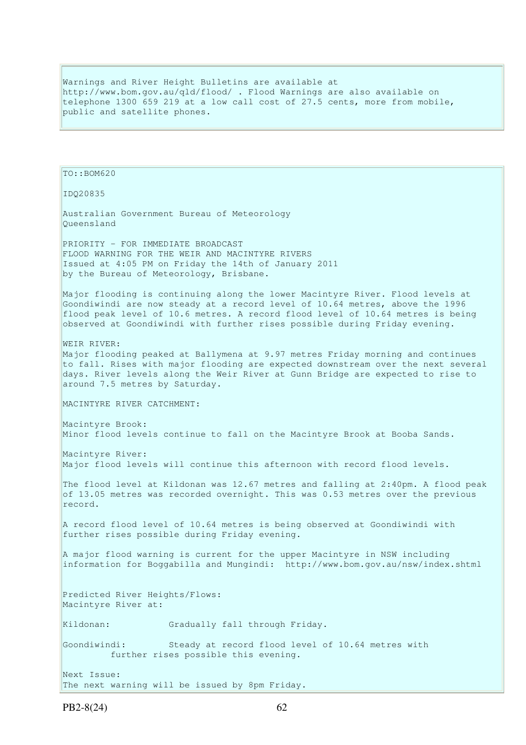Warnings and River Height Bulletins are available at http://www.bom.gov.au/qld/flood/ . Flood Warnings are also available on telephone 1300 659 219 at a low call cost of 27.5 cents, more from mobile, public and satellite phones.

```
TO::BOM620 
IDQ20835 
Australian Government Bureau of Meteorology 
Queensland 
PRIORITY - FOR IMMEDIATE BROADCAST 
FLOOD WARNING FOR THE WEIR AND MACINTYRE RIVERS 
Issued at 4:05 PM on Friday the 14th of January 2011 
by the Bureau of Meteorology, Brisbane.
Major flooding is continuing along the lower Macintyre River. Flood levels at 
Goondiwindi are now steady at a record level of 10.64 metres, above the 1996
flood peak level of 10.6 metres. A record flood level of 10.64 metres is being 
observed at Goondiwindi with further rises possible during Friday evening. 
WEIR RIVER: 
Major flooding peaked at Ballymena at 9.97 metres Friday morning and continues 
to fall. Rises with major flooding are expected downstream over the next several 
days. River levels along the Weir River at Gunn Bridge are expected to rise to 
around 7.5 metres by Saturday. 
MACINTYRE RIVER CATCHMENT: 
Macintyre Brook: 
Minor flood levels continue to fall on the Macintyre Brook at Booba Sands. 
Macintyre River: 
Major flood levels will continue this afternoon with record flood levels. 
The flood level at Kildonan was 12.67 metres and falling at 2:40pm. A flood peak 
of 13.05 metres was recorded overnight. This was 0.53 metres over the previous
record. 
A record flood level of 10.64 metres is being observed at Goondiwindi with 
further rises possible during Friday evening. 
A major flood warning is current for the upper Macintyre in NSW including 
information for Boggabilla and Mungindi: http://www.bom.gov.au/nsw/index.shtml 
Predicted River Heights/Flows: 
Macintyre River at: 
Kildonan: Gradually fall through Friday.
Goondiwindi: Steady at record flood level of 10.64 metres with 
          further rises possible this evening. 
Next Issue: 
The next warning will be issued by 8pm Friday.
```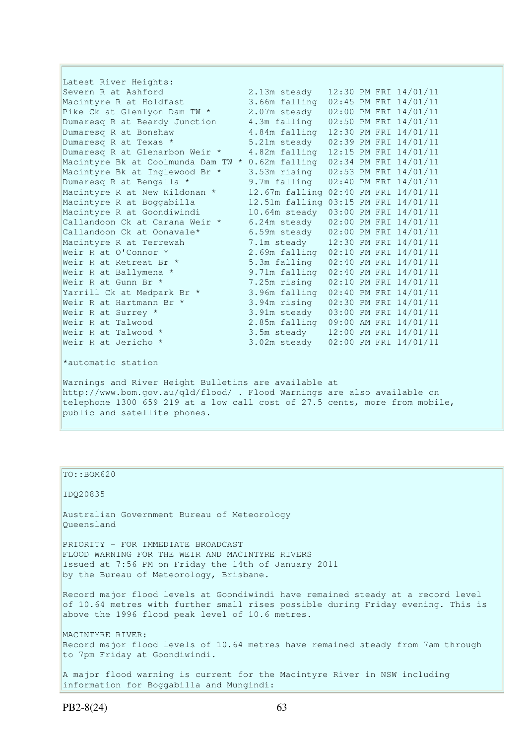Latest River Heights: Severn R at Ashford 2.13m steady 12:30 PM FRI 14/01/11<br>Macintyre R at Holdfast 3.66m falling 02:45 PM FRI 14/01/11 Macintyre R at Holdfast 3.66m falling 02:45 PM FRI 14/01/11 Pike Ck at Glenlyon Dam TW  $*$  2.07m steady 02:00 PM FRI 14/01/11 Dumaresq R at Beardy Junction 4.3m falling 02:50 PM FRI 14/01/11 Dumaresq R at Bonshaw 4.84m falling 12:30 PM FRI 14/01/11 Dumaresq R at Texas  $\star$  5.21m steady 02:39 PM FRI 14/01/11 Dumaresq R at Glenarbon Weir \* 4.82m falling 12:15 PM FRI 14/01/11 Macintyre Bk at Coolmunda Dam TW  $*$  0.62m falling 02:34 PM FRI 14/01/11 Macintyre Bk at Inglewood Br \* 3.53m rising 02:53 PM FRI 14/01/11 Dumaresq R at Bengalla \* 9.7m falling 02:40 PM FRI 14/01/11 Macintyre R at New Kildonan \* 12.67m falling 02:40 PM FRI 14/01/11 Macintyre R at Boggabilla 12.51m falling 03:15 PM FRI 14/01/11 Macintyre R at Goondiwindi 10.64m steady 03:00 PM FRI 14/01/11 Callandoon Ck at Carana Weir \* 6.24m steady 02:00 PM FRI 14/01/11 Callandoon Ck at Oonavale\* 6.59m steady 02:00 PM FRI 14/01/11 Macintyre R at Terrewah 7.1m steady 12:30 PM FRI 14/01/11 Weir R at O'Connor \* 2.69m falling 02:10 PM FRI 14/01/11 Weir R at Retreat Br \* 5.3m falling 02:40 PM FRI 14/01/11 Weir R at Ballymena \* 9.71m falling 02:40 PM FRI 14/01/11 Weir R at Gunn Br \* 7.25m rising 02:10 PM FRI 14/01/11 Yarrill Ck at Medpark Br \* 3.96m falling 02:40 PM FRI 14/01/11 Weir R at Hartmann Br \* 3.94m rising 02:30 PM FRI 14/01/11 Weir R at Surrey \* 3.91m steady 03:00 PM FRI 14/01/11 Weir R at Talwood 2.85m falling 09:00 AM FRI 14/01/11 Weir R at Talwood \* 3.5m steady 12:00 PM FRI 14/01/11 Weir R at Jericho \* 3.02m steady 02:00 PM FRI 14/01/11 \*automatic station Warnings and River Height Bulletins are available at

http://www.bom.gov.au/qld/flood/ . Flood Warnings are also available on telephone 1300 659 219 at a low call cost of 27.5 cents, more from mobile, public and satellite phones.

TO::BOM620 IDQ20835 Australian Government Bureau of Meteorology Queensland PRIORITY - FOR IMMEDIATE BROADCAST FLOOD WARNING FOR THE WEIR AND MACINTYRE RIVERS Issued at 7:56 PM on Friday the 14th of January 2011 by the Bureau of Meteorology, Brisbane. Record major flood levels at Goondiwindi have remained steady at a record level of 10.64 metres with further small rises possible during Friday evening. This is above the 1996 flood peak level of 10.6 metres. MACINTYRE RIVER: Record major flood levels of 10.64 metres have remained steady from 7am through to 7pm Friday at Goondiwindi. A major flood warning is current for the Macintyre River in NSW including information for Boggabilla and Mungindi: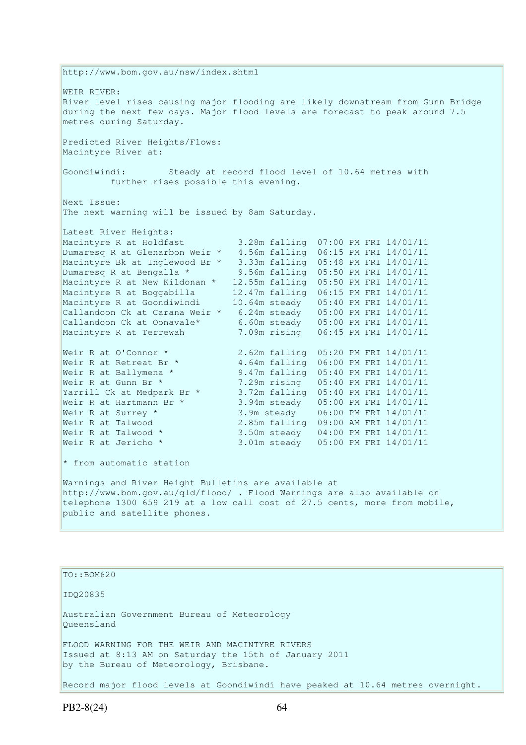http://www.bom.gov.au/nsw/index.shtml WEIR RIVER: River level rises causing major flooding are likely downstream from Gunn Bridge during the next few days. Major flood levels are forecast to peak around 7.5 metres during Saturday. Predicted River Heights/Flows: Macintyre River at: Goondiwindi: Steady at record flood level of 10.64 metres with further rises possible this evening. Next Issue: The next warning will be issued by 8am Saturday. Latest River Heights: Macintyre R at Holdfast 3.28m falling 07:00 PM FRI 14/01/11 Dumaresq R at Glenarbon Weir \* 4.56m falling 06:15 PM FRI 14/01/11 Macintyre Bk at Inglewood Br \* 3.33m falling 05:48 PM FRI 14/01/11 Dumaresq R at Bengalla \* 9.56m falling 05:50 PM FRI 14/01/11 Macintyre R at New Kildonan \* 12.55m falling 05:50 PM FRI 14/01/11 Macintyre R at Boggabilla 12.47m falling 06:15 PM FRI 14/01/11 Macintyre R at Goondiwindi 10.64m steady 05:40 PM FRI 14/01/11 Callandoon Ck at Carana Weir \* 6.24m steady 05:00 PM FRI 14/01/11 Callandoon Ck at Oonavale\* 6.60m steady 05:00 PM FRI 14/01/11 Macintyre R at Terrewah 7.09m rising 06:45 PM FRI 14/01/11 Weir R at O'Connor \* 2.62m falling 05:20 PM FRI 14/01/11<br>Weir R at Retreat Br \* 4.64m falling 06:00 PM FRI 14/01/11 4.64m falling 06:00 PM FRI 14/01/11 Weir R at Ballymena \* 9.47m falling 05:40 PM FRI 14/01/11 Weir R at Gunn Br \* 7.29m rising 05:40 PM FRI 14/01/11 Yarrill Ck at Medpark Br \* 3.72m falling 05:40 PM FRI 14/01/11 Weir R at Hartmann Br \* 3.94m steady 05:00 PM FRI 14/01/11 Weir R at Surrey \* 3.9m steady 06:00 PM FRI 14/01/11 Weir R at Talwood 2.85m falling 09:00 AM FRI 14/01/11 Weir R at Talwood \* 3.50m steady 04:00 PM FRI 14/01/11<br>Weir R at Jericho \* 3.01m steady 05:00 PM FRI 14/01/11 3.01m steady 05:00 PM FRI 14/01/11  $*$  from automatic station Warnings and River Height Bulletins are available at http://www.bom.gov.au/qld/flood/ . Flood Warnings are also available on telephone 1300 659 219 at a low call cost of 27.5 cents, more from mobile, public and satellite phones. TO::BOM620 IDQ20835 Australian Government Bureau of Meteorology Queensland FLOOD WARNING FOR THE WEIR AND MACINTYRE RIVERS Issued at 8:13 AM on Saturday the 15th of January 2011

by the Bureau of Meteorology, Brisbane.

Record major flood levels at Goondiwindi have peaked at 10.64 metres overnight.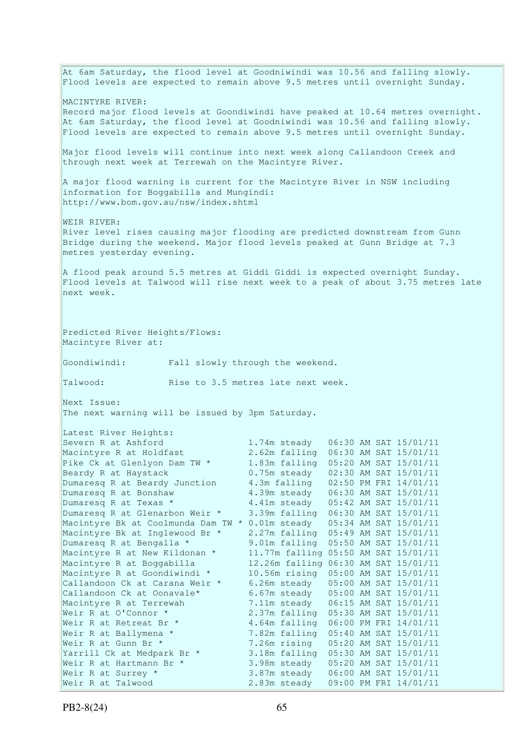At 6am Saturday, the flood level at Goodniwindi was 10.56 and falling slowly. Flood levels are expected to remain above 9.5 metres until overnight Sunday. MACINTYRE RIVER: Record major flood levels at Goondiwindi have peaked at 10.64 metres overnight. At 6am Saturday, the flood level at Goodniwindi was 10.56 and falling slowly. Flood levels are expected to remain above 9.5 metres until overnight Sunday. Major flood levels will continue into next week along Callandoon Creek and through next week at Terrewah on the Macintyre River. A major flood warning is current for the Macintyre River in NSW including information for Boggabilla and Mungindi: http://www.bom.gov.au/nsw/index.shtml WEIR RIVER: River level rises causing major flooding are predicted downstream from Gunn Bridge during the weekend. Major flood levels peaked at Gunn Bridge at 7.3 metres yesterday evening. A flood peak around 5.5 metres at Giddi Giddi is expected overnight Sunday. Flood levels at Talwood will rise next week to a peak of about 3.75 metres late next week. Predicted River Heights/Flows: Macintyre River at: Goondiwindi: Fall slowly through the weekend. Talwood: Rise to 3.5 metres late next week. Next Issue: The next warning will be issued by 3pm Saturday. Latest River Heights: Severn R at Ashford 1.74m steady 06:30 AM SAT 15/01/11<br>Macintyre R at Holdfast 2.62m falling 06:30 AM SAT 15/01/11 2.62m falling 06:30 AM SAT 15/01/11 Pike Ck at Glenlyon Dam TW \* 1.83m falling 05:20 AM SAT 15/01/11 Beardy R at Haystack 0.75m steady 02:30 AM SAT 15/01/11 Dumaresq R at Beardy Junction 4.3m falling 02:50 AM SAT 13/01/11<br>Dumaresq R at Bonshaw 4.39m steady 06:30 AM SAT 15/01/11 4.39m steady 06:30 AM SAT 15/01/11 Dumaresq R at Texas \* 4.41m steady 05:42 AM SAT 15/01/11 Dumaresq R at Glenarbon Weir \* 3.39m falling 06:30 AM SAT 15/01/11 Macintyre Bk at Coolmunda Dam TW \* 0.01m steady 05:34 AM SAT 15/01/11 Macintyre Bk at Inglewood Br \* 2.27m falling 05:49 AM SAT 15/01/11<br>Dumaresq R at Bengalla \* 9.01m falling 05:50 AM SAT 15/01/11 Dumaresq R at Bengalla \* 9.01m falling 05:50 AM SAT 15/01/11 Macintyre R at New Kildonan \* 11.77m falling 05:50 AM SAT 15/01/11 Macintyre R at Boggabilla 12.26m falling 06:30 AM SAT 15/01/11 Macintyre R at Goondiwindi \* 10.56m rising 05:00 AM SAT 15/01/11 Callandoon Ck at Carana Weir \* 6.26m steady 05:00 AM SAT 15/01/11 Callandoon Ck at Oonavale\* 6.67m steady 05:00 AM SAT 15/01/11 Macintyre R at Terrewah 7.11m steady 06:15 AM SAT 15/01/11 Weir R at O'Connor \* 2.37m falling 05:30 AM SAT 15/01/11<br>
Weir R at Retreat Br \* 4.64m falling 06:00 PM FRI 14/01/11<br>
Weir R at Ballymena \* 7.82m falling 05:40 AM SAT 15/01/11<br>
Weir R at Gunn Br \* 7.26m rising 05:20 AM SAT 4.64m falling 06:00 PM FRI 14/01/11 7.82m falling 05:40 AM SAT 15/01/11 Weir R at Gunn Br \* 7.26m rising 05:20 AM SAT 15/01/11 Yarrill Ck at Medpark Br \* 3.18m falling 05:30 AM SAT 15/01/11 Weir R at Hartmann Br  $\star$  3.98m steady 05:20 AM SAT 15/01/11 Weir R at Surrey \* 3.87m steady 06:00 AM SAT 15/01/11 Weir R at Talwood 2.83m steady 09:00 PM FRI 14/01/11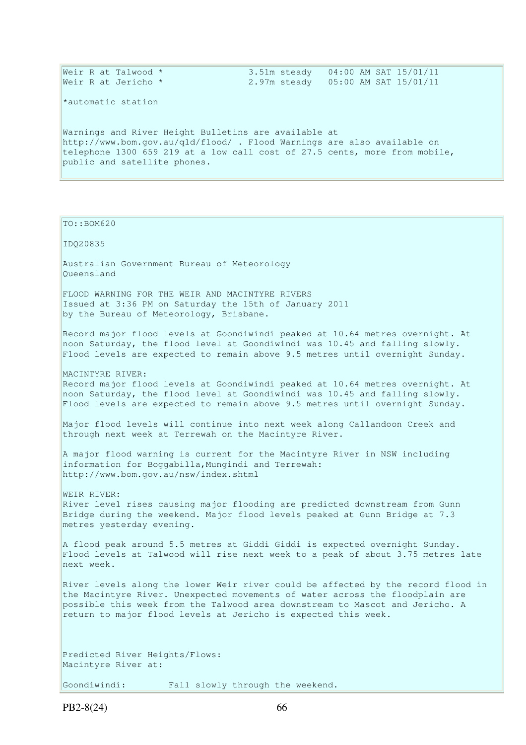|  | Weir R at Talwood * |  | $3.51$ m steady $04:00$ AM SAT $15/01/11$ |  |  |  |
|--|---------------------|--|-------------------------------------------|--|--|--|
|  | Weir R at Jericho * |  | 2.97m steady 05:00 AM SAT 15/01/11        |  |  |  |
|  |                     |  |                                           |  |  |  |

\*automatic station

Warnings and River Height Bulletins are available at http://www.bom.gov.au/qld/flood/ . Flood Warnings are also available on telephone 1300 659 219 at a low call cost of 27.5 cents, more from mobile, public and satellite phones.

| TO::BOM620                                                                                                                                                                                                                                                                                                         |  |
|--------------------------------------------------------------------------------------------------------------------------------------------------------------------------------------------------------------------------------------------------------------------------------------------------------------------|--|
| IDQ20835                                                                                                                                                                                                                                                                                                           |  |
| Australian Government Bureau of Meteorology<br>Oueensland                                                                                                                                                                                                                                                          |  |
| FLOOD WARNING FOR THE WEIR AND MACINTYRE RIVERS<br>Issued at 3:36 PM on Saturday the 15th of January 2011<br>by the Bureau of Meteorology, Brisbane.                                                                                                                                                               |  |
| Record major flood levels at Goondiwindi peaked at 10.64 metres overnight. At<br>noon Saturday, the flood level at Goondiwindi was 10.45 and falling slowly.<br>Flood levels are expected to remain above 9.5 metres until overnight Sunday.                                                                       |  |
| MACINTYRE RIVER:<br>Record major flood levels at Goondiwindi peaked at 10.64 metres overnight. At<br>noon Saturday, the flood level at Goondiwindi was 10.45 and falling slowly.<br>Flood levels are expected to remain above 9.5 metres until overnight Sunday.                                                   |  |
| Major flood levels will continue into next week along Callandoon Creek and<br>through next week at Terrewah on the Macintyre River.                                                                                                                                                                                |  |
| A major flood warning is current for the Macintyre River in NSW including<br>information for Boggabilla, Mungindi and Terrewah:<br>http://www.bom.gov.au/nsw/index.shtml                                                                                                                                           |  |
| WEIR RIVER:<br>River level rises causing major flooding are predicted downstream from Gunn<br>Bridge during the weekend. Major flood levels peaked at Gunn Bridge at 7.3<br>metres yesterday evening.                                                                                                              |  |
| A flood peak around 5.5 metres at Giddi Giddi is expected overnight Sunday.<br>Flood levels at Talwood will rise next week to a peak of about 3.75 metres late<br>next week.                                                                                                                                       |  |
| River levels along the lower Weir river could be affected by the record flood in<br>the Macintyre River. Unexpected movements of water across the floodplain are<br>possible this week from the Talwood area downstream to Mascot and Jericho. A<br>return to major flood levels at Jericho is expected this week. |  |
| Predicted River Heights/Flows:<br>Macintyre River at:                                                                                                                                                                                                                                                              |  |
| Goondiwindi:<br>Fall slowly through the weekend.                                                                                                                                                                                                                                                                   |  |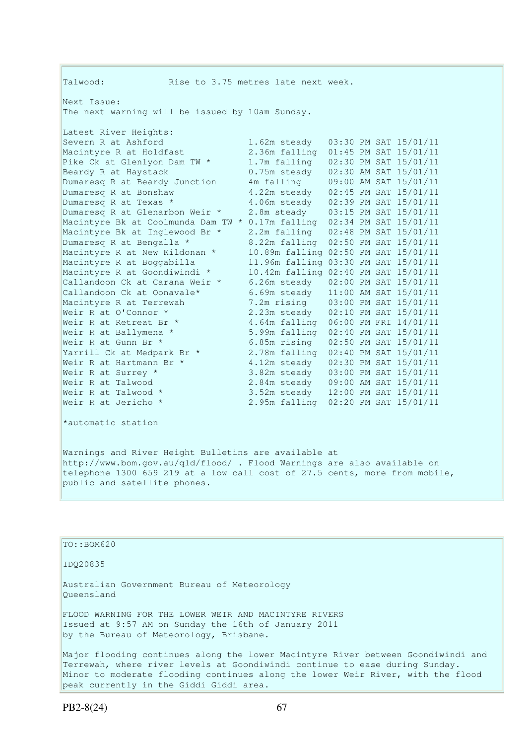| Talwood:                                        | Rise to 3.75 metres late next week.  |  |                       |
|-------------------------------------------------|--------------------------------------|--|-----------------------|
| Next Issue:                                     |                                      |  |                       |
| The next warning will be issued by 10am Sunday. |                                      |  |                       |
| Latest River Heights:                           |                                      |  |                       |
| Severn R at Ashford                             | 1.62m steady                         |  | 03:30 PM SAT 15/01/11 |
| Macintyre R at Holdfast                         | 2.36m falling                        |  | 01:45 PM SAT 15/01/11 |
| Pike Ck at Glenlyon Dam TW *                    | 1.7m falling                         |  | 02:30 PM SAT 15/01/11 |
| Beardy R at Haystack                            | 0.75m steady                         |  | 02:30 AM SAT 15/01/11 |
| Dumaresq R at Beardy Junction                   | 4m falling                           |  | 09:00 AM SAT 15/01/11 |
| Dumaresq R at Bonshaw                           | 4.22m steady                         |  | 02:45 PM SAT 15/01/11 |
| Dumaresq R at Texas *                           | 4.06m steady                         |  | 02:39 PM SAT 15/01/11 |
| Dumaresq R at Glenarbon Weir *                  | 2.8m steady                          |  | 03:15 PM SAT 15/01/11 |
| Macintyre Bk at Coolmunda Dam TW *              | 0.17m falling                        |  | 02:34 PM SAT 15/01/11 |
| Macintyre Bk at Inglewood Br *                  | 2.2m falling                         |  | 02:48 PM SAT 15/01/11 |
| Dumaresq R at Bengalla *                        | 8.22m falling                        |  | 02:50 PM SAT 15/01/11 |
| Macintyre R at New Kildonan *                   | 10.89m falling 02:50 PM SAT 15/01/11 |  |                       |
| Macintyre R at Boggabilla                       | 11.96m falling 03:30 PM SAT 15/01/11 |  |                       |
| Macintyre R at Goondiwindi *                    | 10.42m falling 02:40 PM SAT 15/01/11 |  |                       |
| Callandoon Ck at Carana Weir *                  | 6.26m steady                         |  | 02:00 PM SAT 15/01/11 |
| Callandoon Ck at Oonavale*                      | 6.69m steady                         |  | 11:00 AM SAT 15/01/11 |
| Macintyre R at Terrewah                         | 7.2m rising                          |  | 03:00 PM SAT 15/01/11 |
| Weir R at O'Connor *                            | 2.23m steady                         |  | 02:10 PM SAT 15/01/11 |
| Weir R at Retreat Br *                          | 4.64m falling                        |  | 06:00 PM FRI 14/01/11 |
| Weir R at Ballymena *                           | 5.99m falling                        |  | 02:40 PM SAT 15/01/11 |
| Weir R at Gunn Br *                             | 6.85m rising                         |  | 02:50 PM SAT 15/01/11 |
| Yarrill Ck at Medpark Br *                      | 2.78m falling                        |  | 02:40 PM SAT 15/01/11 |
| Weir R at Hartmann Br *                         | 4.12m steady                         |  | 02:30 PM SAT 15/01/11 |
| Weir R at Surrey *                              | 3.82m steady                         |  | 03:00 PM SAT 15/01/11 |
| Weir R at Talwood                               | 2.84m steady                         |  | 09:00 AM SAT 15/01/11 |
| Weir R at Talwood *                             | 3.52m steady                         |  | 12:00 PM SAT 15/01/11 |
| Weir R at Jericho *                             | 2.95m falling                        |  | 02:20 PM SAT 15/01/11 |
| *automatic station                              |                                      |  |                       |
|                                                 |                                      |  |                       |
|                                                 |                                      |  |                       |

Warnings and River Height Bulletins are available at http://www.bom.gov.au/qld/flood/ . Flood Warnings are also available on telephone 1300 659 219 at a low call cost of 27.5 cents, more from mobile, public and satellite phones.

| $ITO: BOM620$                                                                                                 |
|---------------------------------------------------------------------------------------------------------------|
| ID020835                                                                                                      |
| Australian Government Bureau of Meteorology                                                                   |
| Oueensland                                                                                                    |
| FLOOD WARNING FOR THE LOWER WEIR AND MACINTYRE RIVERS<br>Issued at 9:57 AM on Sunday the 16th of January 2011 |
| by the Bureau of Meteorology, Brisbane.                                                                       |
| Major flooding continues along the lower Macintyre River between Goondiwindi and                              |
| Terrewah, where river levels at Goondiwindi continue to ease during Sunday.                                   |
| Minor to moderate flooding continues along the lower Weir River, with the flood                               |
| peak currently in the Giddi Giddi area.                                                                       |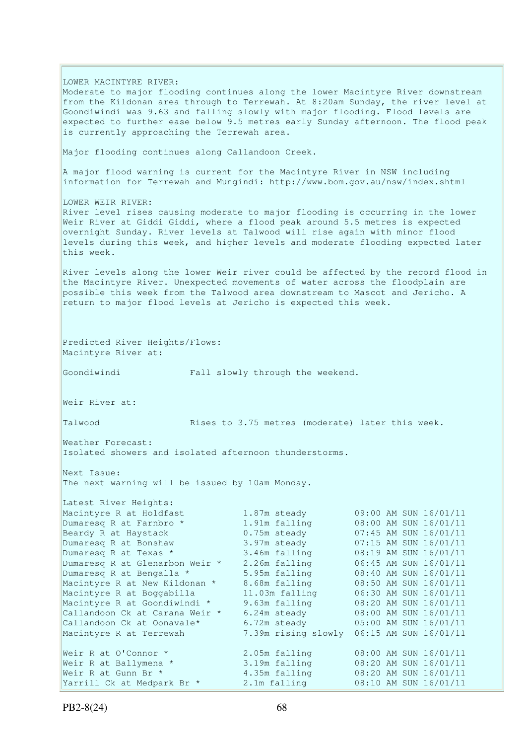LOWER MACINTYRE RIVER: Moderate to major flooding continues along the lower Macintyre River downstream from the Kildonan area through to Terrewah. At 8:20am Sunday, the river level at Goondiwindi was 9.63 and falling slowly with major flooding. Flood levels are expected to further ease below 9.5 metres early Sunday afternoon. The flood peak is currently approaching the Terrewah area. Major flooding continues along Callandoon Creek. A major flood warning is current for the Macintyre River in NSW including information for Terrewah and Mungindi: http://www.bom.gov.au/nsw/index.shtml LOWER WEIR RIVER. River level rises causing moderate to major flooding is occurring in the lower Weir River at Giddi Giddi, where a flood peak around 5.5 metres is expected overnight Sunday. River levels at Talwood will rise again with minor flood levels during this week, and higher levels and moderate flooding expected later this week. River levels along the lower Weir river could be affected by the record flood in the Macintyre River. Unexpected movements of water across the floodplain are possible this week from the Talwood area downstream to Mascot and Jericho. A return to major flood levels at Jericho is expected this week. Predicted River Heights/Flows: Macintyre River at: Goondiwindi Fall slowly through the weekend. Weir River at: Talwood **Rises to 3.75 metres (moderate)** later this week. Weather Forecast: Isolated showers and isolated afternoon thunderstorms. Next Issue: The next warning will be issued by 10am Monday. Latest River Heights: Macintyre R at Holdfast 1.87m steady 09:00 AM SUN 16/01/11 Dumaresq R at Farnbro \* 1.91m falling 08:00 AM SUN 16/01/11 Beardy R at Haystack 0.75m steady 07:45 AM SUN 16/01/11 Dumaresq R at Bonshaw 3.97m steady 07:15 AM SUN 16/01/11 Dumaresq R at Texas \* 3.46m falling 08:19 AM SUN 16/01/11 Dumaresq R at Glenarbon Weir \* 2.26m falling 06:45 AM SUN 16/01/11 Dumaresq R at Bengalla \* 5.95m falling 08:40 AM SUN 16/01/11 Macintyre R at New Kildonan \* 8.68m falling 08:50 AM SUN 16/01/11 Macintyre R at Boggabilla 11.03m falling 06:30 AM SUN 16/01/11 Macintyre R at Goondiwindi \* 9.63m falling 08:20 AM SUN 16/01/11 Callandoon Ck at Carana Weir \* 6.24m steady 08:00 AM SUN 16/01/11 Callandoon Ck at Oonavale\*  $6.72$ m steady  $05:00$  AM SUN  $16/01/11$ Macintyre R at Terrewah 7.39m rising slowly 06:15 AM SUN 16/01/11 Weir R at O'Connor \* 2.05m falling 08:00 AM SUN 16/01/11 Weir R at Ballymena \* 3.19m falling 08:20 AM SUN 16/01/11 Weir R at Gunn Br \* 4.35m falling 08:20 AM SUN 16/01/11 Yarrill Ck at Medpark Br \* 2.1m falling 08:10 AM SUN 16/01/11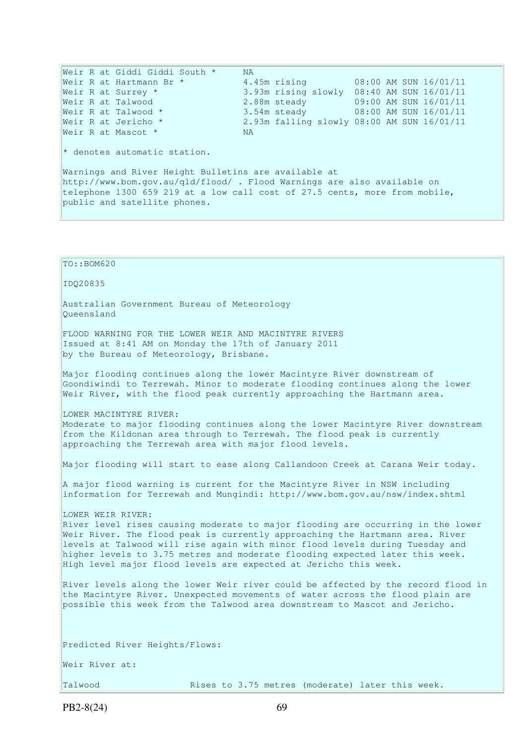Weir R at Giddi Giddi South \* NA Weir R at Hartmann Br \* 4.45m rising 08:00 AM SUN 16/01/11 Weir R at Surrey \* 3.93m rising slowly 08:40 AM SUN 16/01/11 Weir R at Talwood 2.88m steady 09:00 AM SUN 16/01/11 Weir R at Talwood \* 3.54m steady 08:00 AM SUN 16/01/11 Weir R at Jericho \* 2.93m falling slowly 08:00 AM SUN 16/01/11 Weir R at Mascot \* NA  $*$  denotes automatic station. Warnings and River Height Bulletins are available at http://www.bom.gov.au/qld/flood/ . Flood Warnings are also available on telephone 1300 659 219 at a low call cost of 27.5 cents, more from mobile, public and satellite phones. TO::BOM620 IDQ20835 Australian Government Bureau of Meteorology Queensland FLOOD WARNING FOR THE LOWER WEIR AND MACINTYRE RIVERS Issued at 8:41 AM on Monday the 17th of January 2011 by the Bureau of Meteorology, Brisbane. Major flooding continues along the lower Macintyre River downstream of Goondiwindi to Terrewah. Minor to moderate flooding continues along the lower Weir River, with the flood peak currently approaching the Hartmann area. LOWER MACINTYRE RIVER: Moderate to major flooding continues along the lower Macintyre River downstream from the Kildonan area through to Terrewah. The flood peak is currently approaching the Terrewah area with major flood levels. Major flooding will start to ease along Callandoon Creek at Carana Weir today. A major flood warning is current for the Macintyre River in NSW including information for Terrewah and Mungindi: http://www.bom.gov.au/nsw/index.shtml LOWER WEIR RIVER: River level rises causing moderate to major flooding are occurring in the lower Weir River. The flood peak is currently approaching the Hartmann area. River levels at Talwood will rise again with minor flood levels during Tuesday and higher levels to 3.75 metres and moderate flooding expected later this week. High level major flood levels are expected at Jericho this week. River levels along the lower Weir river could be affected by the record flood in the Macintyre River. Unexpected movements of water across the flood plain are possible this week from the Talwood area downstream to Mascot and Jericho. Predicted River Heights/Flows: Weir River at: Talwood **Rises to 3.75 metres** (moderate) later this week.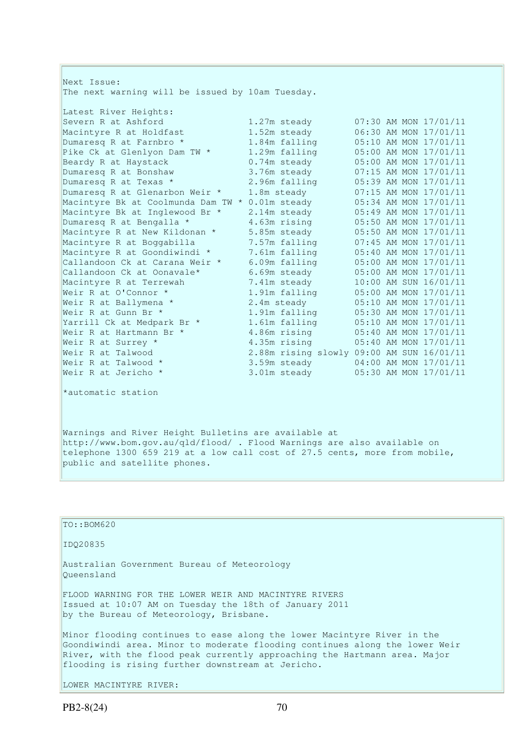| Next Issue:                                      |                                           |                       |
|--------------------------------------------------|-------------------------------------------|-----------------------|
| The next warning will be issued by 10am Tuesday. |                                           |                       |
| Latest River Heights:                            |                                           |                       |
| Severn R at Ashford                              | 1.27m steady                              | 07:30 AM MON 17/01/11 |
| Macintyre R at Holdfast                          | 1.52m steady                              | 06:30 AM MON 17/01/11 |
| Dumaresq R at Farnbro *                          | 1.84m falling                             | 05:10 AM MON 17/01/11 |
| Pike Ck at Glenlyon Dam TW *                     | 1.29m falling                             | 05:00 AM MON 17/01/11 |
| Beardy R at Haystack                             | 0.74m steady                              | 05:00 AM MON 17/01/11 |
| Dumaresq R at Bonshaw                            | 3.76m steady                              | 07:15 AM MON 17/01/11 |
| Dumaresq R at Texas *                            | 2.96m falling                             | 05:39 AM MON 17/01/11 |
| Dumaresq R at Glenarbon Weir *                   | 1.8m steady                               | 07:15 AM MON 17/01/11 |
| Macintyre Bk at Coolmunda Dam TW * 0.01m steady  |                                           | 05:34 AM MON 17/01/11 |
| Macintyre Bk at Inglewood Br *                   | 2.14m steady                              | 05:49 AM MON 17/01/11 |
| Dumaresq R at Bengalla *                         | 4.63m rising                              | 05:50 AM MON 17/01/11 |
| Macintyre R at New Kildonan *                    | 5.85m steady                              | 05:50 AM MON 17/01/11 |
| Macintyre R at Boggabilla                        | 7.57m falling                             | 07:45 AM MON 17/01/11 |
| Macintyre R at Goondiwindi *                     | 7.61m falling                             | 05:40 AM MON 17/01/11 |
| Callandoon Ck at Carana Weir *                   | 6.09m falling                             | 05:00 AM MON 17/01/11 |
| Callandoon Ck at Oonavale*                       | 6.69m steady                              | 05:00 AM MON 17/01/11 |
| Macintyre R at Terrewah                          | 7.41m steady                              | 10:00 AM SUN 16/01/11 |
| Weir R at O'Connor *                             | 1.91m falling                             | 05:00 AM MON 17/01/11 |
| Weir R at Ballymena *                            | 2.4m steady                               | 05:10 AM MON 17/01/11 |
| Weir R at Gunn Br *                              | 1.91m falling                             | 05:30 AM MON 17/01/11 |
| Yarrill Ck at Medpark Br *                       | 1.61m falling                             | 05:10 AM MON 17/01/11 |
| Weir R at Hartmann Br *                          | 4.86m rising                              | 05:40 AM MON 17/01/11 |
| Weir R at Surrey *                               | 4.35m rising                              | 05:40 AM MON 17/01/11 |
| Weir R at Talwood                                | 2.88m rising slowly 09:00 AM SUN 16/01/11 |                       |
| Weir R at Talwood *                              | 3.59m steady                              | 04:00 AM MON 17/01/11 |
| Weir R at Jericho *                              | 3.01m steady                              | 05:30 AM MON 17/01/11 |
| *automatic station                               |                                           |                       |

Warnings and River Height Bulletins are available at http://www.bom.gov.au/qld/flood/ . Flood Warnings are also available on telephone 1300 659 219 at a low call cost of 27.5 cents, more from mobile, public and satellite phones.

TO::BOM620 IDQ20835 Australian Government Bureau of Meteorology Queensland FLOOD WARNING FOR THE LOWER WEIR AND MACINTYRE RIVERS Issued at 10:07 AM on Tuesday the 18th of January 2011 by the Bureau of Meteorology, Brisbane. Minor flooding continues to ease along the lower Macintyre River in the Goondiwindi area. Minor to moderate flooding continues along the lower Weir River, with the flood peak currently approaching the Hartmann area. Major flooding is rising further downstream at Jericho.

LOWER MACINTYRE RIVER: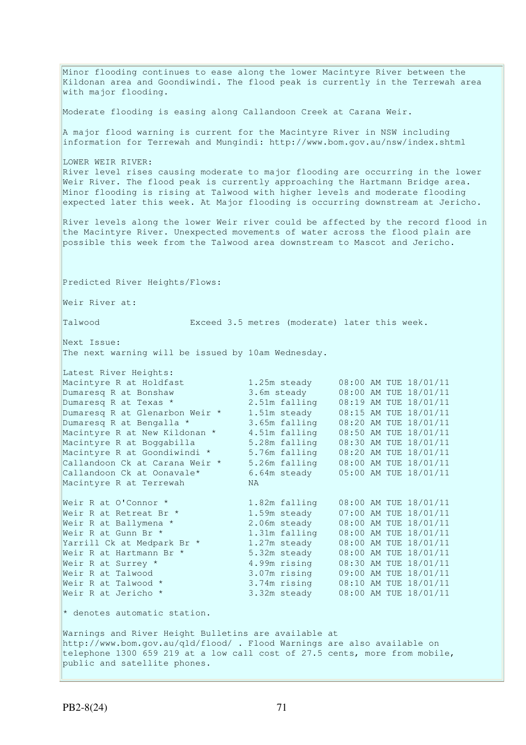Minor flooding continues to ease along the lower Macintyre River between the Kildonan area and Goondiwindi. The flood peak is currently in the Terrewah area with major flooding. Moderate flooding is easing along Callandoon Creek at Carana Weir. A major flood warning is current for the Macintyre River in NSW including information for Terrewah and Mungindi: http://www.bom.gov.au/nsw/index.shtml LOWER WEIR RIVER: River level rises causing moderate to major flooding are occurring in the lower Weir River. The flood peak is currently approaching the Hartmann Bridge area. Minor flooding is rising at Talwood with higher levels and moderate flooding expected later this week. At Major flooding is occurring downstream at Jericho. River levels along the lower Weir river could be affected by the record flood in the Macintyre River. Unexpected movements of water across the flood plain are possible this week from the Talwood area downstream to Mascot and Jericho. Predicted River Heights/Flows: Weir River at: Talwood Exceed 3.5 metres (moderate) later this week. Next Issue: The next warning will be issued by 10am Wednesday. Latest River Heights: Macintyre R at Holdfast 1.25m steady 08:00 AM TUE 18/01/11 Dumaresq R at Bonshaw 3.6m steady 08:00 AM TUE 18/01/11 Dumaresq R at Texas \* 2.51m falling 08:19 AM TUE 18/01/11 Dumaresq R at Glenarbon Weir \* 1.51m steady 08:15 AM TUE 18/01/11 Dumaresq R at Bengalla \* 3.65m falling 08:20 AM TUE 18/01/11 Macintyre R at New Kildonan \* 4.51m falling 08:50 AM TUE 18/01/11 Macintyre R at Boggabilla 5.28m falling 08:30 AM TUE 18/01/11 Macintyre R at Goondiwindi \* 5.76m falling 08:20 AM TUE 18/01/11 Callandoon Ck at Carana Weir \* 5.26m falling 08:00 AM TUE 18/01/11 Callandoon Ck at Oonavale\* 6.64m steady 05:00 AM TUE 18/01/11 Macintyre R at Terrewah NA Weir R at O'Connor \* 1.82m falling 08:00 AM TUE 18/01/11 Weir R at Retreat Br \* 1.59m steady 07:00 AM TUE 18/01/11 Weir R at Ballymena \* 2.06m steady 08:00 AM TUE 18/01/11 Weir R at Gunn Br \* 1.31m falling 08:00 AM TUE 18/01/11 Yarrill Ck at Medpark Br \* 1.27m steady 08:00 AM TUE 18/01/11 Weir R at Hartmann Br \* 5.32m steady 08:00 AM TUE 18/01/11 Weir R at Surrey \* 4.99m rising 08:30 AM TUE 18/01/11 Weir R at Talwood 3.07m rising 09:00 AM TUE 18/01/11 Weir R at Talwood \* 3.74m rising 08:10 AM TUE 18/01/11 Weir R at Jericho \* 3.32m steady 08:00 AM TUE 18/01/11  $*$  denotes automatic station. Warnings and River Height Bulletins are available at http://www.bom.gov.au/qld/flood/ . Flood Warnings are also available on telephone 1300 659 219 at a low call cost of 27.5 cents, more from mobile, public and satellite phones.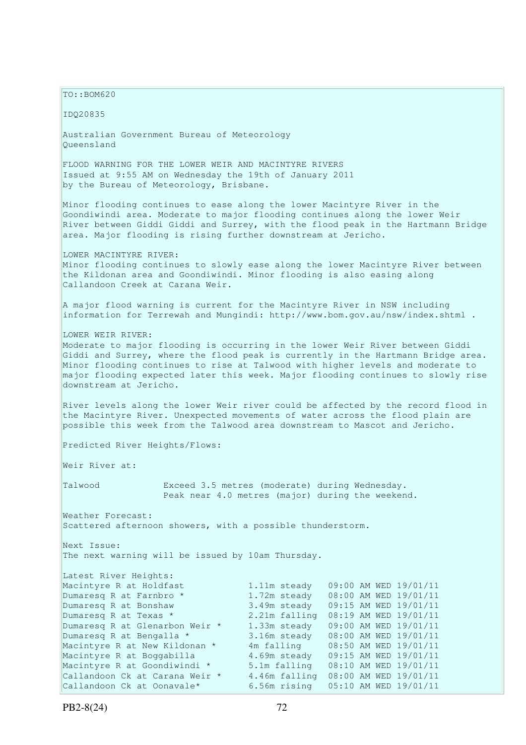$TO: **ROM620**$ IDQ20835 Australian Government Bureau of Meteorology Queensland FLOOD WARNING FOR THE LOWER WEIR AND MACINTYRE RIVERS Issued at 9:55 AM on Wednesday the 19th of January 2011 by the Bureau of Meteorology, Brisbane. Minor flooding continues to ease along the lower Macintyre River in the Goondiwindi area. Moderate to major flooding continues along the lower Weir River between Giddi Giddi and Surrey, with the flood peak in the Hartmann Bridge area. Major flooding is rising further downstream at Jericho. LOWER MACINTYRE RIVER: Minor flooding continues to slowly ease along the lower Macintyre River between the Kildonan area and Goondiwindi. Minor flooding is also easing along Callandoon Creek at Carana Weir. A major flood warning is current for the Macintyre River in NSW including information for Terrewah and Mungindi: http://www.bom.gov.au/nsw/index.shtml . LOWER WEIR RIVER: Moderate to major flooding is occurring in the lower Weir River between Giddi Giddi and Surrey, where the flood peak is currently in the Hartmann Bridge area. Minor flooding continues to rise at Talwood with higher levels and moderate to major flooding expected later this week. Major flooding continues to slowly rise downstream at Jericho. River levels along the lower Weir river could be affected by the record flood in the Macintyre River. Unexpected movements of water across the flood plain are possible this week from the Talwood area downstream to Mascot and Jericho. Predicted River Heights/Flows: Weir River at: Talwood Exceed 3.5 metres (moderate) during Wednesday. Peak near 4.0 metres (major) during the weekend. Weather Forecast: Scattered afternoon showers, with a possible thunderstorm. Next Issue: The next warning will be issued by 10am Thursday. Latest River Heights: Macintyre R at Holdfast 1.11m steady 09:00 AM WED 19/01/11<br>
Dumaresq R at Farnbro \* 1.72m steady 08:00 AM WED 19/01/11<br>
Dumaresq R at Bonshaw 3.49m steady 09:15 AM WED 19/01/11 Dumaresq R at Farnbro \* 1.72m steady 08:00 AM WED 19/01/11 Dumaresq R at Bonshaw 3.49m steady 09:15 AM WED 19/01/11 Dumaresq R at Texas \* 2.21m falling 08:19 AM WED 19/01/11<br>Dumaresq R at Glenarbon Weir \* 1.33m steady 09:00 AM WED 19/01/11 Dumaresq R at Glenarbon Weir \* 1.33m steady 09:00 AM WED 19/01/11 Dumaresq R at Bengalla \* 3.16m steady 08:00 AM WED 19/01/11 Macintyre R at New Kildonan \* 4m falling 08:50 AM WED 19/01/11 Macintyre R at Boggabilla and M. Farring to the Minister of Macintyre R at Boggabilla and 4.69m steady 09:15 AM WED 19/01/11 Macintyre R at Goondiwindi \* 5.1m falling 08:10 AM WED 19/01/11 Callandoon Ck at Carana Weir \* 4.46m falling 08:00 AM WED 19/01/11 Callandoon Ck at Oonavale\* 6.56m rising 05:10 AM WED 19/01/11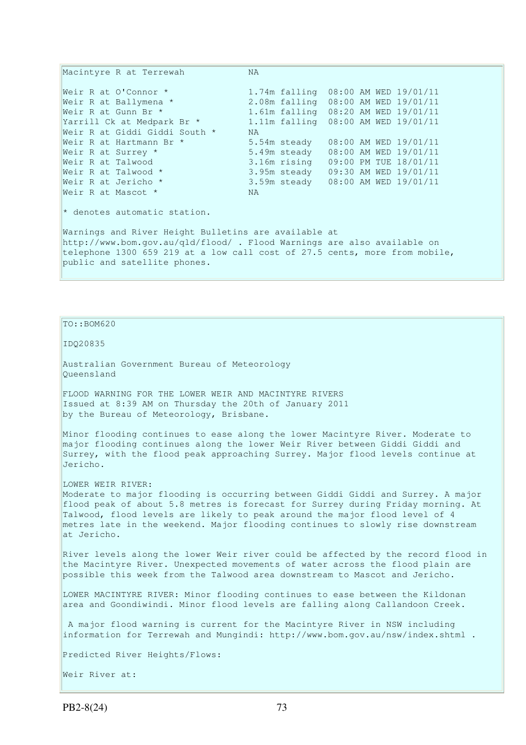Macintyre R at Terrewah NA Weir R at O'Connor \* 1.74m falling 08:00 AM WED 19/01/11 Weir R at Ballymena \* 2.08m falling 08:00 AM WED 19/01/11 Weir R at Gunn Br \* 1.61m falling 08:20 AM WED 19/01/11 Yarrill Ck at Medpark Br \* 1.11m falling 08:00 AM WED 19/01/11 Weir R at Giddi Giddi South \* NA Weir R at Hartmann Br \* 5.54m steady 08:00 AM WED 19/01/11 Weir R at Surrey \* 5.49m steady 08:00 AM WED 19/01/11 Weir R at Talwood  $\overline{3.16m}$  rising 09:00 PM TUE 18/01/11<br>Weir R at Talwood \* 3.95m steady 09:30 AM WED 19/01/11 Weir R at Talwood \* 3.95m steady 09:30 AM WED 19/01/11 Weir R at Jericho \* 3.59m steady 08:00 AM WED 19/01/11 Weir R at Mascot \* NA  $*$  denotes automatic station. Warnings and River Height Bulletins are available at http://www.bom.gov.au/qld/flood/ . Flood Warnings are also available on telephone 1300 659 219 at a low call cost of 27.5 cents, more from mobile, public and satellite phones.

 $TO: **ROM620**$ IDQ20835 Australian Government Bureau of Meteorology Queensland FLOOD WARNING FOR THE LOWER WEIR AND MACINTYRE RIVERS Issued at 8:39 AM on Thursday the 20th of January 2011 by the Bureau of Meteorology, Brisbane. Minor flooding continues to ease along the lower Macintyre River. Moderate to major flooding continues along the lower Weir River between Giddi Giddi and Surrey, with the flood peak approaching Surrey. Major flood levels continue at Jericho. LOWER WEIR RIVER: Moderate to major flooding is occurring between Giddi Giddi and Surrey. A major flood peak of about 5.8 metres is forecast for Surrey during Friday morning. At Talwood, flood levels are likely to peak around the major flood level of 4 metres late in the weekend. Major flooding continues to slowly rise downstream at Jericho. River levels along the lower Weir river could be affected by the record flood in the Macintyre River. Unexpected movements of water across the flood plain are possible this week from the Talwood area downstream to Mascot and Jericho. LOWER MACINTYRE RIVER: Minor flooding continues to ease between the Kildonan area and Goondiwindi. Minor flood levels are falling along Callandoon Creek. A major flood warning is current for the Macintyre River in NSW including information for Terrewah and Mungindi: http://www.bom.gov.au/nsw/index.shtml . Predicted River Heights/Flows:

Weir River at: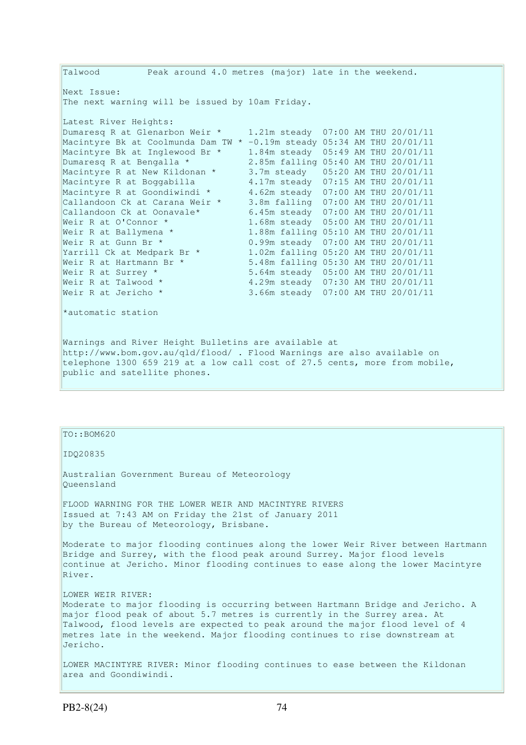Talwood Peak around 4.0 metres (major) late in the weekend. Next Issue: The next warning will be issued by 10am Friday. Latest River Heights: Dumaresq R at Glenarbon Weir \* 1.21m steady 07:00 AM THU 20/01/11 Macintyre Bk at Coolmunda Dam TW \* -0.19m steady 05:34 AM THU 20/01/11 Macintyre Bk at Inglewood Br \* 1.84m steady 05:49 AM THU 20/01/11 Dumaresq R at Bengalla \* 2.85m falling 05:40 AM THU 20/01/11 Macintyre R at New Kildonan \* 3.7m steady 05:20 AM THU 20/01/11 Macintyre R at Boggabilla 4.17m steady 07:15 AM THU 20/01/11 Macintyre R at Goondiwindi \* 4.62m steady 07:00 AM THU 20/01/11 Callandoon Ck at Carana Weir \* 3.8m falling 07:00 AM THU 20/01/11 Callandoon Ck at Oonavale\* 6.45m steady 07:00 AM THU 20/01/11 Weir R at O'Connor \* 1.68m steady 05:00 AM THU 20/01/11 Weir R at Ballymena \* 1.88m falling 05:10 AM THU 20/01/11 Weir R at Gunn Br \* 0.99m steady 07:00 AM THU 20/01/11<br>
Yarrill Ck at Medpark Br \* 1.02m falling 05:20 AM THU 20/01/11<br>
Weir R at Hartmann Br \* 5.48m falling 05:30 AM THU 20/01/11  $1.02m$  falling 05:20 AM THU 20/01/11 5.48m falling 05:30 AM THU 20/01/11 Weir R at Surrey \* 5.64m steady 05:00 AM THU 20/01/11 Weir R at Talwood \* 4.29m steady 07:30 AM THU 20/01/11 Weir R at Jericho \* 3.66m steady 07:00 AM THU 20/01/11 \*automatic station Warnings and River Height Bulletins are available at http://www.bom.gov.au/qld/flood/ . Flood Warnings are also available on telephone 1300 659 219 at a low call cost of 27.5 cents, more from mobile, public and satellite phones.

#### TO::BOM620

IDQ20835

Australian Government Bureau of Meteorology Queensland

FLOOD WARNING FOR THE LOWER WEIR AND MACINTYRE RIVERS Issued at 7:43 AM on Friday the 21st of January 2011 by the Bureau of Meteorology, Brisbane.

Moderate to major flooding continues along the lower Weir River between Hartmann Bridge and Surrey, with the flood peak around Surrey. Major flood levels continue at Jericho. Minor flooding continues to ease along the lower Macintyre River.

LOWER WEIR RIVER: Moderate to major flooding is occurring between Hartmann Bridge and Jericho. A major flood peak of about 5.7 metres is currently in the Surrey area. At Talwood, flood levels are expected to peak around the major flood level of 4 metres late in the weekend. Major flooding continues to rise downstream at Jericho.

LOWER MACINTYRE RIVER: Minor flooding continues to ease between the Kildonan area and Goondiwindi.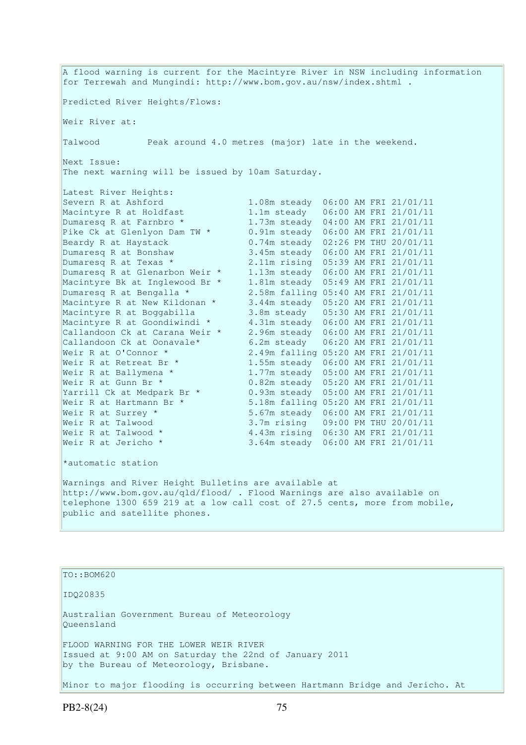A flood warning is current for the Macintyre River in NSW including information for Terrewah and Mungindi: http://www.bom.gov.au/nsw/index.shtml . Predicted River Heights/Flows: Weir River at: Talwood Peak around 4.0 metres (major) late in the weekend. Next Issue: The next warning will be issued by 10am Saturday. Latest River Heights: Severn R at Ashford 1.08m steady 06:00 AM FRI 21/01/11 Macintyre R at Holdfast 1.1m steady 06:00 AM FRI 21/01/11 Dumaresq R at Farnbro \* 1.73m steady 04:00 AM FRI 21/01/11 Pike Ck at Glenlyon Dam TW \* 0.91m steady 06:00 AM FRI 21/01/11 Beardy R at Haystack 0.74m steady 02:26 PM THU 20/01/11 Dumaresq R at Bonshaw 3.45m steady 06:00 AM FRI 21/01/11 Dumaresq R at Texas \* 2.11m rising 05:39 AM FRI 21/01/11 Dumaresq R at Glenarbon Weir \* 1.13m steady 06:00 AM FRI 21/01/11 Macintyre Bk at Inglewood Br \* 1.81m steady 05:49 AM FRI 21/01/11 Dumaresq R at Bengalla \* 2.58m falling 05:40 AM FRI 21/01/11 Macintyre R at New Kildonan \* 3.44m steady 05:20 AM FRI 21/01/11 Macintyre R at Boggabilla 3.8m steady 05:30 AM FRI 21/01/11 Macintyre R at Goondiwindi \* 4.31m steady 06:00 AM FRI 21/01/11 Callandoon Ck at Carana Weir \* 2.96m steady 06:00 AM FRI 21/01/11 Callandoon Ck at Oonavale\* 6.2m steady 06:20 AM FRI 21/01/11 Weir R at O'Connor \* 2.49m falling 05:20 AM FRI 21/01/11 Weir R at Retreat Br \* 1.55m steady 06:00 AM FRI 21/01/11 Weir R at Ballymena \* 1.77m steady 05:00 AM FRI 21/01/11 Weir R at Gunn Br \* 0.82m steady 05:20 AM FRI 21/01/11 Yarrill Ck at Medpark Br \* 0.93m steady 05:00 AM FRI 21/01/11 Weir R at Hartmann Br \* 5.18m falling 05:20 AM FRI 21/01/11 Weir R at Surrey \* 5.67m steady 06:00 AM FRI 21/01/11 Weir R at Talwood 3.7m rising 09:00 PM THU 20/01/11 Weir R at Talwood \* 4.43m rising 06:30 AM FRI 21/01/11 Weir R at Jericho \* 3.64m steady 06:00 AM FRI 21/01/11 \*automatic station Warnings and River Height Bulletins are available at http://www.bom.gov.au/qld/flood/ . Flood Warnings are also available on telephone 1300 659 219 at a low call cost of 27.5 cents, more from mobile, public and satellite phones.

### TO::BOM620

IDQ20835

Australian Government Bureau of Meteorology Queensland

FLOOD WARNING FOR THE LOWER WEIR RIVER Issued at 9:00 AM on Saturday the 22nd of January 2011 by the Bureau of Meteorology, Brisbane.

Minor to major flooding is occurring between Hartmann Bridge and Jericho. At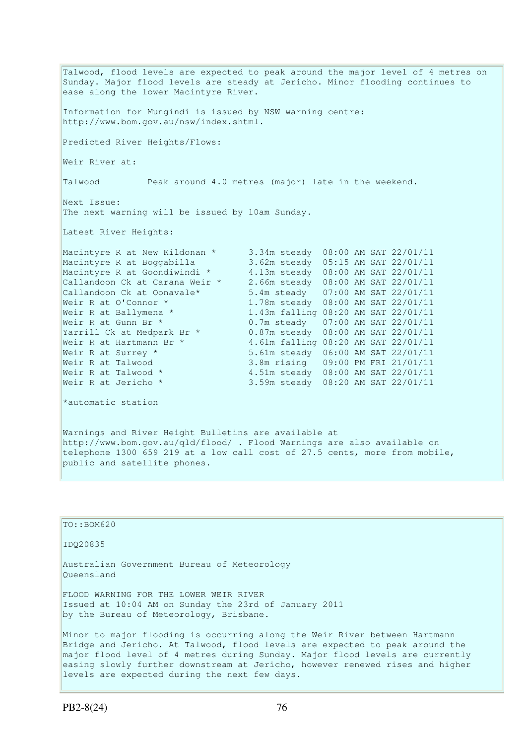Talwood, flood levels are expected to peak around the major level of 4 metres on Sunday. Major flood levels are steady at Jericho. Minor flooding continues to ease along the lower Macintyre River. Information for Mungindi is issued by NSW warning centre: http://www.bom.gov.au/nsw/index.shtml. Predicted River Heights/Flows: Weir River at: Talwood Peak around 4.0 metres (major) late in the weekend. Next Issue: The next warning will be issued by 10am Sunday. Latest River Heights: Macintyre R at New Kildonan \* 3.34m steady 08:00 AM SAT 22/01/11 Macintyre R at Boggabilla 3.62m steady 05:15 AM SAT 22/01/11 Macintyre R at Goondiwindi \* 4.13m steady 08:00 AM SAT 22/01/11 Callandoon Ck at Carana Weir \* 2.66m steady 08:00 AM SAT 22/01/11 Callandoon Ck at Oonavale\* 5.4m steady 07:00 AM SAT 22/01/11 Weir R at O'Connor \* 1.78m steady 08:00 AM SAT 22/01/11 Weir R at Ballymena \* 1.43m falling 08:20 AM SAT 22/01/11 Weir R at Gunn Br \* 0.7m steady 07:00 AM SAT 22/01/11 Yarrill Ck at Medpark Br \* 0.87m steady 08:00 AM SAT 22/01/11 Weir R at Hartmann Br  $\star$  4.61m falling 08:20 AM SAT 22/01/11 Weir R at Surrey \* 5.61m steady 06:00 AM SAT 22/01/11 Weir R at Talwood 3.8m rising 09:00 PM FRI 21/01/11 Weir R at Talwood \* 4.51m steady 08:00 AM SAT 22/01/11 Weir R at Jericho \* 3.59m steady 08:20 AM SAT 22/01/11 Weir R at Talwood \*<br>Weir R at Jericho \* \*automatic station Warnings and River Height Bulletins are available at http://www.bom.gov.au/qld/flood/ . Flood Warnings are also available on telephone 1300 659 219 at a low call cost of 27.5 cents, more from mobile, public and satellite phones.

| TO::BOM620                                                                                                                                                                                                                                                                                                                                                                    |
|-------------------------------------------------------------------------------------------------------------------------------------------------------------------------------------------------------------------------------------------------------------------------------------------------------------------------------------------------------------------------------|
| ID020835                                                                                                                                                                                                                                                                                                                                                                      |
| Australian Government Bureau of Meteorology<br>Oueensland                                                                                                                                                                                                                                                                                                                     |
| FLOOD WARNING FOR THE LOWER WEIR RIVER<br>Issued at 10:04 AM on Sunday the 23rd of January 2011<br>by the Bureau of Meteorology, Brisbane.                                                                                                                                                                                                                                    |
| Minor to major flooding is occurring along the Weir River between Hartmann<br>Bridge and Jericho. At Talwood, flood levels are expected to peak around the<br>major flood level of 4 metres during Sunday. Major flood levels are currently<br>easing slowly further downstream at Jericho, however renewed rises and higher<br>levels are expected during the next few days. |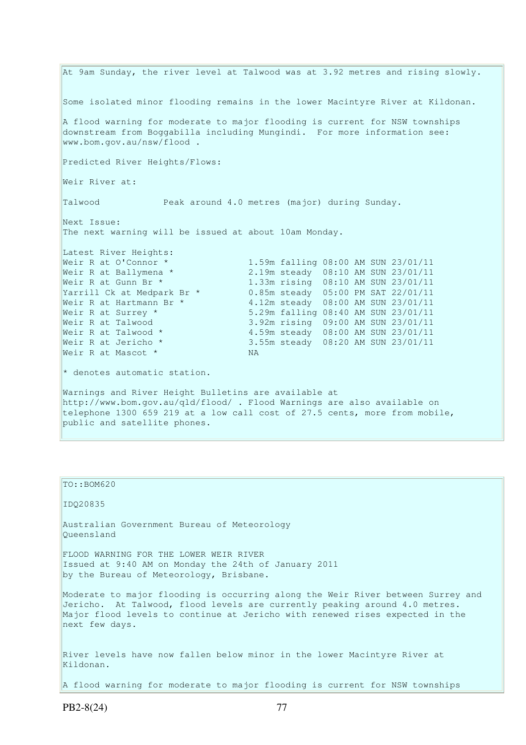At 9am Sunday, the river level at Talwood was at 3.92 metres and rising slowly. Some isolated minor flooding remains in the lower Macintyre River at Kildonan. A flood warning for moderate to major flooding is current for NSW townships downstream from Boggabilla including Mungindi. For more information see: www.bom.gov.au/nsw/flood . Predicted River Heights/Flows: Weir River at: Talwood Peak around 4.0 metres (major) during Sunday. Next Issue: The next warning will be issued at about 10am Monday. Latest River Heights:<br>Weir R at O'Connor \* 1.59m falling 08:00 AM SUN 23/01/11 Weir R at Ballymena \* 2.19m steady 08:10 AM SUN 23/01/11 Weir R at Gunn Br \* 1.33m rising 08:10 AM SUN 23/01/11 Yarrill Ck at Medpark Br \* 0.85m steady 05:00 PM SAT 22/01/11 Weir R at Hartmann Br  $\star$  4.12m steady 08:00 AM SUN 23/01/11 Weir R at Hartmann Br \* 4.12m steady 08:00 AM SUN 23/01/11<br>Weir R at Surrey \* 5.29m falling 08:40 AM SUN 23/01/11 Weir R at Talwood 3.92m rising 09:00 AM SUN 23/01/11 Weir R at Talwood \* 4.59m steady 08:00 AM SUN 23/01/11 Weir R at Jericho \* 3.55m steady 08:20 AM SUN 23/01/11 Weir R at Mascot \* NA  $*$  denotes automatic station. Warnings and River Height Bulletins are available at http://www.bom.gov.au/qld/flood/ . Flood Warnings are also available on telephone 1300 659 219 at a low call cost of 27.5 cents, more from mobile, public and satellite phones.

| $TO: BOM620$                                                                                                                                                                                                                                                    |
|-----------------------------------------------------------------------------------------------------------------------------------------------------------------------------------------------------------------------------------------------------------------|
| ID020835                                                                                                                                                                                                                                                        |
| Australian Government Bureau of Meteorology<br>Oueensland                                                                                                                                                                                                       |
| FLOOD WARNING FOR THE LOWER WEIR RIVER<br>Issued at 9:40 AM on Monday the 24th of January 2011<br>by the Bureau of Meteorology, Brisbane.                                                                                                                       |
| Moderate to major flooding is occurring along the Weir River between Surrey and<br>Jericho. At Talwood, flood levels are currently peaking around 4.0 metres.<br>Major flood levels to continue at Jericho with renewed rises expected in the<br>next few days. |
| River levels have now fallen below minor in the lower Macintyre River at<br>Kildonan.                                                                                                                                                                           |
| A flood warning for moderate to major flooding is current for NSW townships                                                                                                                                                                                     |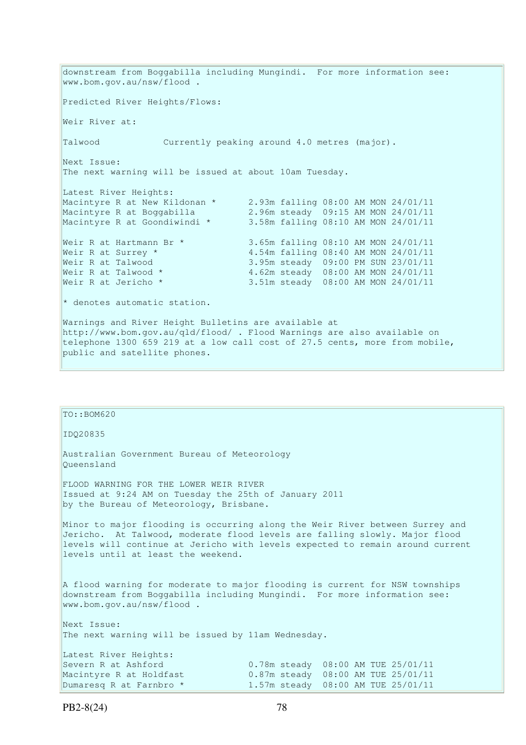downstream from Boggabilla including Mungindi. For more information see: www.bom.gov.au/nsw/flood . Predicted River Heights/Flows: Weir River at: Talwood Currently peaking around 4.0 metres (major). Next Issue: The next warning will be issued at about 10am Tuesday. Latest River Heights: Macintyre R at New Kildonan \* 2.93m falling 08:00 AM MON 24/01/11 Macintyre R at Boggabilla 2.96m steady 09:15 AM MON 24/01/11 Macintyre R at Goondiwindi \* 3.58m falling 08:10 AM MON 24/01/11 Weir R at Hartmann Br \*  $\begin{array}{l} 3.65m \text{ falling } 08:10 \text{ AM MON } 24/01/11 \\ \text{Weir R at Survey *} \end{array}$ Weir R at Surrey \* 3.54m falling 08:40 AM MON 24/01/11<br>Weir R at Talwood 3.95m steady 09:00 PM SUN 23/01/11 Weir R at Talwood 3.95m steady 09:00 PM SUN 23/01/11 Weir R at Talwood \* 4.62m steady 08:00 AM MON 24/01/11 Weir R at Jericho \* 3.51m steady 08:00 AM MON 24/01/11 \* denotes automatic station. Warnings and River Height Bulletins are available at http://www.bom.gov.au/qld/flood/ . Flood Warnings are also available on telephone 1300 659 219 at a low call cost of 27.5 cents, more from mobile, public and satellite phones.

 $TO::BOM620$ IDQ20835 Australian Government Bureau of Meteorology Queensland FLOOD WARNING FOR THE LOWER WEIR RIVER Issued at 9:24 AM on Tuesday the 25th of January 2011 by the Bureau of Meteorology, Brisbane. Minor to major flooding is occurring along the Weir River between Surrey and Jericho. At Talwood, moderate flood levels are falling slowly. Major flood levels will continue at Jericho with levels expected to remain around current levels until at least the weekend. A flood warning for moderate to major flooding is current for NSW townships downstream from Boggabilla including Mungindi. For more information see: www.bom.gov.au/nsw/flood . Next Issue: The next warning will be issued by 11am Wednesday. Latest River Heights: Severn R at Ashford 0.78m steady 08:00 AM TUE 25/01/11 Macintyre R at Holdfast 0.87m steady 08:00 AM TUE 25/01/11 Dumaresq R at Farnbro \* 1.57m steady 08:00 AM TUE 25/01/11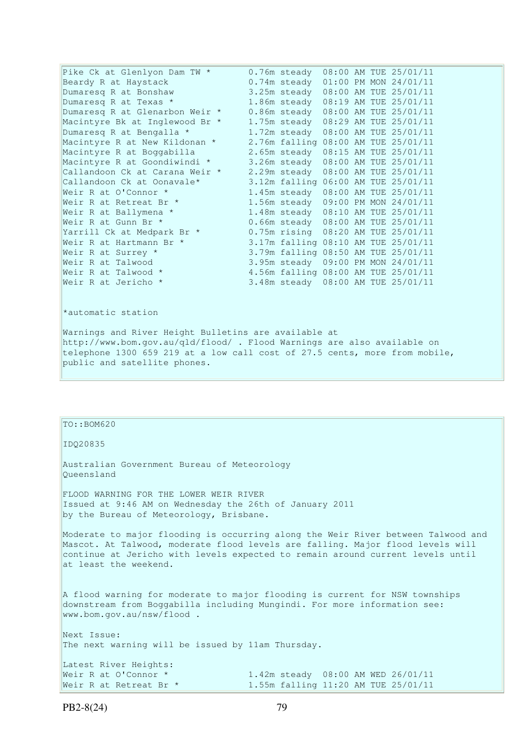| Pike Ck at Glenlyon Dam TW *   | $0.76m$ steady |  | 08:00 AM TUE 25/01/11               |
|--------------------------------|----------------|--|-------------------------------------|
| Beardy R at Haystack           | $0.74m$ steady |  | 01:00 PM MON 24/01/11               |
| Dumaresq R at Bonshaw          | 3.25m steady   |  | 08:00 AM TUE 25/01/11               |
| Dumaresq R at Texas *          | 1.86m steady   |  | 08:19 AM TUE 25/01/11               |
| Dumaresq R at Glenarbon Weir * | 0.86m steady   |  | 08:00 AM TUE 25/01/11               |
| Macintyre Bk at Inglewood Br * | 1.75m steady   |  | 08:29 AM TUE 25/01/11               |
| Dumaresq R at Bengalla *       | 1.72m steady   |  | 08:00 AM TUE 25/01/11               |
| Macintyre R at New Kildonan *  |                |  | 2.76m falling 08:00 AM TUE 25/01/11 |
| Macintyre R at Boggabilla      | 2.65m steady   |  | 08:15 AM TUE 25/01/11               |
| Macintyre R at Goondiwindi *   | 3.26m steady   |  | 08:00 AM TUE 25/01/11               |
| Callandoon Ck at Carana Weir * | 2.29m steady   |  | 08:00 AM TUE 25/01/11               |
| Callandoon Ck at Oonavale*     |                |  | 3.12m falling 06:00 AM TUE 25/01/11 |
| Weir R at O'Connor *           | 1.45m steady   |  | 08:00 AM TUE 25/01/11               |
| Weir R at Retreat Br *         | 1.56m steady   |  | 09:00 PM MON 24/01/11               |
| Weir R at Ballymena *          |                |  | 1.48m steady 08:10 AM TUE 25/01/11  |
| Weir R at Gunn Br *            |                |  | 0.66m steady 08:00 AM TUE 25/01/11  |
| Yarrill Ck at Medpark Br *     | $0.75m$ rising |  | 08:20 AM TUE 25/01/11               |
| Weir R at Hartmann Br *        |                |  | 3.17m falling 08:10 AM TUE 25/01/11 |
| Weir R at Surrey *             |                |  | 3.79m falling 08:50 AM TUE 25/01/11 |
| Weir R at Talwood              |                |  | 3.95m steady 09:00 PM MON 24/01/11  |
| Weir R at Talwood *            |                |  | 4.56m falling 08:00 AM TUE 25/01/11 |
| Weir R at Jericho *            |                |  | 3.48m steady 08:00 AM TUE 25/01/11  |
|                                |                |  |                                     |
|                                |                |  |                                     |
| *automatic station             |                |  |                                     |

Warnings and River Height Bulletins are available at http://www.bom.gov.au/qld/flood/ . Flood Warnings are also available on telephone 1300 659 219 at a low call cost of 27.5 cents, more from mobile, public and satellite phones.

## TO::BOM620

### IDQ20835

Australian Government Bureau of Meteorology Queensland

FLOOD WARNING FOR THE LOWER WEIR RIVER Issued at 9:46 AM on Wednesday the 26th of January 2011 by the Bureau of Meteorology, Brisbane.

Moderate to major flooding is occurring along the Weir River between Talwood and Mascot. At Talwood, moderate flood levels are falling. Major flood levels will continue at Jericho with levels expected to remain around current levels until at least the weekend.

A flood warning for moderate to major flooding is current for NSW townships downstream from Boggabilla including Mungindi. For more information see: www.bom.gov.au/nsw/flood .

Next Issue: The next warning will be issued by 11am Thursday.

```
Latest River Heights: 
Weir R at O'Connor * 1.42m steady 08:00 AM WED 26/01/11
Weir R at Retreat Br * 1.55m falling 11:20 AM TUE 25/01/11
```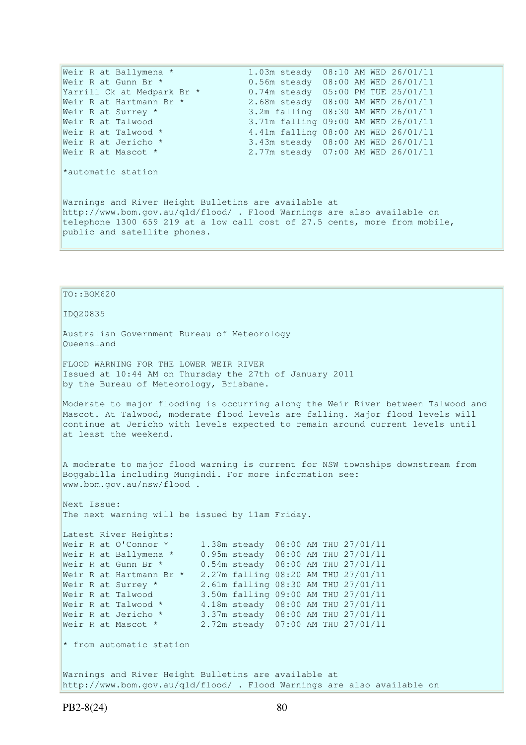Weir R at Ballymena \* 1.03m steady 08:10 AM WED 26/01/11 Weir R at Gunn Br \* 0.56m steady 08:00 AM WED 26/01/11 Yarrill Ck at Medpark Br \* 0.74m steady 05:00 PM TUE 25/01/11 Weir R at Hartmann Br \* 2.68m steady 08:00 AM WED 26/01/11 Yarrill Ck at Medpark Br \* 0.74m steady 05:00 PM TUE 25/01/11<br>Weir R at Hartmann Br \* 2.68m steady 08:00 AM WED 26/01/11<br>Weir R at Surrey \* 3.2m falling 08:30 AM WED 26/01/11 Weir R at Talwood 3.71m falling 09:00 AM WED 26/01/11 Weir R at Talwood \* 4.41m falling 08:00 AM WED 26/01/11 Weir R at Jericho \* 3.43m steady 08:00 AM WED 26/01/11 Weir R at Mascot \* 2.77m steady 07:00 AM WED 26/01/11 \*automatic station Warnings and River Height Bulletins are available at http://www.bom.gov.au/qld/flood/ . Flood Warnings are also available on telephone 1300 659 219 at a low call cost of 27.5 cents, more from mobile, public and satellite phones.

# TO::BOM620

IDQ20835

Australian Government Bureau of Meteorology Queensland

FLOOD WARNING FOR THE LOWER WEIR RIVER Issued at 10:44 AM on Thursday the 27th of January 2011 by the Bureau of Meteorology, Brisbane.

Moderate to major flooding is occurring along the Weir River between Talwood and Mascot. At Talwood, moderate flood levels are falling. Major flood levels will continue at Jericho with levels expected to remain around current levels until at least the weekend.

A moderate to major flood warning is current for NSW townships downstream from Boggabilla including Mungindi. For more information see: www.bom.gov.au/nsw/flood .

Next Issue: The next warning will be issued by 11am Friday.

Latest River Heights: Weir R at O'Connor \* 1.38m steady 08:00 AM THU 27/01/11 Weir R at Ballymena \* 0.95m steady 08:00 AM THU 27/01/11 Weir R at Gunn Br \* 0.54m steady 08:00 AM THU 27/01/11 Weir R at Hartmann Br \* 2.27m falling 08:20 AM THU 27/01/11 Weir R at Surrey \* 2.61m falling 08:30 AM THU 27/01/11 Weir R at Talwood 3.50m falling 09:00 AM THU 27/01/11 Weir R at Talwood  $*$  4.18m steady  $08:00$  AM THU 27/01/11 Weir R at Jericho \* 3.37m steady 08:00 AM THU 27/01/11 Weir R at Mascot \* 2.72m steady 07:00 AM THU 27/01/11

 $*$  from automatic station

Warnings and River Height Bulletins are available at http://www.bom.gov.au/qld/flood/ . Flood Warnings are also available on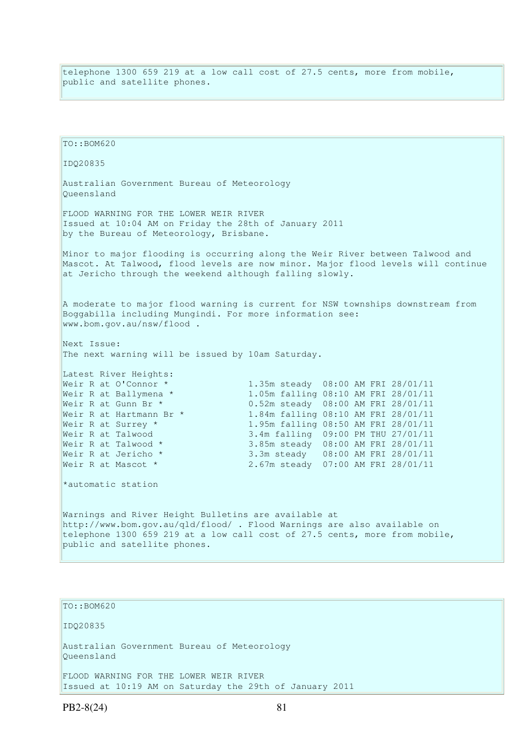telephone 1300 659 219 at a low call cost of 27.5 cents, more from mobile, public and satellite phones.

TO::BOM620 IDQ20835 Australian Government Bureau of Meteorology Queensland FLOOD WARNING FOR THE LOWER WEIR RIVER Issued at 10:04 AM on Friday the 28th of January 2011 by the Bureau of Meteorology, Brisbane. Minor to major flooding is occurring along the Weir River between Talwood and Mascot. At Talwood, flood levels are now minor. Major flood levels will continue at Jericho through the weekend although falling slowly. A moderate to major flood warning is current for NSW townships downstream from Boggabilla including Mungindi. For more information see: www.bom.gov.au/nsw/flood . Next Issue: The next warning will be issued by 10am Saturday. Latest River Heights: Weir R at O'Connor \* 1.35m steady 08:00 AM FRI 28/01/11 Weir R at Ballymena \* 1.05m falling 08:10 AM FRI 28/01/11 Weir R at Gunn Br \* 0.52m steady 08:00 AM FRI 28/01/11<br>Weir R at Hartmann Br \* 1.84m falling 08:10 AM FRI 28/01/11 Weir R at Hartmann Br \* 1.84m falling 08:10 AM FRI 28/01/11<br>Weir R at Surrey \* 1.95m falling 08:50 AM FRI 28/01/11 1.95m falling 08:50 AM FRI 28/01/11 Weir R at Talwood 3.4m falling 09:00 PM THU 27/01/11 Weir R at Talwood \* 3.85m steady 08:00 AM FRI 28/01/11 Weir R at Jericho \* 3.3m steady 08:00 AM FRI 28/01/11 Weir R at Mascot \* 2.67m steady 07:00 AM FRI 28/01/11 \*automatic station Warnings and River Height Bulletins are available at http://www.bom.gov.au/qld/flood/ . Flood Warnings are also available on telephone 1300 659 219 at a low call cost of 27.5 cents, more from mobile, public and satellite phones.

TO::BOM620

IDQ20835

Australian Government Bureau of Meteorology Queensland

FLOOD WARNING FOR THE LOWER WEIR RIVER Issued at 10:19 AM on Saturday the 29th of January 2011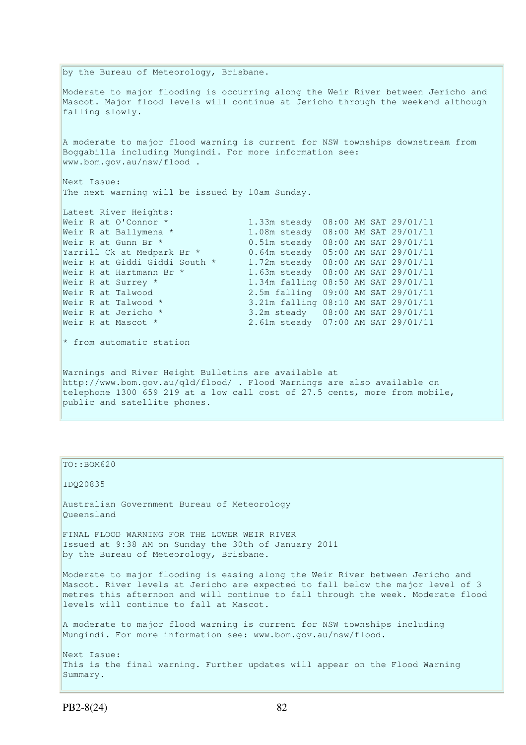by the Bureau of Meteorology, Brisbane. Moderate to major flooding is occurring along the Weir River between Jericho and Mascot. Major flood levels will continue at Jericho through the weekend although falling slowly. A moderate to major flood warning is current for NSW townships downstream from Boggabilla including Mungindi. For more information see: www.bom.gov.au/nsw/flood . Next Issue: The next warning will be issued by 10am Sunday. Latest River Heights: Weir R at O'Connor \* 1.33m steady 08:00 AM SAT 29/01/11<br>Weir R at Ballymena \* 1.08m steady 08:00 AM SAT 29/01/11 Weir R at Ballymena \* 1.08m steady 08:00 AM SAT 29/01/11 Weir R at Gunn Br \* 0.51m steady 08:00 AM SAT 29/01/11 Yarrill Ck at Medpark Br \* 0.64m steady 05:00 AM SAT 29/01/11 Weir R at Giddi Giddi South \* 1.72m steady 08:00 AM SAT 29/01/11 Weir R at Hartmann Br \* 1.63m steady 08:00 AM SAT 29/01/11 Weir R at Surrey \* 1.34m falling 08:50 AM SAT 29/01/11 Weir R at Talwood 2.5m falling 09:00 AM SAT 29/01/11 Weir R at Talwood \* 3.21m falling 08:10 AM SAT 29/01/11 Weir R at Jericho \* 3.2m steady 08:00 AM SAT 29/01/11 Weir R at Mascot \* 2.61m steady 07:00 AM SAT 29/01/11  $*$  from automatic station Warnings and River Height Bulletins are available at http://www.bom.gov.au/qld/flood/ . Flood Warnings are also available on telephone 1300 659 219 at a low call cost of 27.5 cents, more from mobile, public and satellite phones.

| $TO: BOM620$                                                                                                                                                                                                                                                                                    |
|-------------------------------------------------------------------------------------------------------------------------------------------------------------------------------------------------------------------------------------------------------------------------------------------------|
| ID020835                                                                                                                                                                                                                                                                                        |
| Australian Government Bureau of Meteorology<br>Oueensland                                                                                                                                                                                                                                       |
| FINAL FLOOD WARNING FOR THE LOWER WEIR RIVER<br>Issued at 9:38 AM on Sunday the 30th of January 2011<br>by the Bureau of Meteorology, Brisbane.                                                                                                                                                 |
| Moderate to major flooding is easing along the Weir River between Jericho and<br>Mascot. River levels at Jericho are expected to fall below the major level of 3<br>metres this afternoon and will continue to fall through the week. Moderate flood<br>levels will continue to fall at Mascot. |
| A moderate to major flood warning is current for NSW townships including<br>Mungindi. For more information see: www.bom.gov.au/nsw/flood.                                                                                                                                                       |
| Next Issue:<br>This is the final warning. Further updates will appear on the Flood Warning<br>Summary.                                                                                                                                                                                          |